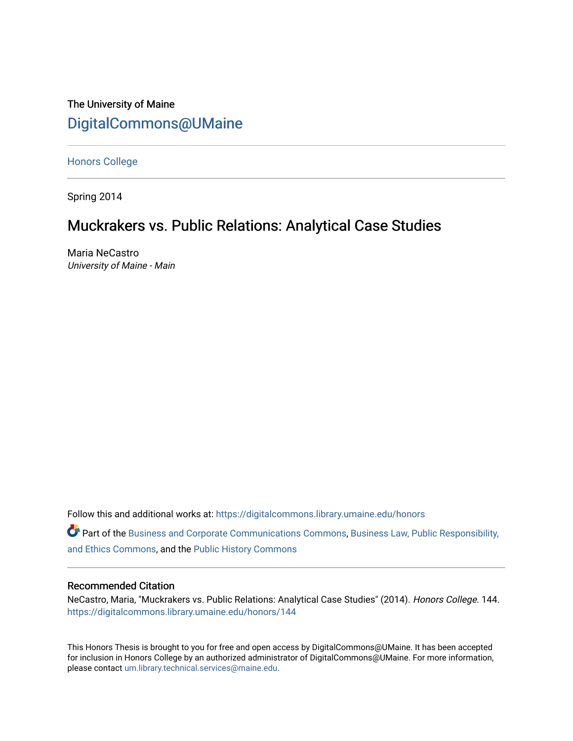# The University of Maine [DigitalCommons@UMaine](https://digitalcommons.library.umaine.edu/)

[Honors College](https://digitalcommons.library.umaine.edu/honors)

Spring 2014

# Muckrakers vs. Public Relations: Analytical Case Studies

Maria NeCastro University of Maine - Main

Follow this and additional works at: [https://digitalcommons.library.umaine.edu/honors](https://digitalcommons.library.umaine.edu/honors?utm_source=digitalcommons.library.umaine.edu%2Fhonors%2F144&utm_medium=PDF&utm_campaign=PDFCoverPages) 

Part of the [Business and Corporate Communications Commons](http://network.bepress.com/hgg/discipline/627?utm_source=digitalcommons.library.umaine.edu%2Fhonors%2F144&utm_medium=PDF&utm_campaign=PDFCoverPages), [Business Law, Public Responsibility,](http://network.bepress.com/hgg/discipline/628?utm_source=digitalcommons.library.umaine.edu%2Fhonors%2F144&utm_medium=PDF&utm_campaign=PDFCoverPages) [and Ethics Commons,](http://network.bepress.com/hgg/discipline/628?utm_source=digitalcommons.library.umaine.edu%2Fhonors%2F144&utm_medium=PDF&utm_campaign=PDFCoverPages) and the [Public History Commons](http://network.bepress.com/hgg/discipline/1292?utm_source=digitalcommons.library.umaine.edu%2Fhonors%2F144&utm_medium=PDF&utm_campaign=PDFCoverPages)

## Recommended Citation

NeCastro, Maria, "Muckrakers vs. Public Relations: Analytical Case Studies" (2014). Honors College. 144. [https://digitalcommons.library.umaine.edu/honors/144](https://digitalcommons.library.umaine.edu/honors/144?utm_source=digitalcommons.library.umaine.edu%2Fhonors%2F144&utm_medium=PDF&utm_campaign=PDFCoverPages) 

This Honors Thesis is brought to you for free and open access by DigitalCommons@UMaine. It has been accepted for inclusion in Honors College by an authorized administrator of DigitalCommons@UMaine. For more information, please contact [um.library.technical.services@maine.edu.](mailto:um.library.technical.services@maine.edu)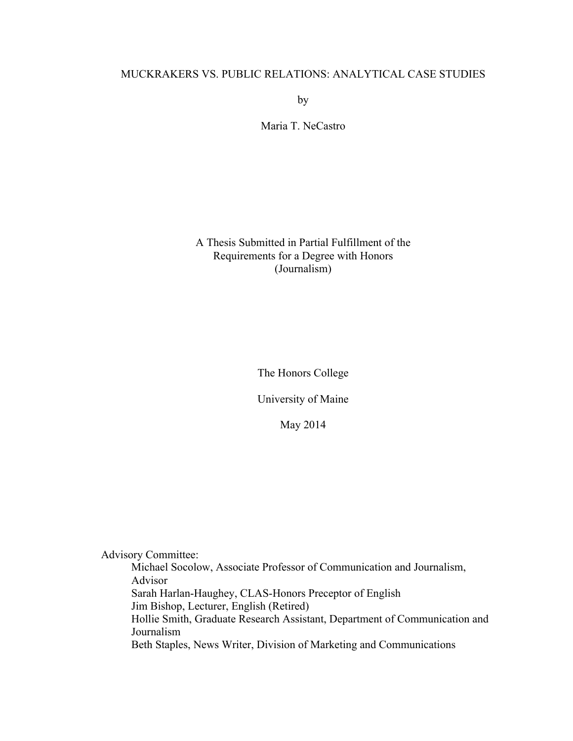# MUCKRAKERS VS. PUBLIC RELATIONS: ANALYTICAL CASE STUDIES

by

Maria T. NeCastro

A Thesis Submitted in Partial Fulfillment of the Requirements for a Degree with Honors (Journalism)

The Honors College

University of Maine

May 2014

Advisory Committee:

Michael Socolow, Associate Professor of Communication and Journalism, Advisor Sarah Harlan-Haughey, CLAS-Honors Preceptor of English Jim Bishop, Lecturer, English (Retired) Hollie Smith, Graduate Research Assistant, Department of Communication and Journalism

Beth Staples, News Writer, Division of Marketing and Communications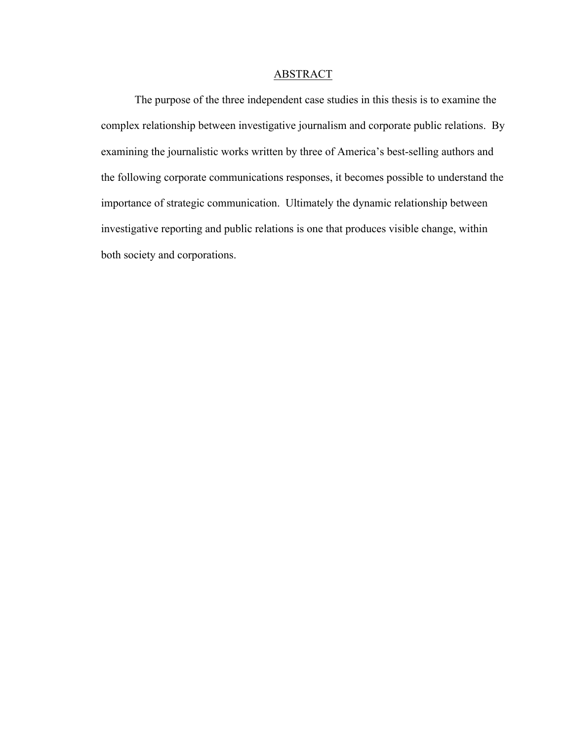#### ABSTRACT

The purpose of the three independent case studies in this thesis is to examine the complex relationship between investigative journalism and corporate public relations. By examining the journalistic works written by three of America's best-selling authors and the following corporate communications responses, it becomes possible to understand the importance of strategic communication. Ultimately the dynamic relationship between investigative reporting and public relations is one that produces visible change, within both society and corporations.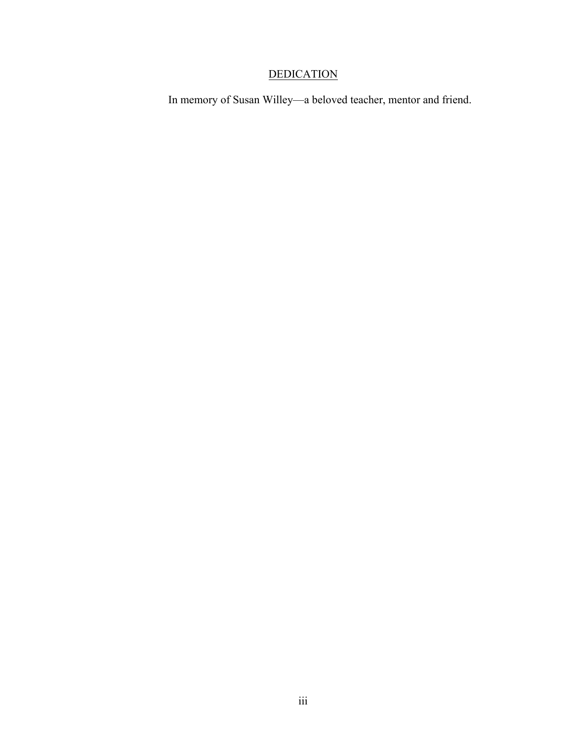# **DEDICATION**

In memory of Susan Willey—a beloved teacher, mentor and friend.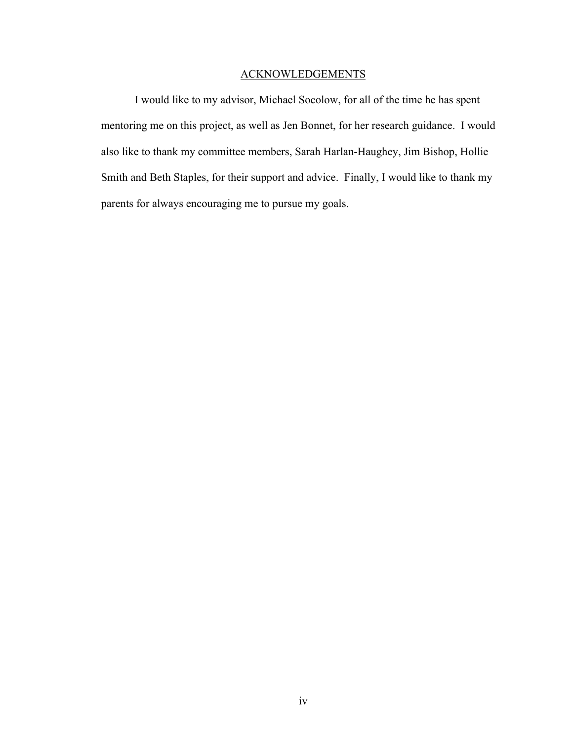# ACKNOWLEDGEMENTS

I would like to my advisor, Michael Socolow, for all of the time he has spent mentoring me on this project, as well as Jen Bonnet, for her research guidance. I would also like to thank my committee members, Sarah Harlan-Haughey, Jim Bishop, Hollie Smith and Beth Staples, for their support and advice. Finally, I would like to thank my parents for always encouraging me to pursue my goals.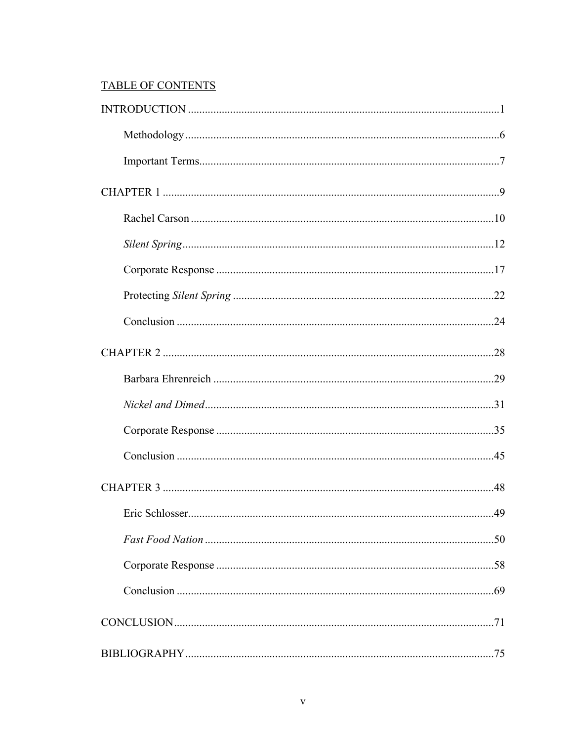# TABLE OF CONTENTS

| 50  |
|-----|
| .58 |
|     |
|     |
|     |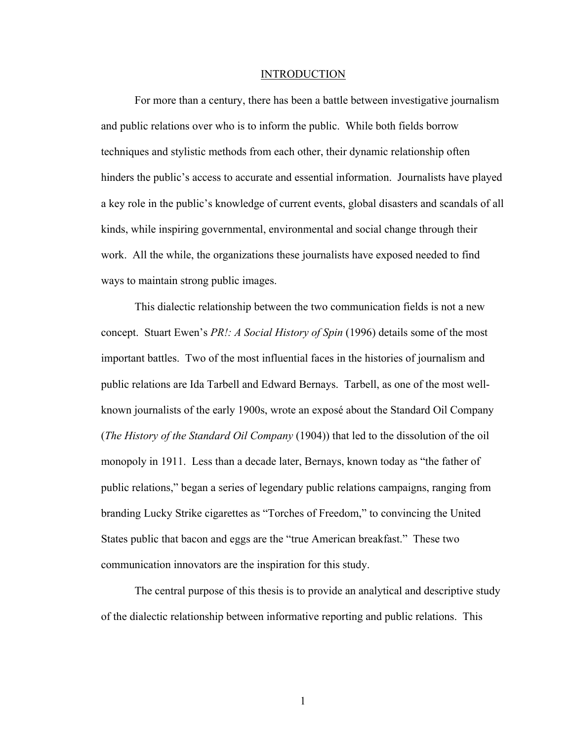#### INTRODUCTION

For more than a century, there has been a battle between investigative journalism and public relations over who is to inform the public. While both fields borrow techniques and stylistic methods from each other, their dynamic relationship often hinders the public's access to accurate and essential information. Journalists have played a key role in the public's knowledge of current events, global disasters and scandals of all kinds, while inspiring governmental, environmental and social change through their work. All the while, the organizations these journalists have exposed needed to find ways to maintain strong public images.

This dialectic relationship between the two communication fields is not a new concept. Stuart Ewen's *PR!: A Social History of Spin* (1996) details some of the most important battles. Two of the most influential faces in the histories of journalism and public relations are Ida Tarbell and Edward Bernays. Tarbell, as one of the most wellknown journalists of the early 1900s, wrote an exposé about the Standard Oil Company (*The History of the Standard Oil Company* (1904)) that led to the dissolution of the oil monopoly in 1911. Less than a decade later, Bernays, known today as "the father of public relations," began a series of legendary public relations campaigns, ranging from branding Lucky Strike cigarettes as "Torches of Freedom," to convincing the United States public that bacon and eggs are the "true American breakfast." These two communication innovators are the inspiration for this study.

The central purpose of this thesis is to provide an analytical and descriptive study of the dialectic relationship between informative reporting and public relations. This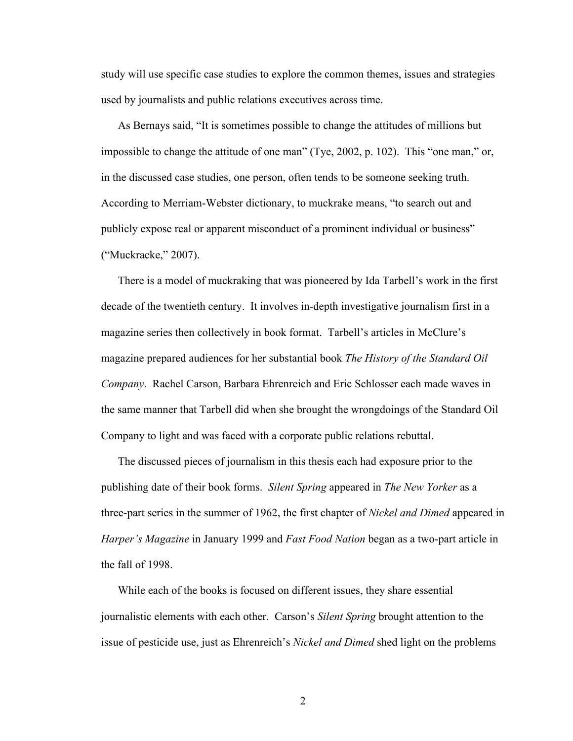study will use specific case studies to explore the common themes, issues and strategies used by journalists and public relations executives across time.

As Bernays said, "It is sometimes possible to change the attitudes of millions but impossible to change the attitude of one man" (Tye, 2002, p. 102). This "one man," or, in the discussed case studies, one person, often tends to be someone seeking truth. According to Merriam-Webster dictionary, to muckrake means, "to search out and publicly expose real or apparent misconduct of a prominent individual or business" ("Muckracke," 2007).

There is a model of muckraking that was pioneered by Ida Tarbell's work in the first decade of the twentieth century. It involves in-depth investigative journalism first in a magazine series then collectively in book format. Tarbell's articles in McClure's magazine prepared audiences for her substantial book *The History of the Standard Oil Company*. Rachel Carson, Barbara Ehrenreich and Eric Schlosser each made waves in the same manner that Tarbell did when she brought the wrongdoings of the Standard Oil Company to light and was faced with a corporate public relations rebuttal.

The discussed pieces of journalism in this thesis each had exposure prior to the publishing date of their book forms. *Silent Spring* appeared in *The New Yorker* as a three-part series in the summer of 1962, the first chapter of *Nickel and Dimed* appeared in *Harper's Magazine* in January 1999 and *Fast Food Nation* began as a two-part article in the fall of 1998.

While each of the books is focused on different issues, they share essential journalistic elements with each other. Carson's *Silent Spring* brought attention to the issue of pesticide use, just as Ehrenreich's *Nickel and Dimed* shed light on the problems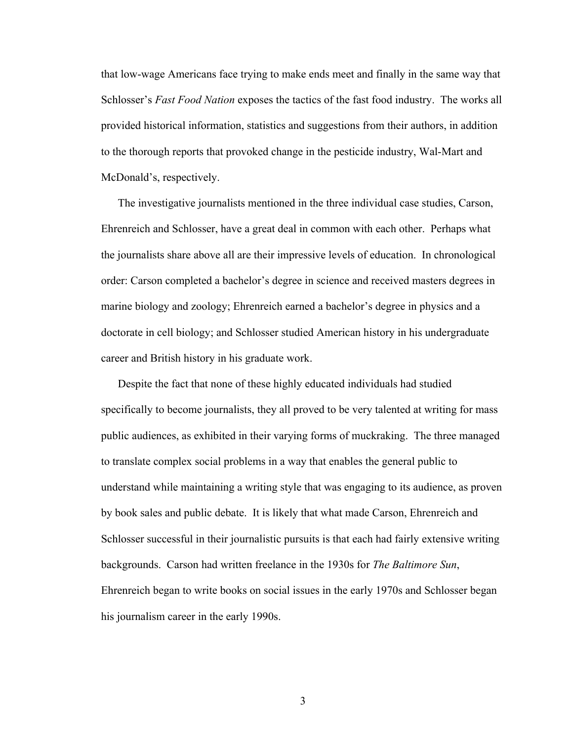that low-wage Americans face trying to make ends meet and finally in the same way that Schlosser's *Fast Food Nation* exposes the tactics of the fast food industry. The works all provided historical information, statistics and suggestions from their authors, in addition to the thorough reports that provoked change in the pesticide industry, Wal-Mart and McDonald's, respectively.

The investigative journalists mentioned in the three individual case studies, Carson, Ehrenreich and Schlosser, have a great deal in common with each other. Perhaps what the journalists share above all are their impressive levels of education. In chronological order: Carson completed a bachelor's degree in science and received masters degrees in marine biology and zoology; Ehrenreich earned a bachelor's degree in physics and a doctorate in cell biology; and Schlosser studied American history in his undergraduate career and British history in his graduate work.

Despite the fact that none of these highly educated individuals had studied specifically to become journalists, they all proved to be very talented at writing for mass public audiences, as exhibited in their varying forms of muckraking. The three managed to translate complex social problems in a way that enables the general public to understand while maintaining a writing style that was engaging to its audience, as proven by book sales and public debate. It is likely that what made Carson, Ehrenreich and Schlosser successful in their journalistic pursuits is that each had fairly extensive writing backgrounds. Carson had written freelance in the 1930s for *The Baltimore Sun*, Ehrenreich began to write books on social issues in the early 1970s and Schlosser began his journalism career in the early 1990s.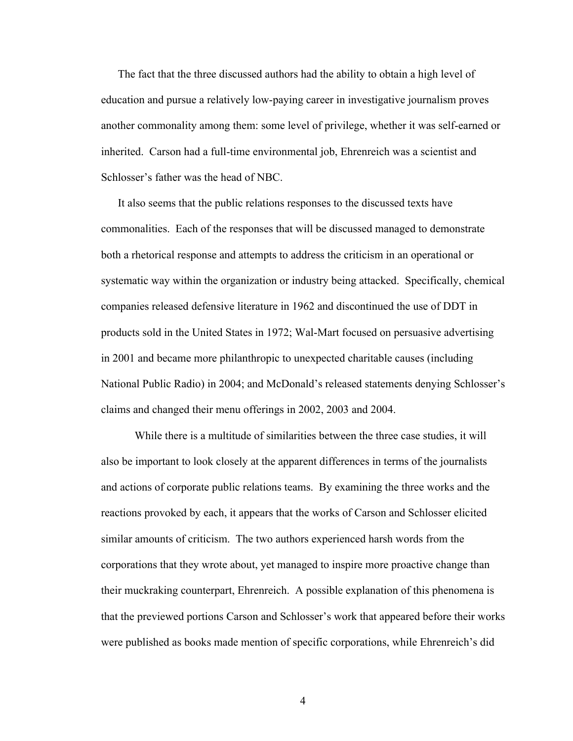The fact that the three discussed authors had the ability to obtain a high level of education and pursue a relatively low-paying career in investigative journalism proves another commonality among them: some level of privilege, whether it was self-earned or inherited. Carson had a full-time environmental job, Ehrenreich was a scientist and Schlosser's father was the head of NBC.

It also seems that the public relations responses to the discussed texts have commonalities. Each of the responses that will be discussed managed to demonstrate both a rhetorical response and attempts to address the criticism in an operational or systematic way within the organization or industry being attacked. Specifically, chemical companies released defensive literature in 1962 and discontinued the use of DDT in products sold in the United States in 1972; Wal-Mart focused on persuasive advertising in 2001 and became more philanthropic to unexpected charitable causes (including National Public Radio) in 2004; and McDonald's released statements denying Schlosser's claims and changed their menu offerings in 2002, 2003 and 2004.

While there is a multitude of similarities between the three case studies, it will also be important to look closely at the apparent differences in terms of the journalists and actions of corporate public relations teams. By examining the three works and the reactions provoked by each, it appears that the works of Carson and Schlosser elicited similar amounts of criticism. The two authors experienced harsh words from the corporations that they wrote about, yet managed to inspire more proactive change than their muckraking counterpart, Ehrenreich. A possible explanation of this phenomena is that the previewed portions Carson and Schlosser's work that appeared before their works were published as books made mention of specific corporations, while Ehrenreich's did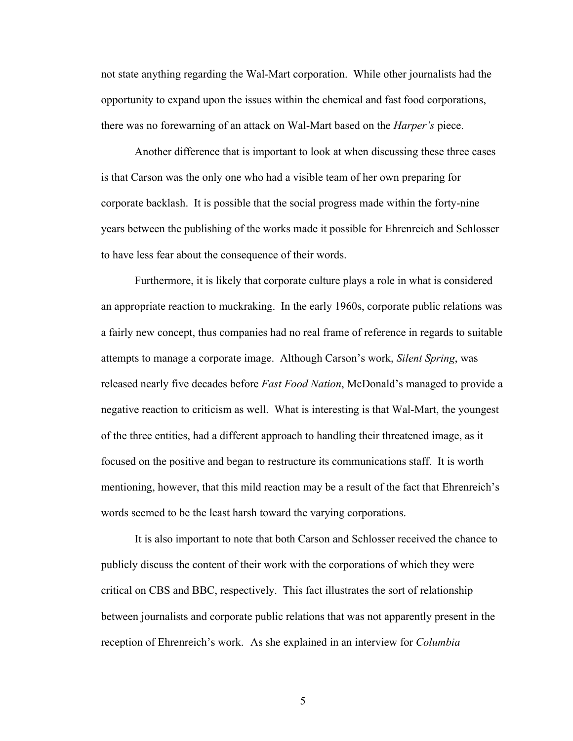not state anything regarding the Wal-Mart corporation. While other journalists had the opportunity to expand upon the issues within the chemical and fast food corporations, there was no forewarning of an attack on Wal-Mart based on the *Harper's* piece.

Another difference that is important to look at when discussing these three cases is that Carson was the only one who had a visible team of her own preparing for corporate backlash. It is possible that the social progress made within the forty-nine years between the publishing of the works made it possible for Ehrenreich and Schlosser to have less fear about the consequence of their words.

Furthermore, it is likely that corporate culture plays a role in what is considered an appropriate reaction to muckraking. In the early 1960s, corporate public relations was a fairly new concept, thus companies had no real frame of reference in regards to suitable attempts to manage a corporate image. Although Carson's work, *Silent Spring*, was released nearly five decades before *Fast Food Nation*, McDonald's managed to provide a negative reaction to criticism as well. What is interesting is that Wal-Mart, the youngest of the three entities, had a different approach to handling their threatened image, as it focused on the positive and began to restructure its communications staff. It is worth mentioning, however, that this mild reaction may be a result of the fact that Ehrenreich's words seemed to be the least harsh toward the varying corporations.

It is also important to note that both Carson and Schlosser received the chance to publicly discuss the content of their work with the corporations of which they were critical on CBS and BBC, respectively. This fact illustrates the sort of relationship between journalists and corporate public relations that was not apparently present in the reception of Ehrenreich's work. As she explained in an interview for *Columbia*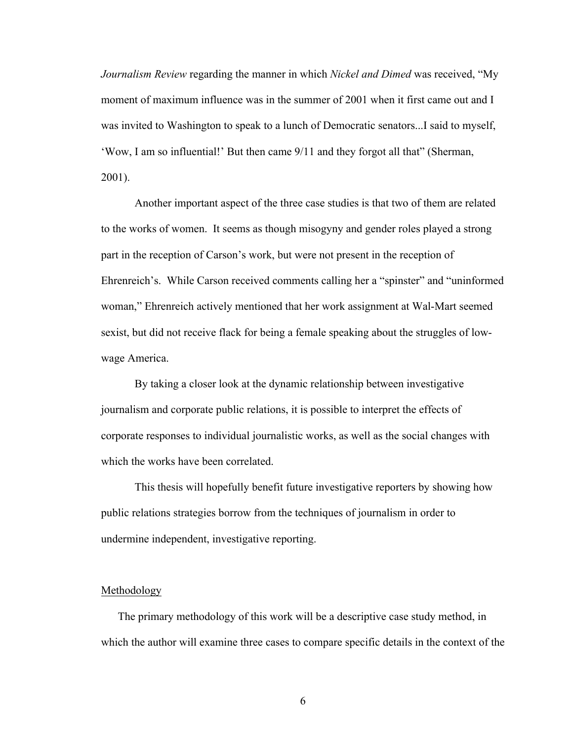*Journalism Review* regarding the manner in which *Nickel and Dimed* was received, "My moment of maximum influence was in the summer of 2001 when it first came out and I was invited to Washington to speak to a lunch of Democratic senators...I said to myself, 'Wow, I am so influential!' But then came 9/11 and they forgot all that" (Sherman, 2001).

Another important aspect of the three case studies is that two of them are related to the works of women. It seems as though misogyny and gender roles played a strong part in the reception of Carson's work, but were not present in the reception of Ehrenreich's. While Carson received comments calling her a "spinster" and "uninformed woman," Ehrenreich actively mentioned that her work assignment at Wal-Mart seemed sexist, but did not receive flack for being a female speaking about the struggles of lowwage America.

By taking a closer look at the dynamic relationship between investigative journalism and corporate public relations, it is possible to interpret the effects of corporate responses to individual journalistic works, as well as the social changes with which the works have been correlated.

This thesis will hopefully benefit future investigative reporters by showing how public relations strategies borrow from the techniques of journalism in order to undermine independent, investigative reporting.

#### Methodology

The primary methodology of this work will be a descriptive case study method, in which the author will examine three cases to compare specific details in the context of the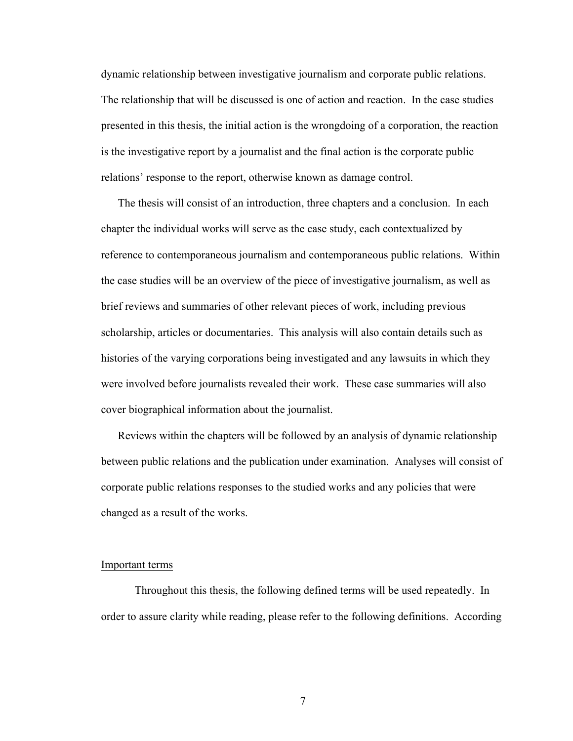dynamic relationship between investigative journalism and corporate public relations. The relationship that will be discussed is one of action and reaction. In the case studies presented in this thesis, the initial action is the wrongdoing of a corporation, the reaction is the investigative report by a journalist and the final action is the corporate public relations' response to the report, otherwise known as damage control.

The thesis will consist of an introduction, three chapters and a conclusion. In each chapter the individual works will serve as the case study, each contextualized by reference to contemporaneous journalism and contemporaneous public relations. Within the case studies will be an overview of the piece of investigative journalism, as well as brief reviews and summaries of other relevant pieces of work, including previous scholarship, articles or documentaries. This analysis will also contain details such as histories of the varying corporations being investigated and any lawsuits in which they were involved before journalists revealed their work. These case summaries will also cover biographical information about the journalist.

Reviews within the chapters will be followed by an analysis of dynamic relationship between public relations and the publication under examination. Analyses will consist of corporate public relations responses to the studied works and any policies that were changed as a result of the works.

## Important terms

Throughout this thesis, the following defined terms will be used repeatedly. In order to assure clarity while reading, please refer to the following definitions. According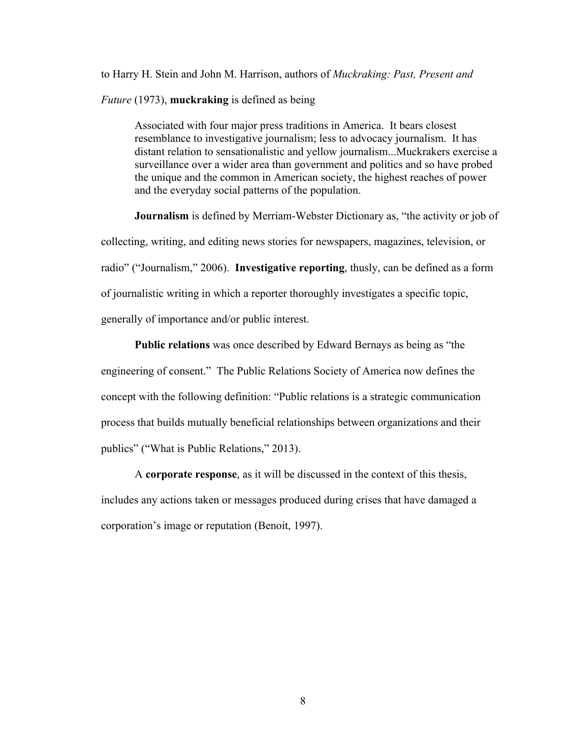to Harry H. Stein and John M. Harrison, authors of *Muckraking: Past, Present and* 

*Future* (1973), **muckraking** is defined as being

Associated with four major press traditions in America. It bears closest resemblance to investigative journalism; less to advocacy journalism. It has distant relation to sensationalistic and yellow journalism...Muckrakers exercise a surveillance over a wider area than government and politics and so have probed the unique and the common in American society, the highest reaches of power and the everyday social patterns of the population.

**Journalism** is defined by Merriam-Webster Dictionary as, "the activity or job of collecting, writing, and editing news stories for newspapers, magazines, television, or radio" ("Journalism," 2006). **Investigative reporting**, thusly, can be defined as a form of journalistic writing in which a reporter thoroughly investigates a specific topic, generally of importance and/or public interest.

**Public relations** was once described by Edward Bernays as being as "the engineering of consent." The Public Relations Society of America now defines the concept with the following definition: "Public relations is a strategic communication process that builds mutually beneficial relationships between organizations and their publics" ("What is Public Relations," 2013).

A **corporate response**, as it will be discussed in the context of this thesis, includes any actions taken or messages produced during crises that have damaged a corporation's image or reputation (Benoit, 1997).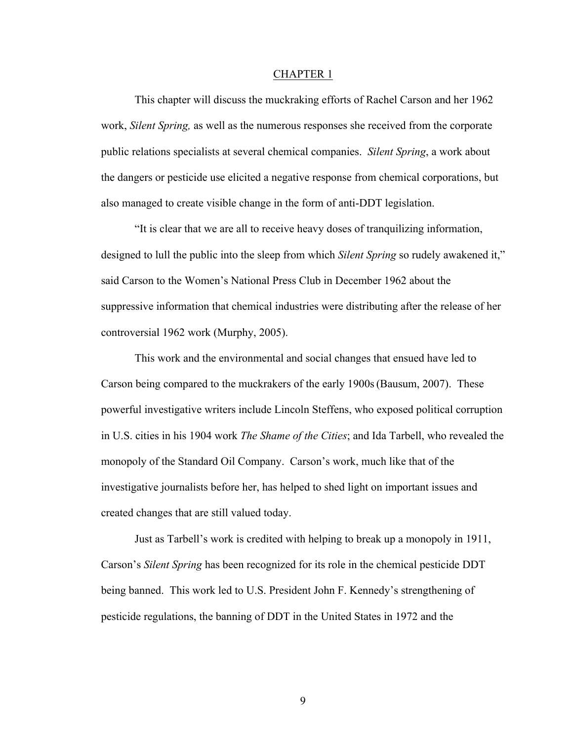#### CHAPTER 1

This chapter will discuss the muckraking efforts of Rachel Carson and her 1962 work, *Silent Spring,* as well as the numerous responses she received from the corporate public relations specialists at several chemical companies. *Silent Spring*, a work about the dangers or pesticide use elicited a negative response from chemical corporations, but also managed to create visible change in the form of anti-DDT legislation.

"It is clear that we are all to receive heavy doses of tranquilizing information, designed to lull the public into the sleep from which *Silent Spring* so rudely awakened it," said Carson to the Women's National Press Club in December 1962 about the suppressive information that chemical industries were distributing after the release of her controversial 1962 work (Murphy, 2005).

This work and the environmental and social changes that ensued have led to Carson being compared to the muckrakers of the early 1900s(Bausum, 2007). These powerful investigative writers include Lincoln Steffens, who exposed political corruption in U.S. cities in his 1904 work *The Shame of the Cities*; and Ida Tarbell, who revealed the monopoly of the Standard Oil Company. Carson's work, much like that of the investigative journalists before her, has helped to shed light on important issues and created changes that are still valued today.

Just as Tarbell's work is credited with helping to break up a monopoly in 1911, Carson's *Silent Spring* has been recognized for its role in the chemical pesticide DDT being banned. This work led to U.S. President John F. Kennedy's strengthening of pesticide regulations, the banning of DDT in the United States in 1972 and the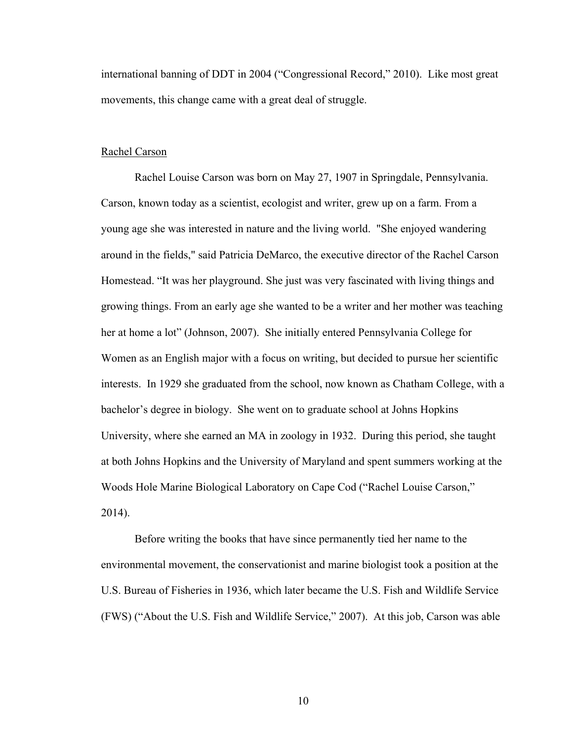international banning of DDT in 2004 ("Congressional Record," 2010). Like most great movements, this change came with a great deal of struggle.

## Rachel Carson

Rachel Louise Carson was born on May 27, 1907 in Springdale, Pennsylvania. Carson, known today as a scientist, ecologist and writer, grew up on a farm. From a young age she was interested in nature and the living world. "She enjoyed wandering around in the fields," said Patricia DeMarco, the executive director of the Rachel Carson Homestead. "It was her playground. She just was very fascinated with living things and growing things. From an early age she wanted to be a writer and her mother was teaching her at home a lot" (Johnson, 2007). She initially entered Pennsylvania College for Women as an English major with a focus on writing, but decided to pursue her scientific interests. In 1929 she graduated from the school, now known as Chatham College, with a bachelor's degree in biology. She went on to graduate school at Johns Hopkins University, where she earned an MA in zoology in 1932. During this period, she taught at both Johns Hopkins and the University of Maryland and spent summers working at the Woods Hole Marine Biological Laboratory on Cape Cod ("Rachel Louise Carson," 2014).

Before writing the books that have since permanently tied her name to the environmental movement, the conservationist and marine biologist took a position at the U.S. Bureau of Fisheries in 1936, which later became the U.S. Fish and Wildlife Service (FWS) ("About the U.S. Fish and Wildlife Service," 2007). At this job, Carson was able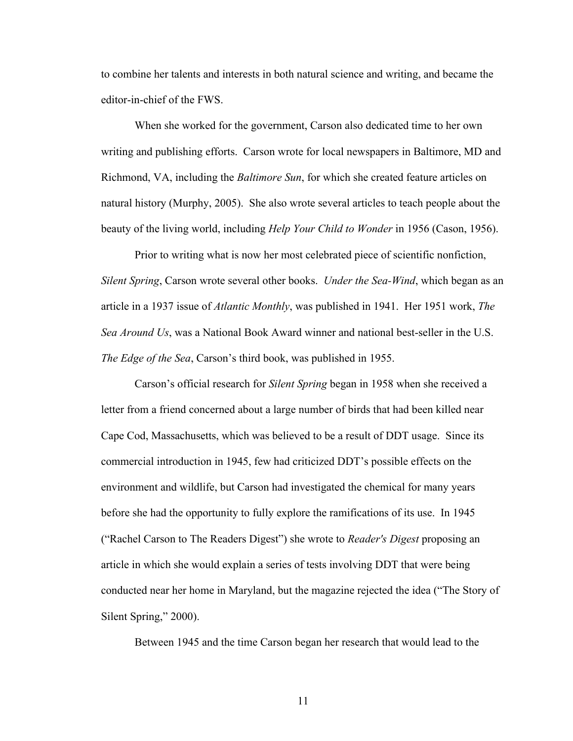to combine her talents and interests in both natural science and writing, and became the editor-in-chief of the FWS.

When she worked for the government, Carson also dedicated time to her own writing and publishing efforts. Carson wrote for local newspapers in Baltimore, MD and Richmond, VA, including the *Baltimore Sun*, for which she created feature articles on natural history (Murphy, 2005). She also wrote several articles to teach people about the beauty of the living world, including *Help Your Child to Wonder* in 1956 (Cason, 1956).

Prior to writing what is now her most celebrated piece of scientific nonfiction, *Silent Spring*, Carson wrote several other books. *Under the Sea-Wind*, which began as an article in a 1937 issue of *Atlantic Monthly*, was published in 1941. Her 1951 work, *The Sea Around Us*, was a National Book Award winner and national best-seller in the U.S. *The Edge of the Sea*, Carson's third book, was published in 1955.

Carson's official research for *Silent Spring* began in 1958 when she received a letter from a friend concerned about a large number of birds that had been killed near Cape Cod, Massachusetts, which was believed to be a result of DDT usage. Since its commercial introduction in 1945, few had criticized DDT's possible effects on the environment and wildlife, but Carson had investigated the chemical for many years before she had the opportunity to fully explore the ramifications of its use. In 1945 ("Rachel Carson to The Readers Digest") she wrote to *Reader's Digest* proposing an article in which she would explain a series of tests involving DDT that were being conducted near her home in Maryland, but the magazine rejected the idea ("The Story of Silent Spring," 2000).

Between 1945 and the time Carson began her research that would lead to the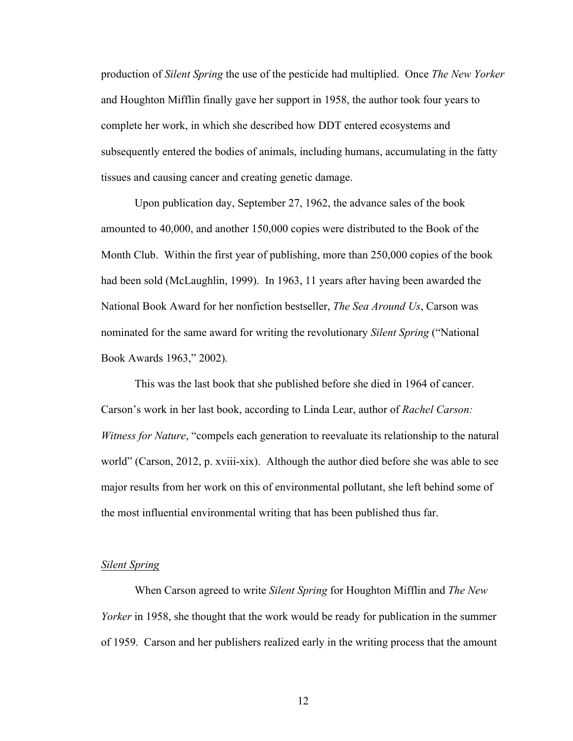production of *Silent Spring* the use of the pesticide had multiplied. Once *The New Yorker* and Houghton Mifflin finally gave her support in 1958, the author took four years to complete her work, in which she described how DDT entered ecosystems and subsequently entered the bodies of animals, including humans, accumulating in the fatty tissues and causing cancer and creating genetic damage.

Upon publication day, September 27, 1962, the advance sales of the book amounted to 40,000, and another 150,000 copies were distributed to the Book of the Month Club. Within the first year of publishing, more than 250,000 copies of the book had been sold (McLaughlin, 1999). In 1963, 11 years after having been awarded the National Book Award for her nonfiction bestseller, *The Sea Around Us*, Carson was nominated for the same award for writing the revolutionary *Silent Spring* ("National Book Awards 1963," 2002)*.*

This was the last book that she published before she died in 1964 of cancer. Carson's work in her last book, according to Linda Lear, author of *Rachel Carson: Witness for Nature*, "compels each generation to reevaluate its relationship to the natural world" (Carson, 2012, p. xviii-xix). Although the author died before she was able to see major results from her work on this of environmental pollutant, she left behind some of the most influential environmental writing that has been published thus far.

#### *Silent Spring*

When Carson agreed to write *Silent Spring* for Houghton Mifflin and *The New Yorker* in 1958, she thought that the work would be ready for publication in the summer of 1959. Carson and her publishers realized early in the writing process that the amount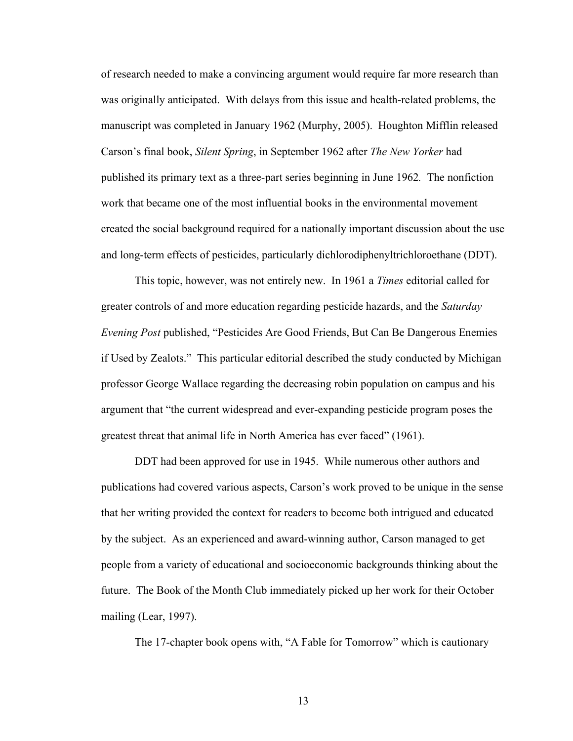of research needed to make a convincing argument would require far more research than was originally anticipated. With delays from this issue and health-related problems, the manuscript was completed in January 1962 (Murphy, 2005). Houghton Mifflin released Carson's final book, *Silent Spring*, in September 1962 after *The New Yorker* had published its primary text as a three-part series beginning in June 1962*.* The nonfiction work that became one of the most influential books in the environmental movement created the social background required for a nationally important discussion about the use and long-term effects of pesticides, particularly dichlorodiphenyltrichloroethane (DDT).

This topic, however, was not entirely new. In 1961 a *Times* editorial called for greater controls of and more education regarding pesticide hazards, and the *Saturday Evening Post* published, "Pesticides Are Good Friends, But Can Be Dangerous Enemies if Used by Zealots." This particular editorial described the study conducted by Michigan professor George Wallace regarding the decreasing robin population on campus and his argument that "the current widespread and ever-expanding pesticide program poses the greatest threat that animal life in North America has ever faced" (1961).

DDT had been approved for use in 1945. While numerous other authors and publications had covered various aspects, Carson's work proved to be unique in the sense that her writing provided the context for readers to become both intrigued and educated by the subject. As an experienced and award-winning author, Carson managed to get people from a variety of educational and socioeconomic backgrounds thinking about the future. The Book of the Month Club immediately picked up her work for their October mailing (Lear, 1997).

The 17-chapter book opens with, "A Fable for Tomorrow" which is cautionary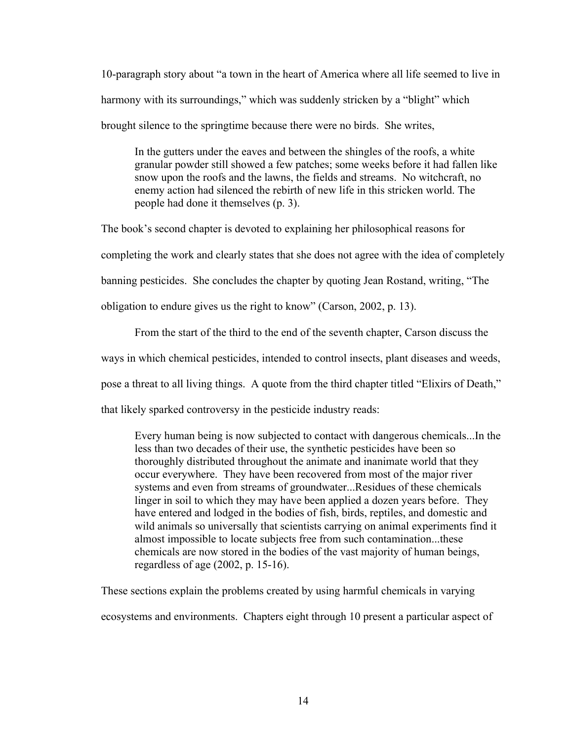10-paragraph story about "a town in the heart of America where all life seemed to live in harmony with its surroundings," which was suddenly stricken by a "blight" which brought silence to the springtime because there were no birds. She writes,

In the gutters under the eaves and between the shingles of the roofs, a white granular powder still showed a few patches; some weeks before it had fallen like snow upon the roofs and the lawns, the fields and streams. No witchcraft, no enemy action had silenced the rebirth of new life in this stricken world. The people had done it themselves (p. 3).

The book's second chapter is devoted to explaining her philosophical reasons for completing the work and clearly states that she does not agree with the idea of completely banning pesticides. She concludes the chapter by quoting Jean Rostand, writing, "The obligation to endure gives us the right to know" (Carson, 2002, p. 13).

From the start of the third to the end of the seventh chapter, Carson discuss the

ways in which chemical pesticides, intended to control insects, plant diseases and weeds,

pose a threat to all living things. A quote from the third chapter titled "Elixirs of Death,"

that likely sparked controversy in the pesticide industry reads:

Every human being is now subjected to contact with dangerous chemicals...In the less than two decades of their use, the synthetic pesticides have been so thoroughly distributed throughout the animate and inanimate world that they occur everywhere. They have been recovered from most of the major river systems and even from streams of groundwater...Residues of these chemicals linger in soil to which they may have been applied a dozen years before. They have entered and lodged in the bodies of fish, birds, reptiles, and domestic and wild animals so universally that scientists carrying on animal experiments find it almost impossible to locate subjects free from such contamination...these chemicals are now stored in the bodies of the vast majority of human beings, regardless of age (2002, p. 15-16).

These sections explain the problems created by using harmful chemicals in varying ecosystems and environments. Chapters eight through 10 present a particular aspect of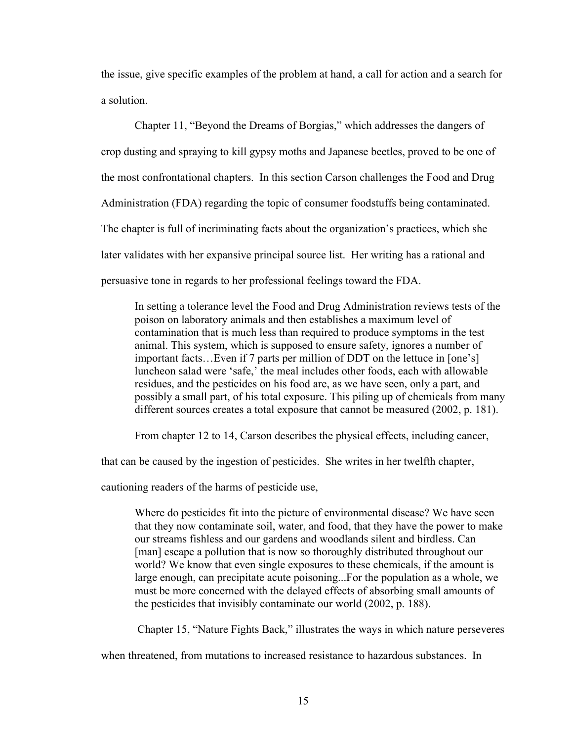the issue, give specific examples of the problem at hand, a call for action and a search for a solution.

Chapter 11, "Beyond the Dreams of Borgias," which addresses the dangers of crop dusting and spraying to kill gypsy moths and Japanese beetles, proved to be one of the most confrontational chapters. In this section Carson challenges the Food and Drug Administration (FDA) regarding the topic of consumer foodstuffs being contaminated. The chapter is full of incriminating facts about the organization's practices, which she later validates with her expansive principal source list. Her writing has a rational and persuasive tone in regards to her professional feelings toward the FDA.

In setting a tolerance level the Food and Drug Administration reviews tests of the poison on laboratory animals and then establishes a maximum level of contamination that is much less than required to produce symptoms in the test animal. This system, which is supposed to ensure safety, ignores a number of important facts…Even if 7 parts per million of DDT on the lettuce in [one's] luncheon salad were 'safe,' the meal includes other foods, each with allowable residues, and the pesticides on his food are, as we have seen, only a part, and possibly a small part, of his total exposure. This piling up of chemicals from many different sources creates a total exposure that cannot be measured (2002, p. 181).

From chapter 12 to 14, Carson describes the physical effects, including cancer,

that can be caused by the ingestion of pesticides. She writes in her twelfth chapter,

cautioning readers of the harms of pesticide use,

Where do pesticides fit into the picture of environmental disease? We have seen that they now contaminate soil, water, and food, that they have the power to make our streams fishless and our gardens and woodlands silent and birdless. Can [man] escape a pollution that is now so thoroughly distributed throughout our world? We know that even single exposures to these chemicals, if the amount is large enough, can precipitate acute poisoning...For the population as a whole, we must be more concerned with the delayed effects of absorbing small amounts of the pesticides that invisibly contaminate our world (2002, p. 188).

Chapter 15, "Nature Fights Back," illustrates the ways in which nature perseveres

when threatened, from mutations to increased resistance to hazardous substances. In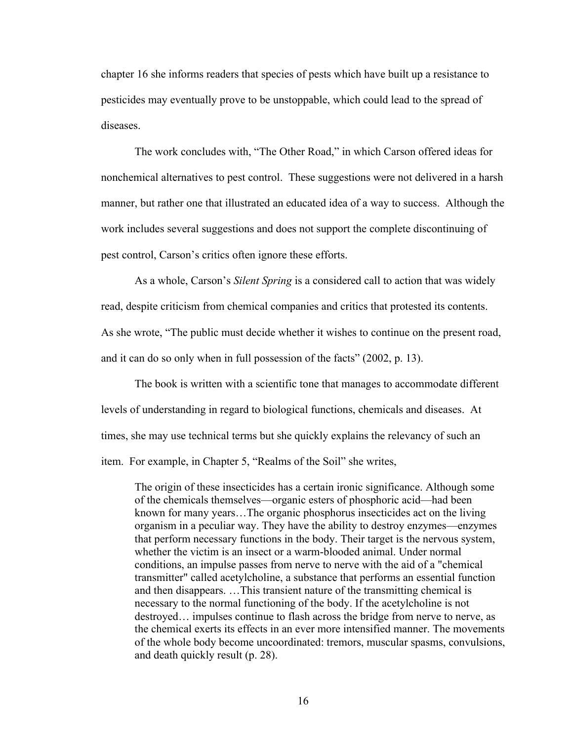chapter 16 she informs readers that species of pests which have built up a resistance to pesticides may eventually prove to be unstoppable, which could lead to the spread of diseases.

The work concludes with, "The Other Road," in which Carson offered ideas for nonchemical alternatives to pest control. These suggestions were not delivered in a harsh manner, but rather one that illustrated an educated idea of a way to success. Although the work includes several suggestions and does not support the complete discontinuing of pest control, Carson's critics often ignore these efforts.

As a whole, Carson's *Silent Spring* is a considered call to action that was widely read, despite criticism from chemical companies and critics that protested its contents. As she wrote, "The public must decide whether it wishes to continue on the present road, and it can do so only when in full possession of the facts" (2002, p. 13).

The book is written with a scientific tone that manages to accommodate different levels of understanding in regard to biological functions, chemicals and diseases. At times, she may use technical terms but she quickly explains the relevancy of such an item. For example, in Chapter 5, "Realms of the Soil" she writes,

The origin of these insecticides has a certain ironic significance. Although some of the chemicals themselves—organic esters of phosphoric acid—had been known for many years…The organic phosphorus insecticides act on the living organism in a peculiar way. They have the ability to destroy enzymes—enzymes that perform necessary functions in the body. Their target is the nervous system, whether the victim is an insect or a warm-blooded animal. Under normal conditions, an impulse passes from nerve to nerve with the aid of a "chemical transmitter" called acetylcholine, a substance that performs an essential function and then disappears. …This transient nature of the transmitting chemical is necessary to the normal functioning of the body. If the acetylcholine is not destroyed… impulses continue to flash across the bridge from nerve to nerve, as the chemical exerts its effects in an ever more intensified manner. The movements of the whole body become uncoordinated: tremors, muscular spasms, convulsions, and death quickly result (p. 28).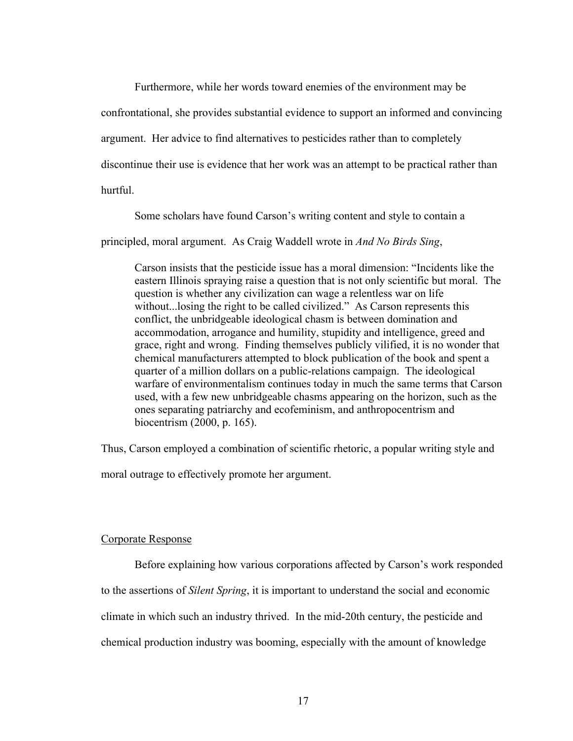Furthermore, while her words toward enemies of the environment may be

confrontational, she provides substantial evidence to support an informed and convincing

argument. Her advice to find alternatives to pesticides rather than to completely

discontinue their use is evidence that her work was an attempt to be practical rather than

hurtful.

Some scholars have found Carson's writing content and style to contain a

principled, moral argument. As Craig Waddell wrote in *And No Birds Sing*,

Carson insists that the pesticide issue has a moral dimension: "Incidents like the eastern Illinois spraying raise a question that is not only scientific but moral. The question is whether any civilization can wage a relentless war on life without...losing the right to be called civilized." As Carson represents this conflict, the unbridgeable ideological chasm is between domination and accommodation, arrogance and humility, stupidity and intelligence, greed and grace, right and wrong. Finding themselves publicly vilified, it is no wonder that chemical manufacturers attempted to block publication of the book and spent a quarter of a million dollars on a public-relations campaign. The ideological warfare of environmentalism continues today in much the same terms that Carson used, with a few new unbridgeable chasms appearing on the horizon, such as the ones separating patriarchy and ecofeminism, and anthropocentrism and biocentrism (2000, p. 165).

Thus, Carson employed a combination of scientific rhetoric, a popular writing style and

moral outrage to effectively promote her argument.

#### Corporate Response

Before explaining how various corporations affected by Carson's work responded to the assertions of *Silent Spring*, it is important to understand the social and economic climate in which such an industry thrived. In the mid-20th century, the pesticide and chemical production industry was booming, especially with the amount of knowledge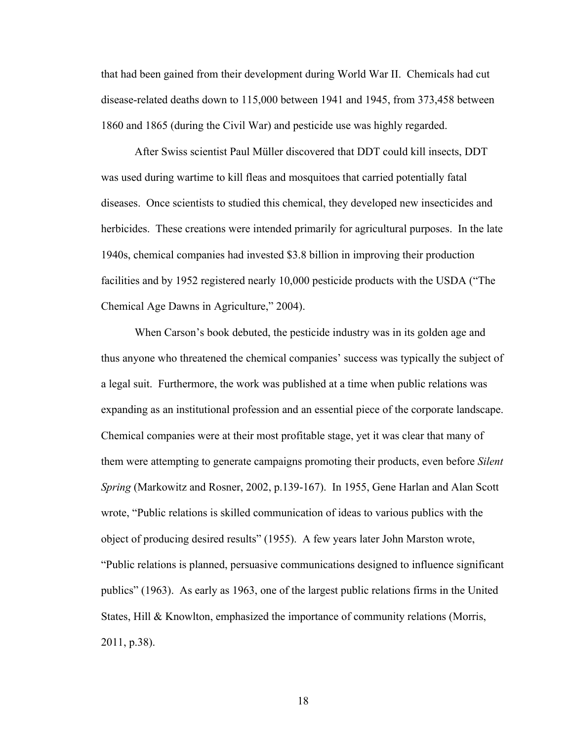that had been gained from their development during World War II. Chemicals had cut disease-related deaths down to 115,000 between 1941 and 1945, from 373,458 between 1860 and 1865 (during the Civil War) and pesticide use was highly regarded.

After Swiss scientist Paul Müller discovered that DDT could kill insects, DDT was used during wartime to kill fleas and mosquitoes that carried potentially fatal diseases. Once scientists to studied this chemical, they developed new insecticides and herbicides. These creations were intended primarily for agricultural purposes. In the late 1940s, chemical companies had invested \$3.8 billion in improving their production facilities and by 1952 registered nearly 10,000 pesticide products with the USDA ("The Chemical Age Dawns in Agriculture," 2004).

When Carson's book debuted, the pesticide industry was in its golden age and thus anyone who threatened the chemical companies' success was typically the subject of a legal suit. Furthermore, the work was published at a time when public relations was expanding as an institutional profession and an essential piece of the corporate landscape. Chemical companies were at their most profitable stage, yet it was clear that many of them were attempting to generate campaigns promoting their products, even before *Silent Spring* (Markowitz and Rosner, 2002, p.139-167). In 1955, Gene Harlan and Alan Scott wrote, "Public relations is skilled communication of ideas to various publics with the object of producing desired results" (1955). A few years later John Marston wrote, "Public relations is planned, persuasive communications designed to influence significant publics" (1963). As early as 1963, one of the largest public relations firms in the United States, Hill & Knowlton, emphasized the importance of community relations (Morris, 2011, p.38).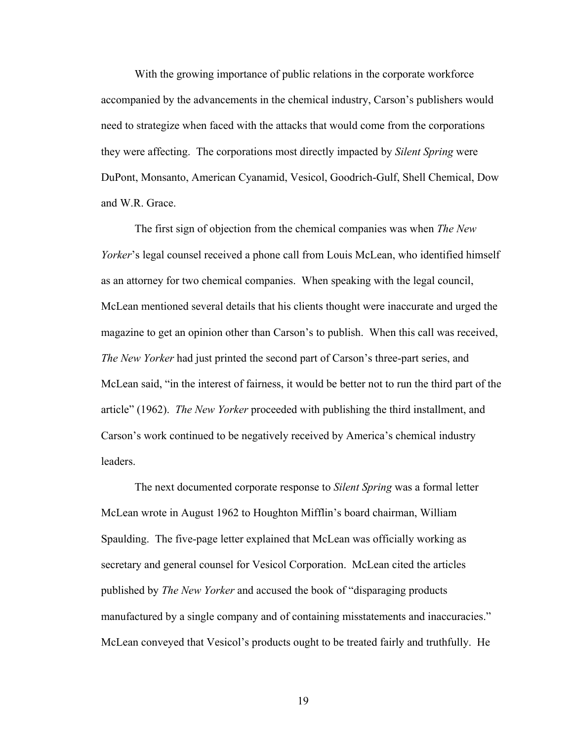With the growing importance of public relations in the corporate workforce accompanied by the advancements in the chemical industry, Carson's publishers would need to strategize when faced with the attacks that would come from the corporations they were affecting. The corporations most directly impacted by *Silent Spring* were DuPont, Monsanto, American Cyanamid, Vesicol, Goodrich-Gulf, Shell Chemical, Dow and W.R. Grace.

The first sign of objection from the chemical companies was when *The New Yorker*'s legal counsel received a phone call from Louis McLean, who identified himself as an attorney for two chemical companies. When speaking with the legal council, McLean mentioned several details that his clients thought were inaccurate and urged the magazine to get an opinion other than Carson's to publish. When this call was received, *The New Yorker* had just printed the second part of Carson's three-part series, and McLean said, "in the interest of fairness, it would be better not to run the third part of the article" (1962). *The New Yorker* proceeded with publishing the third installment, and Carson's work continued to be negatively received by America's chemical industry leaders.

The next documented corporate response to *Silent Spring* was a formal letter McLean wrote in August 1962 to Houghton Mifflin's board chairman, William Spaulding. The five-page letter explained that McLean was officially working as secretary and general counsel for Vesicol Corporation. McLean cited the articles published by *The New Yorker* and accused the book of "disparaging products manufactured by a single company and of containing misstatements and inaccuracies." McLean conveyed that Vesicol's products ought to be treated fairly and truthfully. He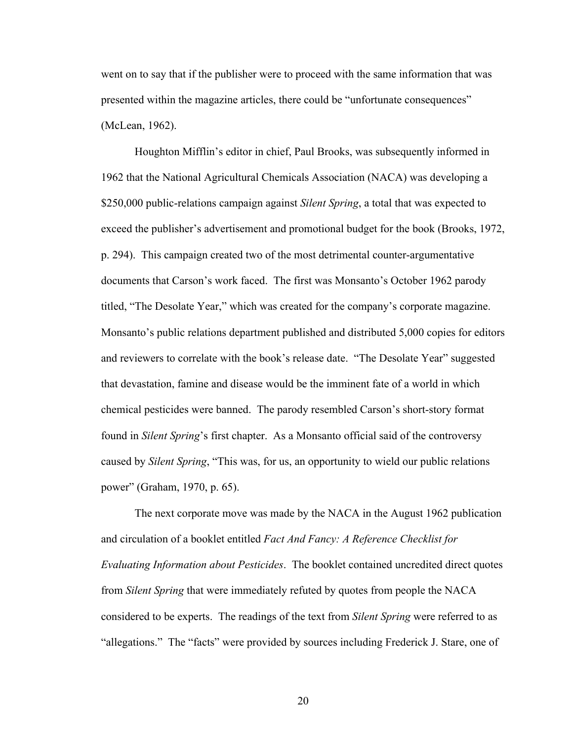went on to say that if the publisher were to proceed with the same information that was presented within the magazine articles, there could be "unfortunate consequences" (McLean, 1962).

Houghton Mifflin's editor in chief, Paul Brooks, was subsequently informed in 1962 that the National Agricultural Chemicals Association (NACA) was developing a \$250,000 public-relations campaign against *Silent Spring*, a total that was expected to exceed the publisher's advertisement and promotional budget for the book (Brooks, 1972, p. 294). This campaign created two of the most detrimental counter-argumentative documents that Carson's work faced. The first was Monsanto's October 1962 parody titled, "The Desolate Year," which was created for the company's corporate magazine. Monsanto's public relations department published and distributed 5,000 copies for editors and reviewers to correlate with the book's release date. "The Desolate Year" suggested that devastation, famine and disease would be the imminent fate of a world in which chemical pesticides were banned. The parody resembled Carson's short-story format found in *Silent Spring*'s first chapter. As a Monsanto official said of the controversy caused by *Silent Spring*, "This was, for us, an opportunity to wield our public relations power" (Graham, 1970, p. 65).

The next corporate move was made by the NACA in the August 1962 publication and circulation of a booklet entitled *Fact And Fancy: A Reference Checklist for Evaluating Information about Pesticides*. The booklet contained uncredited direct quotes from *Silent Spring* that were immediately refuted by quotes from people the NACA considered to be experts. The readings of the text from *Silent Spring* were referred to as "allegations." The "facts" were provided by sources including Frederick J. Stare, one of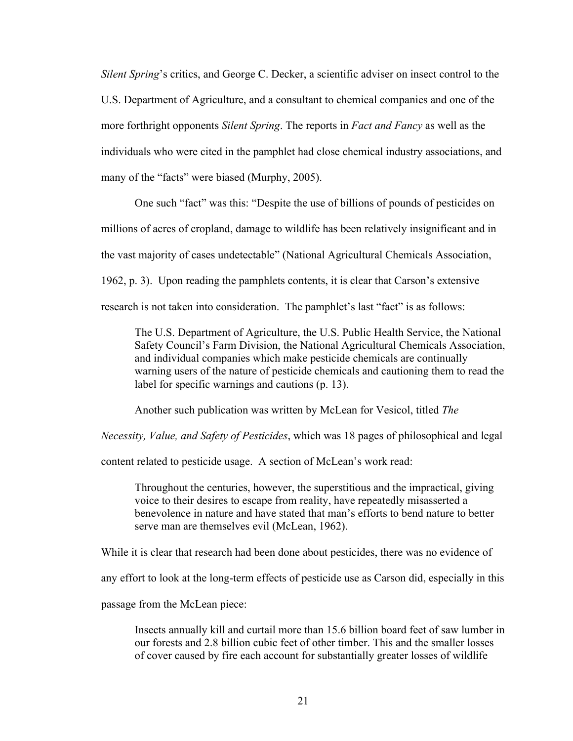*Silent Spring*'s critics, and George C. Decker, a scientific adviser on insect control to the U.S. Department of Agriculture, and a consultant to chemical companies and one of the more forthright opponents *Silent Spring*. The reports in *Fact and Fancy* as well as the individuals who were cited in the pamphlet had close chemical industry associations, and many of the "facts" were biased (Murphy, 2005).

One such "fact" was this: "Despite the use of billions of pounds of pesticides on millions of acres of cropland, damage to wildlife has been relatively insignificant and in the vast majority of cases undetectable" (National Agricultural Chemicals Association, 1962, p. 3). Upon reading the pamphlets contents, it is clear that Carson's extensive research is not taken into consideration. The pamphlet's last "fact" is as follows:

The U.S. Department of Agriculture, the U.S. Public Health Service, the National Safety Council's Farm Division, the National Agricultural Chemicals Association, and individual companies which make pesticide chemicals are continually warning users of the nature of pesticide chemicals and cautioning them to read the label for specific warnings and cautions (p. 13).

Another such publication was written by McLean for Vesicol, titled *The* 

*Necessity, Value, and Safety of Pesticides*, which was 18 pages of philosophical and legal

content related to pesticide usage. A section of McLean's work read:

Throughout the centuries, however, the superstitious and the impractical, giving voice to their desires to escape from reality, have repeatedly misasserted a benevolence in nature and have stated that man's efforts to bend nature to better serve man are themselves evil (McLean, 1962).

While it is clear that research had been done about pesticides, there was no evidence of

any effort to look at the long-term effects of pesticide use as Carson did, especially in this

passage from the McLean piece:

Insects annually kill and curtail more than 15.6 billion board feet of saw lumber in our forests and 2.8 billion cubic feet of other timber. This and the smaller losses of cover caused by fire each account for substantially greater losses of wildlife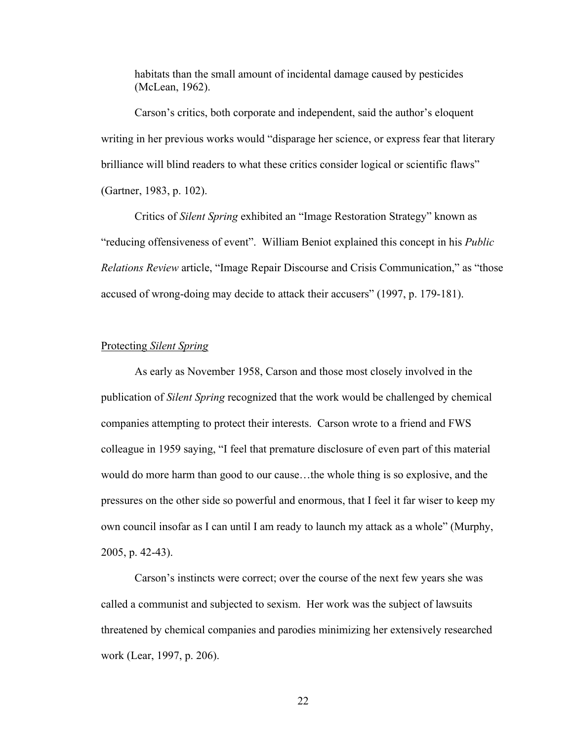habitats than the small amount of incidental damage caused by pesticides (McLean, 1962).

Carson's critics, both corporate and independent, said the author's eloquent writing in her previous works would "disparage her science, or express fear that literary brilliance will blind readers to what these critics consider logical or scientific flaws" (Gartner, 1983, p. 102).

Critics of *Silent Spring* exhibited an "Image Restoration Strategy" known as "reducing offensiveness of event". William Beniot explained this concept in his *Public Relations Review* article, "Image Repair Discourse and Crisis Communication," as "those accused of wrong-doing may decide to attack their accusers" (1997, p. 179-181).

## Protecting *Silent Spring*

As early as November 1958, Carson and those most closely involved in the publication of *Silent Spring* recognized that the work would be challenged by chemical companies attempting to protect their interests. Carson wrote to a friend and FWS colleague in 1959 saying, "I feel that premature disclosure of even part of this material would do more harm than good to our cause…the whole thing is so explosive, and the pressures on the other side so powerful and enormous, that I feel it far wiser to keep my own council insofar as I can until I am ready to launch my attack as a whole" (Murphy, 2005, p. 42-43).

Carson's instincts were correct; over the course of the next few years she was called a communist and subjected to sexism. Her work was the subject of lawsuits threatened by chemical companies and parodies minimizing her extensively researched work (Lear, 1997, p. 206).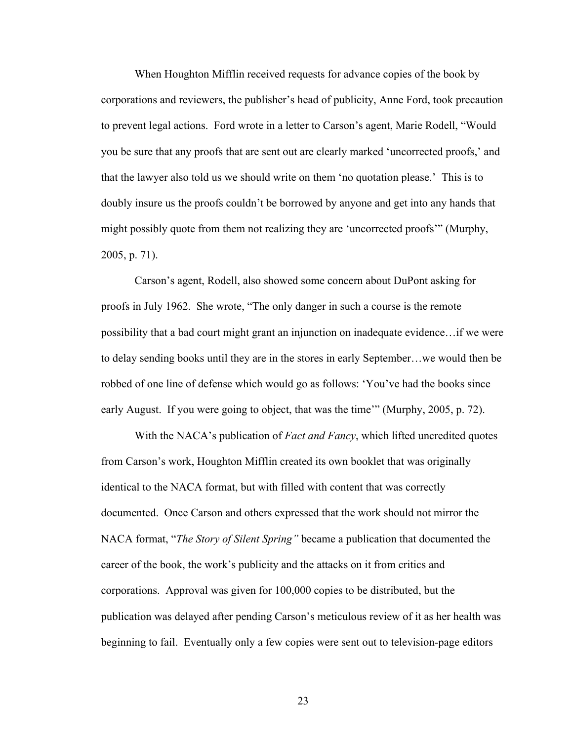When Houghton Mifflin received requests for advance copies of the book by corporations and reviewers, the publisher's head of publicity, Anne Ford, took precaution to prevent legal actions. Ford wrote in a letter to Carson's agent, Marie Rodell, "Would you be sure that any proofs that are sent out are clearly marked 'uncorrected proofs,' and that the lawyer also told us we should write on them 'no quotation please.' This is to doubly insure us the proofs couldn't be borrowed by anyone and get into any hands that might possibly quote from them not realizing they are 'uncorrected proofs'" (Murphy, 2005, p. 71).

Carson's agent, Rodell, also showed some concern about DuPont asking for proofs in July 1962. She wrote, "The only danger in such a course is the remote possibility that a bad court might grant an injunction on inadequate evidence…if we were to delay sending books until they are in the stores in early September…we would then be robbed of one line of defense which would go as follows: 'You've had the books since early August. If you were going to object, that was the time'" (Murphy, 2005, p. 72).

With the NACA's publication of *Fact and Fancy*, which lifted uncredited quotes from Carson's work, Houghton Mifflin created its own booklet that was originally identical to the NACA format, but with filled with content that was correctly documented. Once Carson and others expressed that the work should not mirror the NACA format, "*The Story of Silent Spring"* became a publication that documented the career of the book, the work's publicity and the attacks on it from critics and corporations. Approval was given for 100,000 copies to be distributed, but the publication was delayed after pending Carson's meticulous review of it as her health was beginning to fail. Eventually only a few copies were sent out to television-page editors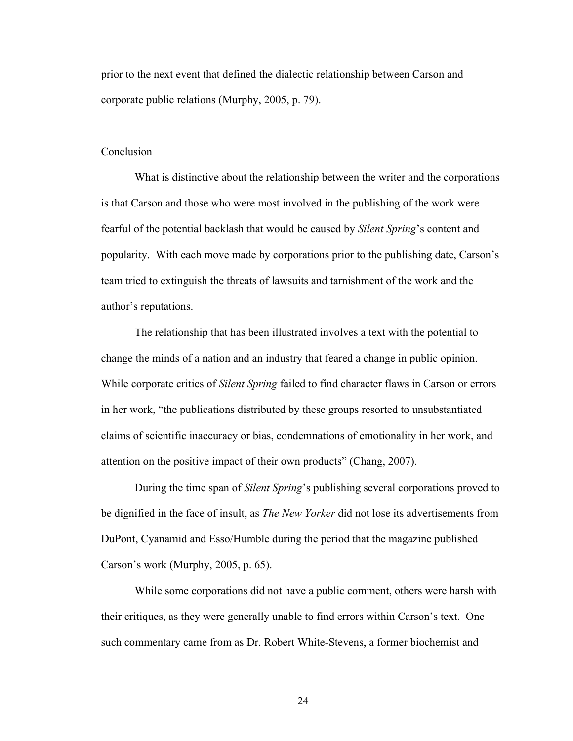prior to the next event that defined the dialectic relationship between Carson and corporate public relations (Murphy, 2005, p. 79).

## Conclusion

What is distinctive about the relationship between the writer and the corporations is that Carson and those who were most involved in the publishing of the work were fearful of the potential backlash that would be caused by *Silent Spring*'s content and popularity. With each move made by corporations prior to the publishing date, Carson's team tried to extinguish the threats of lawsuits and tarnishment of the work and the author's reputations.

The relationship that has been illustrated involves a text with the potential to change the minds of a nation and an industry that feared a change in public opinion. While corporate critics of *Silent Spring* failed to find character flaws in Carson or errors in her work, "the publications distributed by these groups resorted to unsubstantiated claims of scientific inaccuracy or bias, condemnations of emotionality in her work, and attention on the positive impact of their own products" (Chang, 2007).

During the time span of *Silent Spring*'s publishing several corporations proved to be dignified in the face of insult, as *The New Yorker* did not lose its advertisements from DuPont, Cyanamid and Esso/Humble during the period that the magazine published Carson's work (Murphy, 2005, p. 65).

While some corporations did not have a public comment, others were harsh with their critiques, as they were generally unable to find errors within Carson's text. One such commentary came from as Dr. Robert White-Stevens, a former biochemist and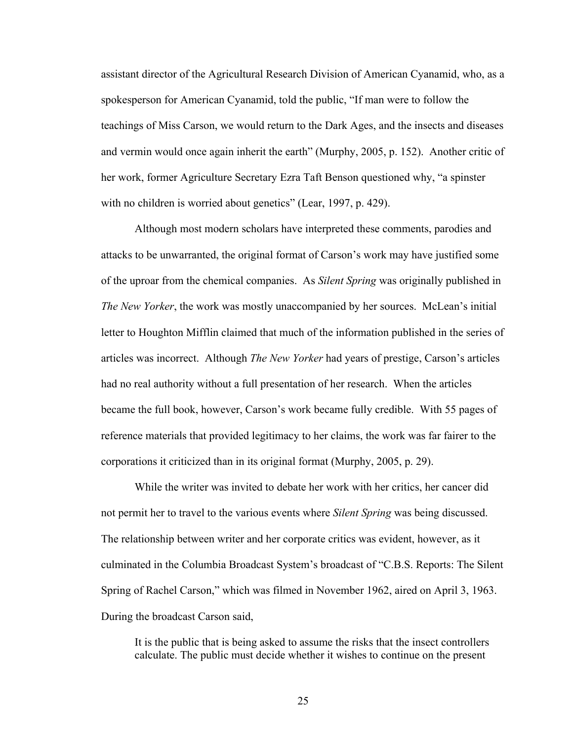assistant director of the Agricultural Research Division of American Cyanamid, who, as a spokesperson for American Cyanamid, told the public, "If man were to follow the teachings of Miss Carson, we would return to the Dark Ages, and the insects and diseases and vermin would once again inherit the earth" (Murphy, 2005, p. 152). Another critic of her work, former Agriculture Secretary Ezra Taft Benson questioned why, "a spinster with no children is worried about genetics" (Lear, 1997, p. 429).

Although most modern scholars have interpreted these comments, parodies and attacks to be unwarranted, the original format of Carson's work may have justified some of the uproar from the chemical companies. As *Silent Spring* was originally published in *The New Yorker*, the work was mostly unaccompanied by her sources. McLean's initial letter to Houghton Mifflin claimed that much of the information published in the series of articles was incorrect. Although *The New Yorker* had years of prestige, Carson's articles had no real authority without a full presentation of her research. When the articles became the full book, however, Carson's work became fully credible. With 55 pages of reference materials that provided legitimacy to her claims, the work was far fairer to the corporations it criticized than in its original format (Murphy, 2005, p. 29).

While the writer was invited to debate her work with her critics, her cancer did not permit her to travel to the various events where *Silent Spring* was being discussed. The relationship between writer and her corporate critics was evident, however, as it culminated in the Columbia Broadcast System's broadcast of "C.B.S. Reports: The Silent Spring of Rachel Carson," which was filmed in November 1962, aired on April 3, 1963. During the broadcast Carson said,

It is the public that is being asked to assume the risks that the insect controllers calculate. The public must decide whether it wishes to continue on the present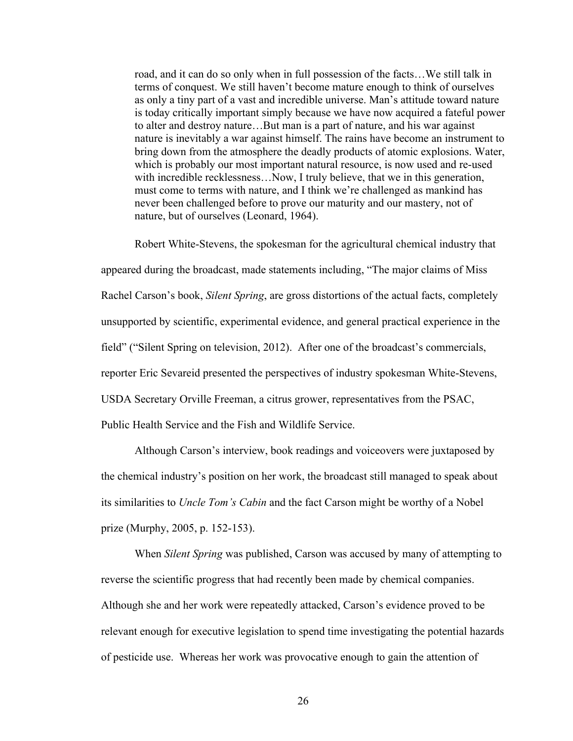road, and it can do so only when in full possession of the facts…We still talk in terms of conquest. We still haven't become mature enough to think of ourselves as only a tiny part of a vast and incredible universe. Man's attitude toward nature is today critically important simply because we have now acquired a fateful power to alter and destroy nature…But man is a part of nature, and his war against nature is inevitably a war against himself. The rains have become an instrument to bring down from the atmosphere the deadly products of atomic explosions. Water, which is probably our most important natural resource, is now used and re-used with incredible recklessness... Now, I truly believe, that we in this generation, must come to terms with nature, and I think we're challenged as mankind has never been challenged before to prove our maturity and our mastery, not of nature, but of ourselves (Leonard, 1964).

Robert White-Stevens, the spokesman for the agricultural chemical industry that appeared during the broadcast, made statements including, "The major claims of Miss Rachel Carson's book, *Silent Spring*, are gross distortions of the actual facts, completely unsupported by scientific, experimental evidence, and general practical experience in the field" ("Silent Spring on television, 2012). After one of the broadcast's commercials, reporter Eric Sevareid presented the perspectives of industry spokesman White-Stevens, USDA Secretary Orville Freeman, a citrus grower, representatives from the PSAC, Public Health Service and the Fish and Wildlife Service.

Although Carson's interview, book readings and voiceovers were juxtaposed by the chemical industry's position on her work, the broadcast still managed to speak about its similarities to *Uncle Tom's Cabin* and the fact Carson might be worthy of a Nobel prize (Murphy, 2005, p. 152-153).

When *Silent Spring* was published, Carson was accused by many of attempting to reverse the scientific progress that had recently been made by chemical companies. Although she and her work were repeatedly attacked, Carson's evidence proved to be relevant enough for executive legislation to spend time investigating the potential hazards of pesticide use. Whereas her work was provocative enough to gain the attention of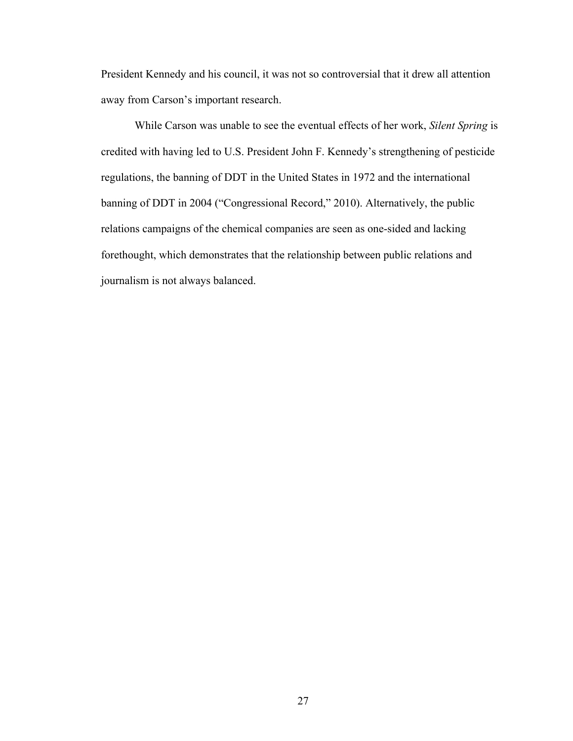President Kennedy and his council, it was not so controversial that it drew all attention away from Carson's important research.

While Carson was unable to see the eventual effects of her work, *Silent Spring* is credited with having led to U.S. President John F. Kennedy's strengthening of pesticide regulations, the banning of DDT in the United States in 1972 and the international banning of DDT in 2004 ("Congressional Record," 2010). Alternatively, the public relations campaigns of the chemical companies are seen as one-sided and lacking forethought, which demonstrates that the relationship between public relations and journalism is not always balanced.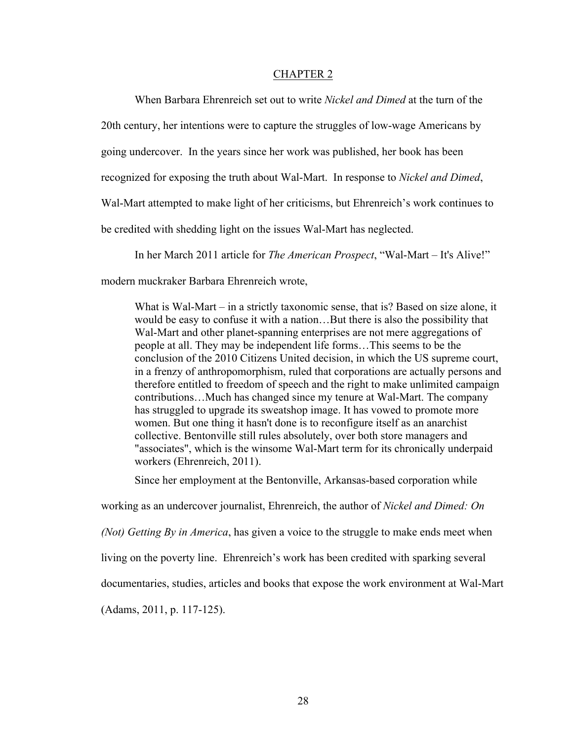#### CHAPTER 2

When Barbara Ehrenreich set out to write *Nickel and Dimed* at the turn of the 20th century, her intentions were to capture the struggles of low-wage Americans by going undercover. In the years since her work was published, her book has been recognized for exposing the truth about Wal-Mart. In response to *Nickel and Dimed*, Wal-Mart attempted to make light of her criticisms, but Ehrenreich's work continues to be credited with shedding light on the issues Wal-Mart has neglected.

In her March 2011 article for *The American Prospect*, "Wal-Mart – It's Alive!" modern muckraker Barbara Ehrenreich wrote,

What is Wal-Mart – in a strictly taxonomic sense, that is? Based on size alone, it would be easy to confuse it with a nation…But there is also the possibility that Wal-Mart and other planet-spanning enterprises are not mere aggregations of people at all. They may be independent life forms…This seems to be the conclusion of the 2010 Citizens United decision, in which the US supreme court, in a frenzy of anthropomorphism, ruled that corporations are actually persons and therefore entitled to freedom of speech and the right to make unlimited campaign contributions…Much has changed since my tenure at Wal-Mart. The company has struggled to upgrade its sweatshop image. It has vowed to promote more women. But one thing it hasn't done is to reconfigure itself as an anarchist collective. Bentonville still rules absolutely, over both store managers and "associates", which is the winsome Wal-Mart term for its chronically underpaid workers (Ehrenreich, 2011).

Since her employment at the Bentonville, Arkansas-based corporation while

working as an undercover journalist, Ehrenreich, the author of *Nickel and Dimed: On* 

*(Not) Getting By in America*, has given a voice to the struggle to make ends meet when

living on the poverty line. Ehrenreich's work has been credited with sparking several

documentaries, studies, articles and books that expose the work environment at Wal-Mart

(Adams, 2011, p. 117-125).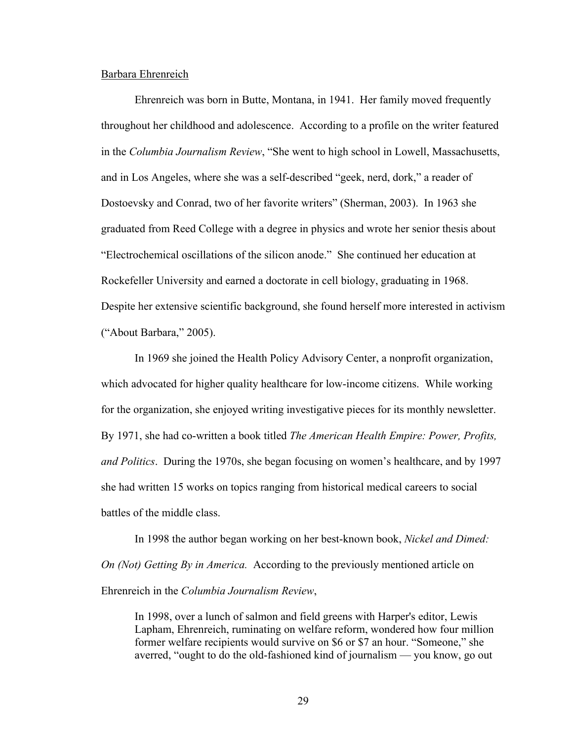## Barbara Ehrenreich

Ehrenreich was born in Butte, Montana, in 1941. Her family moved frequently throughout her childhood and adolescence. According to a profile on the writer featured in the *Columbia Journalism Review*, "She went to high school in Lowell, Massachusetts, and in Los Angeles, where she was a self-described "geek, nerd, dork," a reader of Dostoevsky and Conrad, two of her favorite writers" (Sherman, 2003). In 1963 she graduated from Reed College with a degree in physics and wrote her senior thesis about "Electrochemical oscillations of the silicon anode." She continued her education at Rockefeller University and earned a doctorate in cell biology, graduating in 1968. Despite her extensive scientific background, she found herself more interested in activism ("About Barbara," 2005).

In 1969 she joined the Health Policy Advisory Center, a nonprofit organization, which advocated for higher quality healthcare for low-income citizens. While working for the organization, she enjoyed writing investigative pieces for its monthly newsletter. By 1971, she had co-written a book titled *The American Health Empire: Power, Profits, and Politics*. During the 1970s, she began focusing on women's healthcare, and by 1997 she had written 15 works on topics ranging from historical medical careers to social battles of the middle class.

In 1998 the author began working on her best-known book, *Nickel and Dimed: On (Not) Getting By in America.* According to the previously mentioned article on Ehrenreich in the *Columbia Journalism Review*,

In 1998, over a lunch of salmon and field greens with Harper's editor, Lewis Lapham, Ehrenreich, ruminating on welfare reform, wondered how four million former welfare recipients would survive on \$6 or \$7 an hour. "Someone," she averred, "ought to do the old-fashioned kind of journalism — you know, go out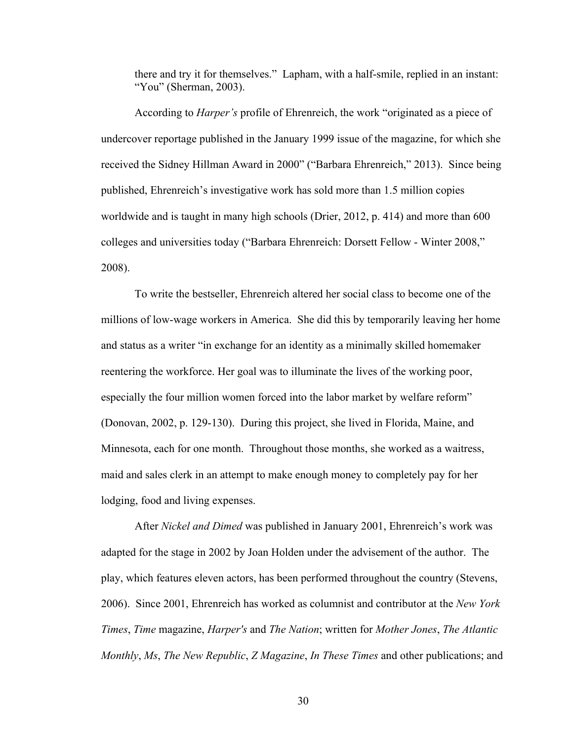there and try it for themselves." Lapham, with a half-smile, replied in an instant: "You" (Sherman, 2003).

According to *Harper's* profile of Ehrenreich, the work "originated as a piece of undercover reportage published in the January 1999 issue of the magazine, for which she received the Sidney Hillman Award in 2000" ("Barbara Ehrenreich," 2013). Since being published, Ehrenreich's investigative work has sold more than 1.5 million copies worldwide and is taught in many high schools (Drier, 2012, p. 414) and more than 600 colleges and universities today ("Barbara Ehrenreich: Dorsett Fellow - Winter 2008," 2008).

To write the bestseller, Ehrenreich altered her social class to become one of the millions of low-wage workers in America. She did this by temporarily leaving her home and status as a writer "in exchange for an identity as a minimally skilled homemaker reentering the workforce. Her goal was to illuminate the lives of the working poor, especially the four million women forced into the labor market by welfare reform" (Donovan, 2002, p. 129-130). During this project, she lived in Florida, Maine, and Minnesota, each for one month. Throughout those months, she worked as a waitress, maid and sales clerk in an attempt to make enough money to completely pay for her lodging, food and living expenses.

After *Nickel and Dimed* was published in January 2001, Ehrenreich's work was adapted for the stage in 2002 by Joan Holden under the advisement of the author. The play, which features eleven actors, has been performed throughout the country (Stevens, 2006). Since 2001, Ehrenreich has worked as columnist and contributor at the *New York Times*, *Time* magazine, *Harper's* and *The Nation*; written for *Mother Jones*, *The Atlantic Monthly*, *Ms*, *The New Republic*, *Z Magazine*, *In These Times* and other publications; and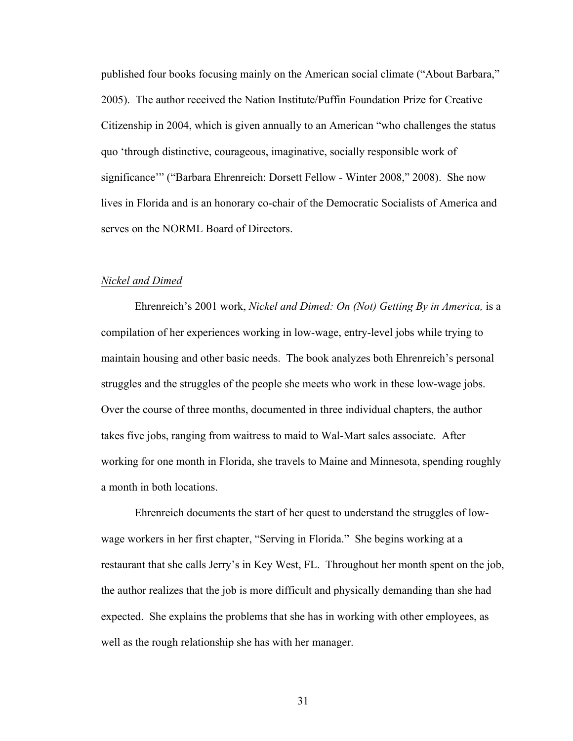published four books focusing mainly on the American social climate ("About Barbara," 2005). The author received the Nation Institute/Puffin Foundation Prize for Creative Citizenship in 2004, which is given annually to an American "who challenges the status quo 'through distinctive, courageous, imaginative, socially responsible work of significance'" ("Barbara Ehrenreich: Dorsett Fellow - Winter 2008," 2008). She now lives in Florida and is an honorary co-chair of the Democratic Socialists of America and serves on the NORML Board of Directors.

## *Nickel and Dimed*

Ehrenreich's 2001 work, *Nickel and Dimed: On (Not) Getting By in America,* is a compilation of her experiences working in low-wage, entry-level jobs while trying to maintain housing and other basic needs. The book analyzes both Ehrenreich's personal struggles and the struggles of the people she meets who work in these low-wage jobs. Over the course of three months, documented in three individual chapters, the author takes five jobs, ranging from waitress to maid to Wal-Mart sales associate. After working for one month in Florida, she travels to Maine and Minnesota, spending roughly a month in both locations.

Ehrenreich documents the start of her quest to understand the struggles of lowwage workers in her first chapter, "Serving in Florida." She begins working at a restaurant that she calls Jerry's in Key West, FL. Throughout her month spent on the job, the author realizes that the job is more difficult and physically demanding than she had expected. She explains the problems that she has in working with other employees, as well as the rough relationship she has with her manager.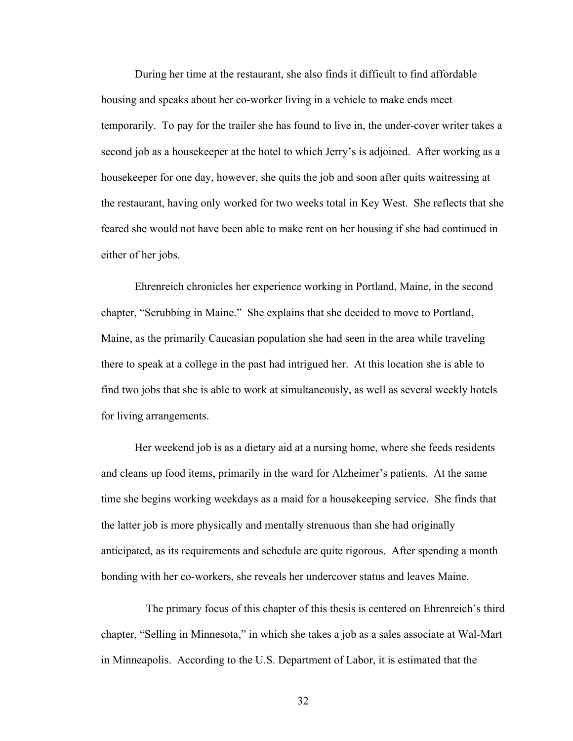During her time at the restaurant, she also finds it difficult to find affordable housing and speaks about her co-worker living in a vehicle to make ends meet temporarily. To pay for the trailer she has found to live in, the under-cover writer takes a second job as a housekeeper at the hotel to which Jerry's is adjoined. After working as a housekeeper for one day, however, she quits the job and soon after quits waitressing at the restaurant, having only worked for two weeks total in Key West. She reflects that she feared she would not have been able to make rent on her housing if she had continued in either of her jobs.

Ehrenreich chronicles her experience working in Portland, Maine, in the second chapter, "Scrubbing in Maine." She explains that she decided to move to Portland, Maine, as the primarily Caucasian population she had seen in the area while traveling there to speak at a college in the past had intrigued her. At this location she is able to find two jobs that she is able to work at simultaneously, as well as several weekly hotels for living arrangements.

Her weekend job is as a dietary aid at a nursing home, where she feeds residents and cleans up food items, primarily in the ward for Alzheimer's patients. At the same time she begins working weekdays as a maid for a housekeeping service. She finds that the latter job is more physically and mentally strenuous than she had originally anticipated, as its requirements and schedule are quite rigorous. After spending a month bonding with her co-workers, she reveals her undercover status and leaves Maine.

 The primary focus of this chapter of this thesis is centered on Ehrenreich's third chapter, "Selling in Minnesota," in which she takes a job as a sales associate at Wal-Mart in Minneapolis. According to the U.S. Department of Labor, it is estimated that the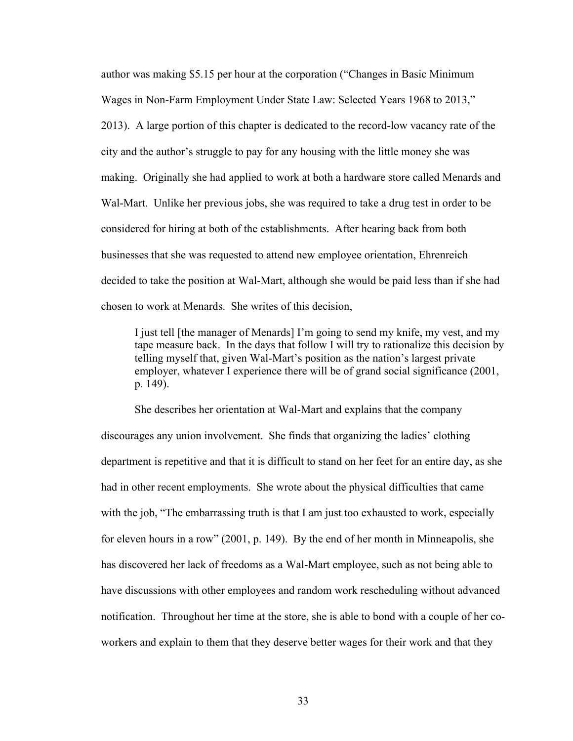author was making \$5.15 per hour at the corporation ("Changes in Basic Minimum Wages in Non-Farm Employment Under State Law: Selected Years 1968 to 2013," 2013). A large portion of this chapter is dedicated to the record-low vacancy rate of the city and the author's struggle to pay for any housing with the little money she was making. Originally she had applied to work at both a hardware store called Menards and Wal-Mart. Unlike her previous jobs, she was required to take a drug test in order to be considered for hiring at both of the establishments. After hearing back from both businesses that she was requested to attend new employee orientation, Ehrenreich decided to take the position at Wal-Mart, although she would be paid less than if she had chosen to work at Menards. She writes of this decision,

I just tell [the manager of Menards] I'm going to send my knife, my vest, and my tape measure back. In the days that follow I will try to rationalize this decision by telling myself that, given Wal-Mart's position as the nation's largest private employer, whatever I experience there will be of grand social significance (2001, p. 149).

She describes her orientation at Wal-Mart and explains that the company discourages any union involvement. She finds that organizing the ladies' clothing department is repetitive and that it is difficult to stand on her feet for an entire day, as she had in other recent employments. She wrote about the physical difficulties that came with the job, "The embarrassing truth is that I am just too exhausted to work, especially for eleven hours in a row" (2001, p. 149). By the end of her month in Minneapolis, she has discovered her lack of freedoms as a Wal-Mart employee, such as not being able to have discussions with other employees and random work rescheduling without advanced notification. Throughout her time at the store, she is able to bond with a couple of her coworkers and explain to them that they deserve better wages for their work and that they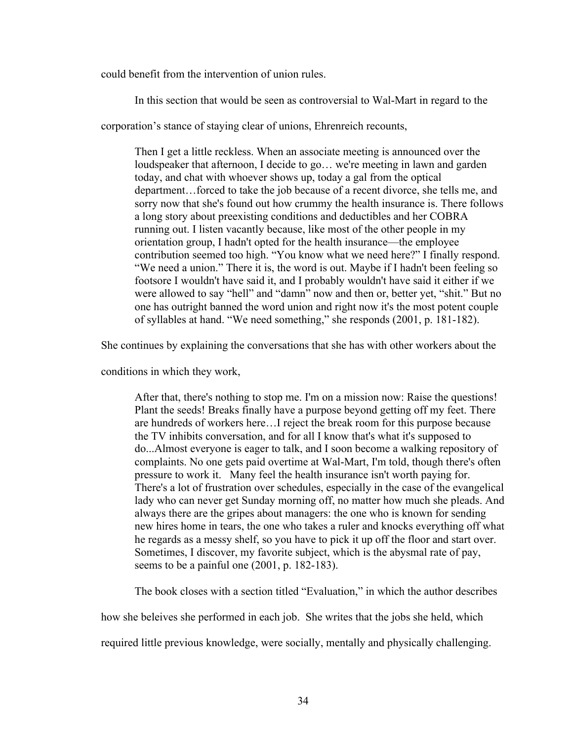could benefit from the intervention of union rules.

In this section that would be seen as controversial to Wal-Mart in regard to the

corporation's stance of staying clear of unions, Ehrenreich recounts,

Then I get a little reckless. When an associate meeting is announced over the loudspeaker that afternoon, I decide to go… we're meeting in lawn and garden today, and chat with whoever shows up, today a gal from the optical department…forced to take the job because of a recent divorce, she tells me, and sorry now that she's found out how crummy the health insurance is. There follows a long story about preexisting conditions and deductibles and her COBRA running out. I listen vacantly because, like most of the other people in my orientation group, I hadn't opted for the health insurance—the employee contribution seemed too high. "You know what we need here?" I finally respond. "We need a union." There it is, the word is out. Maybe if I hadn't been feeling so footsore I wouldn't have said it, and I probably wouldn't have said it either if we were allowed to say "hell" and "damn" now and then or, better yet, "shit." But no one has outright banned the word union and right now it's the most potent couple of syllables at hand. "We need something," she responds (2001, p. 181-182).

She continues by explaining the conversations that she has with other workers about the

conditions in which they work,

After that, there's nothing to stop me. I'm on a mission now: Raise the questions! Plant the seeds! Breaks finally have a purpose beyond getting off my feet. There are hundreds of workers here…I reject the break room for this purpose because the TV inhibits conversation, and for all I know that's what it's supposed to do...Almost everyone is eager to talk, and I soon become a walking repository of complaints. No one gets paid overtime at Wal-Mart, I'm told, though there's often pressure to work it. Many feel the health insurance isn't worth paying for. There's a lot of frustration over schedules, especially in the case of the evangelical lady who can never get Sunday morning off, no matter how much she pleads. And always there are the gripes about managers: the one who is known for sending new hires home in tears, the one who takes a ruler and knocks everything off what he regards as a messy shelf, so you have to pick it up off the floor and start over. Sometimes, I discover, my favorite subject, which is the abysmal rate of pay, seems to be a painful one (2001, p. 182-183).

The book closes with a section titled "Evaluation," in which the author describes

how she beleives she performed in each job. She writes that the jobs she held, which

required little previous knowledge, were socially, mentally and physically challenging.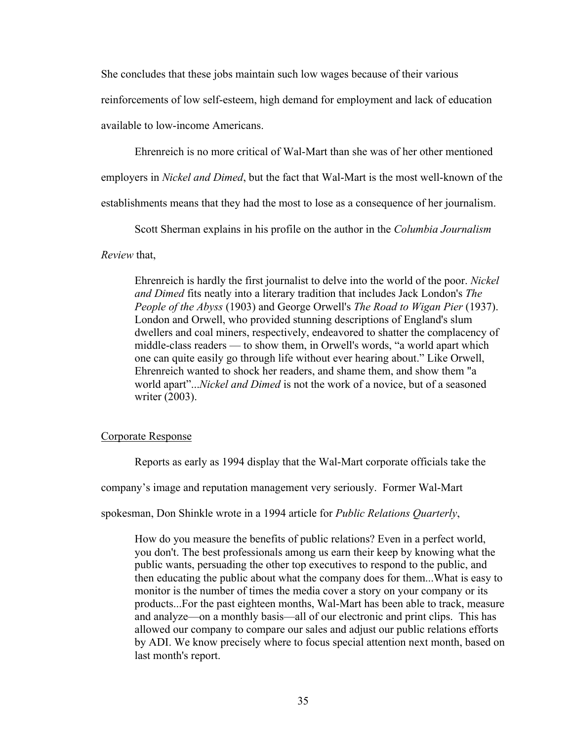She concludes that these jobs maintain such low wages because of their various

reinforcements of low self-esteem, high demand for employment and lack of education

available to low-income Americans.

Ehrenreich is no more critical of Wal-Mart than she was of her other mentioned

employers in *Nickel and Dimed*, but the fact that Wal-Mart is the most well-known of the

establishments means that they had the most to lose as a consequence of her journalism.

Scott Sherman explains in his profile on the author in the *Columbia Journalism* 

*Review* that,

Ehrenreich is hardly the first journalist to delve into the world of the poor. *Nickel and Dimed* fits neatly into a literary tradition that includes Jack London's *The People of the Abyss* (1903) and George Orwell's *The Road to Wigan Pier* (1937). London and Orwell, who provided stunning descriptions of England's slum dwellers and coal miners, respectively, endeavored to shatter the complacency of middle-class readers — to show them, in Orwell's words, "a world apart which one can quite easily go through life without ever hearing about." Like Orwell, Ehrenreich wanted to shock her readers, and shame them, and show them "a world apart"...*Nickel and Dimed* is not the work of a novice, but of a seasoned writer (2003).

### Corporate Response

Reports as early as 1994 display that the Wal-Mart corporate officials take the

company's image and reputation management very seriously. Former Wal-Mart

spokesman, Don Shinkle wrote in a 1994 article for *Public Relations Quarterly*,

How do you measure the benefits of public relations? Even in a perfect world, you don't. The best professionals among us earn their keep by knowing what the public wants, persuading the other top executives to respond to the public, and then educating the public about what the company does for them...What is easy to monitor is the number of times the media cover a story on your company or its products...For the past eighteen months, Wal-Mart has been able to track, measure and analyze—on a monthly basis—all of our electronic and print clips. This has allowed our company to compare our sales and adjust our public relations efforts by ADI. We know precisely where to focus special attention next month, based on last month's report.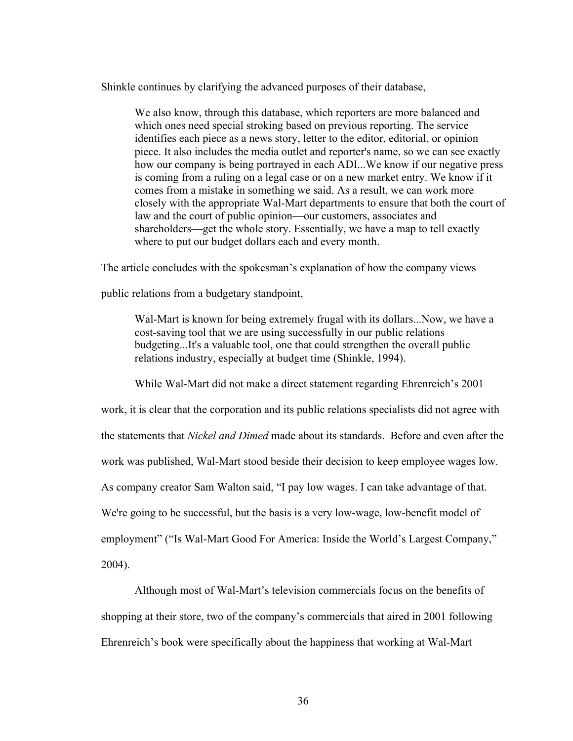Shinkle continues by clarifying the advanced purposes of their database,

We also know, through this database, which reporters are more balanced and which ones need special stroking based on previous reporting. The service identifies each piece as a news story, letter to the editor, editorial, or opinion piece. It also includes the media outlet and reporter's name, so we can see exactly how our company is being portrayed in each ADI...We know if our negative press is coming from a ruling on a legal case or on a new market entry. We know if it comes from a mistake in something we said. As a result, we can work more closely with the appropriate Wal-Mart departments to ensure that both the court of law and the court of public opinion—our customers, associates and shareholders—get the whole story. Essentially, we have a map to tell exactly where to put our budget dollars each and every month.

The article concludes with the spokesman's explanation of how the company views

public relations from a budgetary standpoint,

Wal-Mart is known for being extremely frugal with its dollars...Now, we have a cost-saving tool that we are using successfully in our public relations budgeting...It's a valuable tool, one that could strengthen the overall public relations industry, especially at budget time (Shinkle, 1994).

While Wal-Mart did not make a direct statement regarding Ehrenreich's 2001

work, it is clear that the corporation and its public relations specialists did not agree with

the statements that *Nickel and Dimed* made about its standards. Before and even after the

work was published, Wal-Mart stood beside their decision to keep employee wages low.

As company creator Sam Walton said, "I pay low wages. I can take advantage of that.

We're going to be successful, but the basis is a very low-wage, low-benefit model of

employment" ("Is Wal-Mart Good For America: Inside the World's Largest Company,"

2004).

Although most of Wal-Mart's television commercials focus on the benefits of shopping at their store, two of the company's commercials that aired in 2001 following Ehrenreich's book were specifically about the happiness that working at Wal-Mart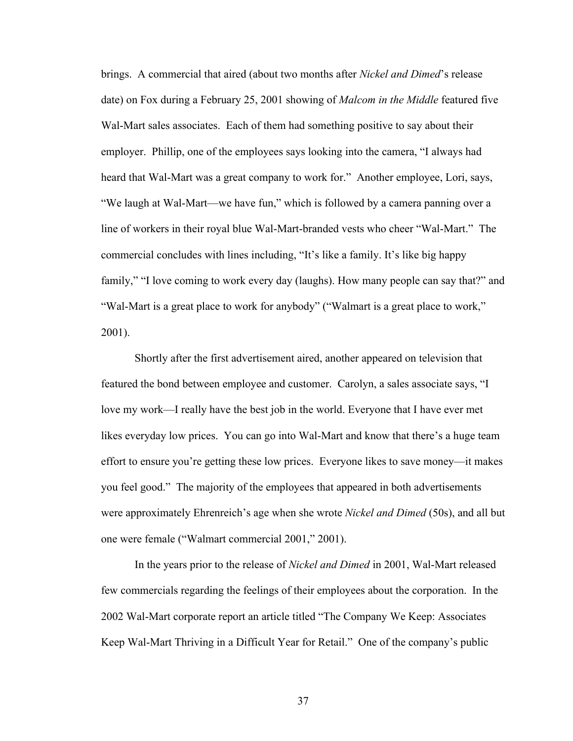brings. A commercial that aired (about two months after *Nickel and Dimed*'s release date) on Fox during a February 25, 2001 showing of *Malcom in the Middle* featured five Wal-Mart sales associates. Each of them had something positive to say about their employer. Phillip, one of the employees says looking into the camera, "I always had heard that Wal-Mart was a great company to work for." Another employee, Lori, says, "We laugh at Wal-Mart—we have fun," which is followed by a camera panning over a line of workers in their royal blue Wal-Mart-branded vests who cheer "Wal-Mart." The commercial concludes with lines including, "It's like a family. It's like big happy family," "I love coming to work every day (laughs). How many people can say that?" and "Wal-Mart is a great place to work for anybody" ("Walmart is a great place to work," 2001).

Shortly after the first advertisement aired, another appeared on television that featured the bond between employee and customer. Carolyn, a sales associate says, "I love my work—I really have the best job in the world. Everyone that I have ever met likes everyday low prices. You can go into Wal-Mart and know that there's a huge team effort to ensure you're getting these low prices. Everyone likes to save money—it makes you feel good." The majority of the employees that appeared in both advertisements were approximately Ehrenreich's age when she wrote *Nickel and Dimed* (50s), and all but one were female ("Walmart commercial 2001," 2001).

In the years prior to the release of *Nickel and Dimed* in 2001, Wal-Mart released few commercials regarding the feelings of their employees about the corporation. In the 2002 Wal-Mart corporate report an article titled "The Company We Keep: Associates Keep Wal-Mart Thriving in a Difficult Year for Retail." One of the company's public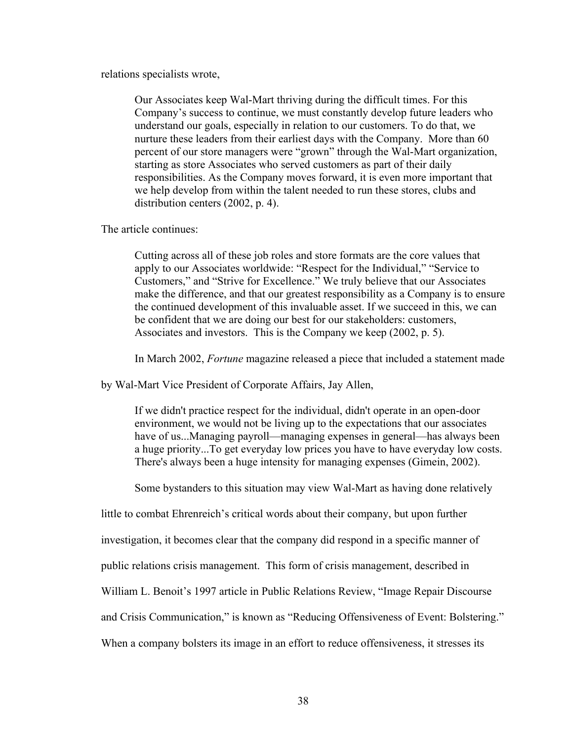relations specialists wrote,

Our Associates keep Wal-Mart thriving during the difficult times. For this Company's success to continue, we must constantly develop future leaders who understand our goals, especially in relation to our customers. To do that, we nurture these leaders from their earliest days with the Company. More than 60 percent of our store managers were "grown" through the Wal-Mart organization, starting as store Associates who served customers as part of their daily responsibilities. As the Company moves forward, it is even more important that we help develop from within the talent needed to run these stores, clubs and distribution centers (2002, p. 4).

The article continues:

Cutting across all of these job roles and store formats are the core values that apply to our Associates worldwide: "Respect for the Individual," "Service to Customers," and "Strive for Excellence." We truly believe that our Associates make the difference, and that our greatest responsibility as a Company is to ensure the continued development of this invaluable asset. If we succeed in this, we can be confident that we are doing our best for our stakeholders: customers, Associates and investors. This is the Company we keep (2002, p. 5).

In March 2002, *Fortune* magazine released a piece that included a statement made

by Wal-Mart Vice President of Corporate Affairs, Jay Allen,

If we didn't practice respect for the individual, didn't operate in an open-door environment, we would not be living up to the expectations that our associates have of us...Managing payroll—managing expenses in general—has always been a huge priority...To get everyday low prices you have to have everyday low costs. There's always been a huge intensity for managing expenses (Gimein, 2002).

Some bystanders to this situation may view Wal-Mart as having done relatively

little to combat Ehrenreich's critical words about their company, but upon further

investigation, it becomes clear that the company did respond in a specific manner of

public relations crisis management. This form of crisis management, described in

William L. Benoit's 1997 article in Public Relations Review, "Image Repair Discourse

and Crisis Communication," is known as "Reducing Offensiveness of Event: Bolstering."

When a company bolsters its image in an effort to reduce offensiveness, it stresses its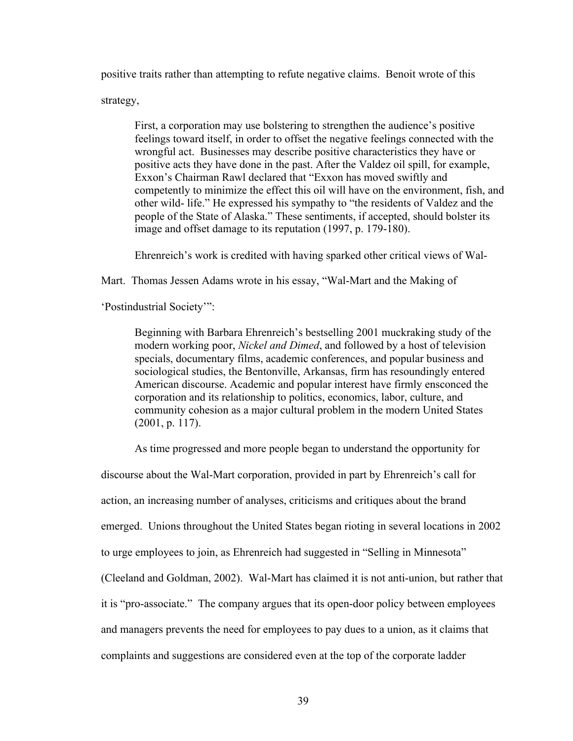positive traits rather than attempting to refute negative claims. Benoit wrote of this

strategy,

First, a corporation may use bolstering to strengthen the audience's positive feelings toward itself, in order to offset the negative feelings connected with the wrongful act. Businesses may describe positive characteristics they have or positive acts they have done in the past. After the Valdez oil spill, for example, Exxon's Chairman Rawl declared that "Exxon has moved swiftly and competently to minimize the effect this oil will have on the environment, fish, and other wild- life." He expressed his sympathy to "the residents of Valdez and the people of the State of Alaska." These sentiments, if accepted, should bolster its image and offset damage to its reputation (1997, p. 179-180).

Ehrenreich's work is credited with having sparked other critical views of Wal-

Mart. Thomas Jessen Adams wrote in his essay, "Wal-Mart and the Making of

'Postindustrial Society'":

Beginning with Barbara Ehrenreich's bestselling 2001 muckraking study of the modern working poor, *Nickel and Dimed*, and followed by a host of television specials, documentary films, academic conferences, and popular business and sociological studies, the Bentonville, Arkansas, firm has resoundingly entered American discourse. Academic and popular interest have firmly ensconced the corporation and its relationship to politics, economics, labor, culture, and community cohesion as a major cultural problem in the modern United States (2001, p. 117).

As time progressed and more people began to understand the opportunity for

discourse about the Wal-Mart corporation, provided in part by Ehrenreich's call for action, an increasing number of analyses, criticisms and critiques about the brand emerged. Unions throughout the United States began rioting in several locations in 2002 to urge employees to join, as Ehrenreich had suggested in "Selling in Minnesota" (Cleeland and Goldman, 2002). Wal-Mart has claimed it is not anti-union, but rather that it is "pro-associate." The company argues that its open-door policy between employees and managers prevents the need for employees to pay dues to a union, as it claims that complaints and suggestions are considered even at the top of the corporate ladder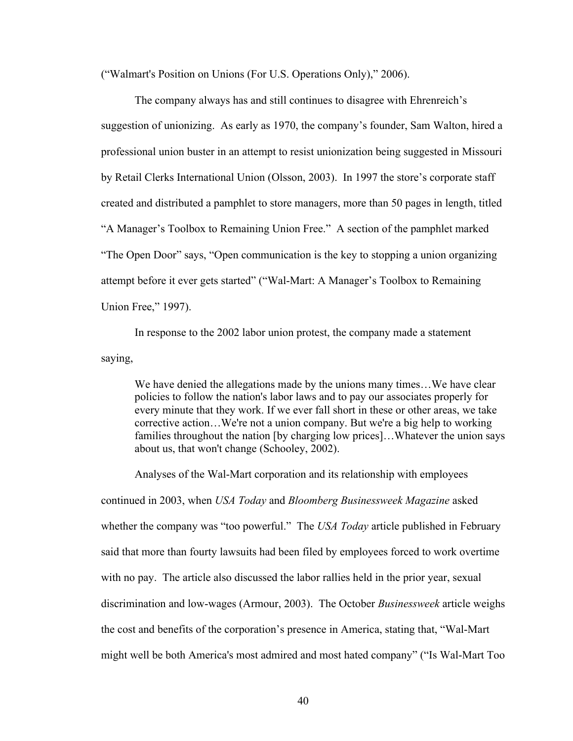("Walmart's Position on Unions (For U.S. Operations Only)," 2006).

The company always has and still continues to disagree with Ehrenreich's suggestion of unionizing. As early as 1970, the company's founder, Sam Walton, hired a professional union buster in an attempt to resist unionization being suggested in Missouri by Retail Clerks International Union (Olsson, 2003). In 1997 the store's corporate staff created and distributed a pamphlet to store managers, more than 50 pages in length, titled "A Manager's Toolbox to Remaining Union Free." A section of the pamphlet marked "The Open Door" says, "Open communication is the key to stopping a union organizing attempt before it ever gets started" ("Wal-Mart: A Manager's Toolbox to Remaining Union Free," 1997).

In response to the 2002 labor union protest, the company made a statement saying,

We have denied the allegations made by the unions many times...We have clear policies to follow the nation's labor laws and to pay our associates properly for every minute that they work. If we ever fall short in these or other areas, we take corrective action…We're not a union company. But we're a big help to working families throughout the nation [by charging low prices]…Whatever the union says about us, that won't change (Schooley, 2002).

Analyses of the Wal-Mart corporation and its relationship with employees continued in 2003, when *USA Today* and *Bloomberg Businessweek Magazine* asked whether the company was "too powerful." The *USA Today* article published in February said that more than fourty lawsuits had been filed by employees forced to work overtime with no pay. The article also discussed the labor rallies held in the prior year, sexual discrimination and low-wages (Armour, 2003). The October *Businessweek* article weighs the cost and benefits of the corporation's presence in America, stating that, "Wal-Mart might well be both America's most admired and most hated company" ("Is Wal-Mart Too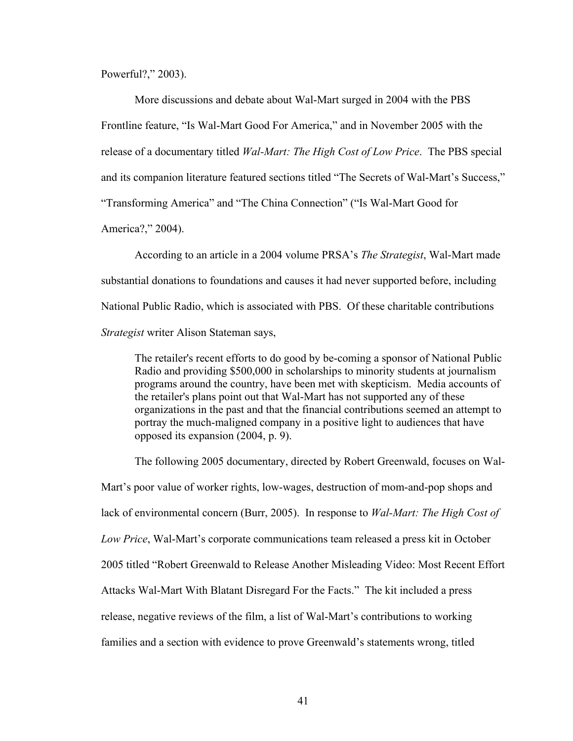Powerful?," 2003).

More discussions and debate about Wal-Mart surged in 2004 with the PBS Frontline feature, "Is Wal-Mart Good For America," and in November 2005 with the release of a documentary titled *Wal-Mart: The High Cost of Low Price*. The PBS special and its companion literature featured sections titled "The Secrets of Wal-Mart's Success," "Transforming America" and "The China Connection" ("Is Wal-Mart Good for America?," 2004).

According to an article in a 2004 volume PRSA's *The Strategist*, Wal-Mart made substantial donations to foundations and causes it had never supported before, including National Public Radio, which is associated with PBS. Of these charitable contributions *Strategist* writer Alison Stateman says,

The retailer's recent efforts to do good by be-coming a sponsor of National Public Radio and providing \$500,000 in scholarships to minority students at journalism programs around the country, have been met with skepticism. Media accounts of the retailer's plans point out that Wal-Mart has not supported any of these organizations in the past and that the financial contributions seemed an attempt to portray the much-maligned company in a positive light to audiences that have opposed its expansion (2004, p. 9).

The following 2005 documentary, directed by Robert Greenwald, focuses on Wal-Mart's poor value of worker rights, low-wages, destruction of mom-and-pop shops and lack of environmental concern (Burr, 2005). In response to *Wal-Mart: The High Cost of Low Price*, Wal-Mart's corporate communications team released a press kit in October 2005 titled "Robert Greenwald to Release Another Misleading Video: Most Recent Effort Attacks Wal-Mart With Blatant Disregard For the Facts." The kit included a press release, negative reviews of the film, a list of Wal-Mart's contributions to working families and a section with evidence to prove Greenwald's statements wrong, titled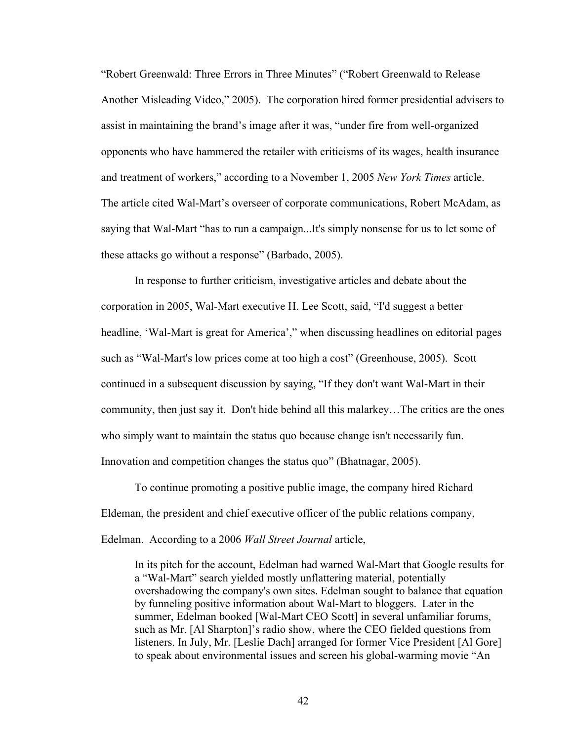"Robert Greenwald: Three Errors in Three Minutes" ("Robert Greenwald to Release Another Misleading Video," 2005). The corporation hired former presidential advisers to assist in maintaining the brand's image after it was, "under fire from well-organized opponents who have hammered the retailer with criticisms of its wages, health insurance and treatment of workers," according to a November 1, 2005 *New York Times* article. The article cited Wal-Mart's overseer of corporate communications, Robert McAdam, as saying that Wal-Mart "has to run a campaign...It's simply nonsense for us to let some of these attacks go without a response" (Barbado, 2005).

In response to further criticism, investigative articles and debate about the corporation in 2005, Wal-Mart executive H. Lee Scott, said, "I'd suggest a better headline, 'Wal-Mart is great for America'," when discussing headlines on editorial pages such as "Wal-Mart's low prices come at too high a cost" (Greenhouse, 2005). Scott continued in a subsequent discussion by saying, "If they don't want Wal-Mart in their community, then just say it. Don't hide behind all this malarkey…The critics are the ones who simply want to maintain the status quo because change isn't necessarily fun. Innovation and competition changes the status quo" (Bhatnagar, 2005).

To continue promoting a positive public image, the company hired Richard Eldeman, the president and chief executive officer of the public relations company, Edelman. According to a 2006 *Wall Street Journal* article,

In its pitch for the account, Edelman had warned Wal-Mart that Google results for a "Wal-Mart" search yielded mostly unflattering material, potentially overshadowing the company's own sites. Edelman sought to balance that equation by funneling positive information about Wal-Mart to bloggers. Later in the summer, Edelman booked [Wal-Mart CEO Scott] in several unfamiliar forums, such as Mr. [Al Sharpton]'s radio show, where the CEO fielded questions from listeners. In July, Mr. [Leslie Dach] arranged for former Vice President [Al Gore] to speak about environmental issues and screen his global-warming movie "An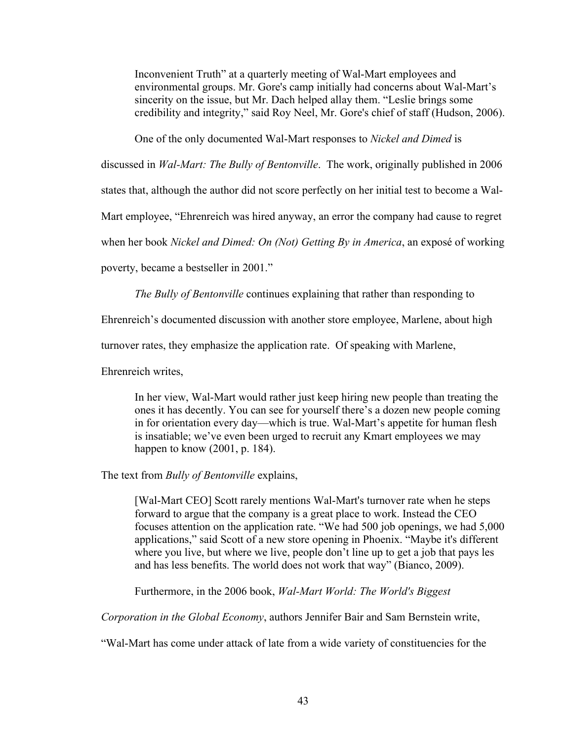Inconvenient Truth" at a quarterly meeting of Wal-Mart employees and environmental groups. Mr. Gore's camp initially had concerns about Wal-Mart's sincerity on the issue, but Mr. Dach helped allay them. "Leslie brings some credibility and integrity," said Roy Neel, Mr. Gore's chief of staff (Hudson, 2006).

One of the only documented Wal-Mart responses to *Nickel and Dimed* is

discussed in *Wal-Mart: The Bully of Bentonville*. The work, originally published in 2006

states that, although the author did not score perfectly on her initial test to become a Wal-

Mart employee, "Ehrenreich was hired anyway, an error the company had cause to regret

when her book *Nickel and Dimed: On (Not) Getting By in America*, an exposé of working

poverty, became a bestseller in 2001."

*The Bully of Bentonville* continues explaining that rather than responding to

Ehrenreich's documented discussion with another store employee, Marlene, about high

turnover rates, they emphasize the application rate. Of speaking with Marlene,

Ehrenreich writes,

In her view, Wal-Mart would rather just keep hiring new people than treating the ones it has decently. You can see for yourself there's a dozen new people coming in for orientation every day—which is true. Wal-Mart's appetite for human flesh is insatiable; we've even been urged to recruit any Kmart employees we may happen to know (2001, p. 184).

The text from *Bully of Bentonville* explains,

[Wal-Mart CEO] Scott rarely mentions Wal-Mart's turnover rate when he steps forward to argue that the company is a great place to work. Instead the CEO focuses attention on the application rate. "We had 500 job openings, we had 5,000 applications," said Scott of a new store opening in Phoenix. "Maybe it's different where you live, but where we live, people don't line up to get a job that pays les and has less benefits. The world does not work that way" (Bianco, 2009).

Furthermore, in the 2006 book, *Wal-Mart World: The World's Biggest* 

*Corporation in the Global Economy*, authors Jennifer Bair and Sam Bernstein write,

"Wal-Mart has come under attack of late from a wide variety of constituencies for the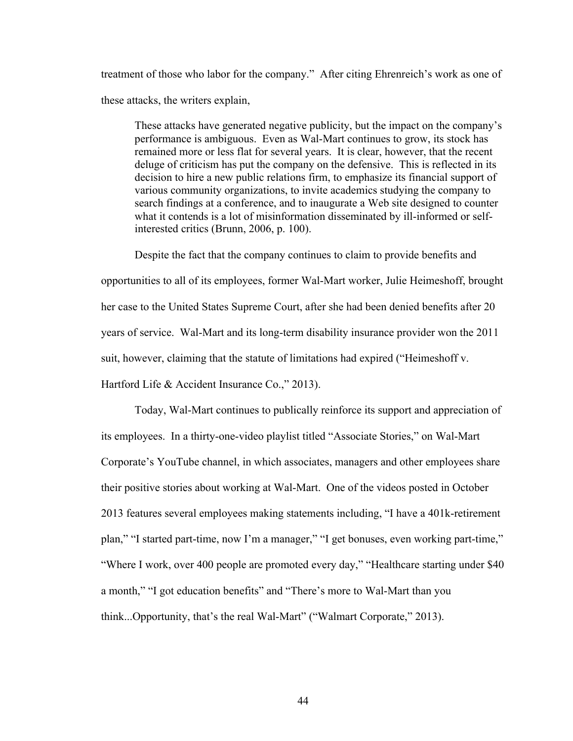treatment of those who labor for the company." After citing Ehrenreich's work as one of these attacks, the writers explain,

These attacks have generated negative publicity, but the impact on the company's performance is ambiguous. Even as Wal-Mart continues to grow, its stock has remained more or less flat for several years. It is clear, however, that the recent deluge of criticism has put the company on the defensive. This is reflected in its decision to hire a new public relations firm, to emphasize its financial support of various community organizations, to invite academics studying the company to search findings at a conference, and to inaugurate a Web site designed to counter what it contends is a lot of misinformation disseminated by ill-informed or selfinterested critics (Brunn, 2006, p. 100).

Despite the fact that the company continues to claim to provide benefits and opportunities to all of its employees, former Wal-Mart worker, Julie Heimeshoff, brought her case to the United States Supreme Court, after she had been denied benefits after 20 years of service. Wal-Mart and its long-term disability insurance provider won the 2011 suit, however, claiming that the statute of limitations had expired ("Heimeshoff v. Hartford Life & Accident Insurance Co.," 2013).

Today, Wal-Mart continues to publically reinforce its support and appreciation of its employees. In a thirty-one-video playlist titled "Associate Stories," on Wal-Mart Corporate's YouTube channel, in which associates, managers and other employees share their positive stories about working at Wal-Mart. One of the videos posted in October 2013 features several employees making statements including, "I have a 401k-retirement plan," "I started part-time, now I'm a manager," "I get bonuses, even working part-time," "Where I work, over 400 people are promoted every day," "Healthcare starting under \$40 a month," "I got education benefits" and "There's more to Wal-Mart than you think...Opportunity, that's the real Wal-Mart" ("Walmart Corporate," 2013).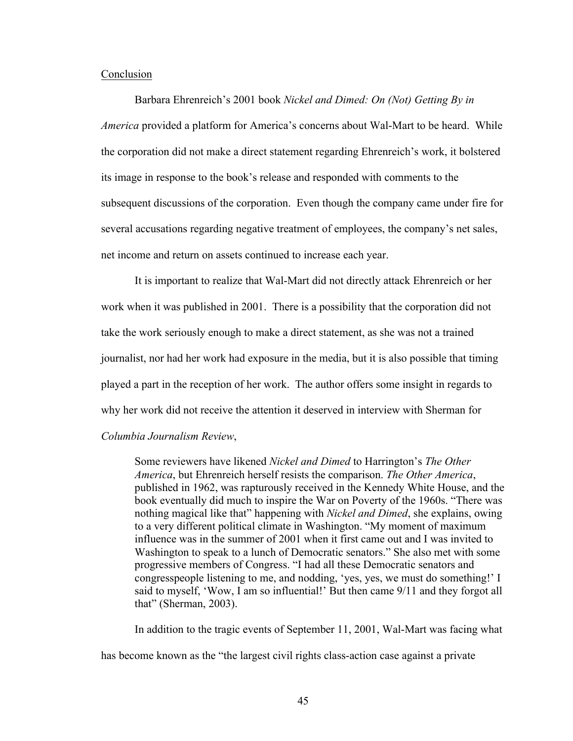# Conclusion

Barbara Ehrenreich's 2001 book *Nickel and Dimed: On (Not) Getting By in America* provided a platform for America's concerns about Wal-Mart to be heard. While the corporation did not make a direct statement regarding Ehrenreich's work, it bolstered its image in response to the book's release and responded with comments to the subsequent discussions of the corporation. Even though the company came under fire for several accusations regarding negative treatment of employees, the company's net sales, net income and return on assets continued to increase each year.

It is important to realize that Wal-Mart did not directly attack Ehrenreich or her work when it was published in 2001. There is a possibility that the corporation did not take the work seriously enough to make a direct statement, as she was not a trained journalist, nor had her work had exposure in the media, but it is also possible that timing played a part in the reception of her work. The author offers some insight in regards to why her work did not receive the attention it deserved in interview with Sherman for

## *Columbia Journalism Review*,

Some reviewers have likened *Nickel and Dimed* to Harrington's *The Other America*, but Ehrenreich herself resists the comparison. *The Other America*, published in 1962, was rapturously received in the Kennedy White House, and the book eventually did much to inspire the War on Poverty of the 1960s. "There was nothing magical like that" happening with *Nickel and Dimed*, she explains, owing to a very different political climate in Washington. "My moment of maximum influence was in the summer of 2001 when it first came out and I was invited to Washington to speak to a lunch of Democratic senators." She also met with some progressive members of Congress. "I had all these Democratic senators and congresspeople listening to me, and nodding, 'yes, yes, we must do something!' I said to myself, 'Wow, I am so influential!' But then came  $9/11$  and they forgot all that" (Sherman, 2003).

In addition to the tragic events of September 11, 2001, Wal-Mart was facing what has become known as the "the largest civil rights class-action case against a private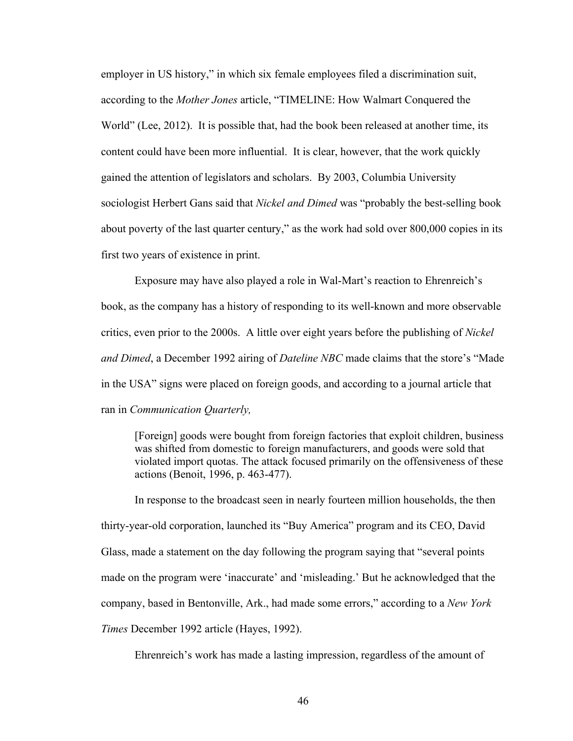employer in US history," in which six female employees filed a discrimination suit, according to the *Mother Jones* article, "TIMELINE: How Walmart Conquered the World" (Lee, 2012). It is possible that, had the book been released at another time, its content could have been more influential. It is clear, however, that the work quickly gained the attention of legislators and scholars. By 2003, Columbia University sociologist Herbert Gans said that *Nickel and Dimed* was "probably the best-selling book about poverty of the last quarter century," as the work had sold over 800,000 copies in its first two years of existence in print.

Exposure may have also played a role in Wal-Mart's reaction to Ehrenreich's book, as the company has a history of responding to its well-known and more observable critics, even prior to the 2000s. A little over eight years before the publishing of *Nickel and Dimed*, a December 1992 airing of *Dateline NBC* made claims that the store's "Made in the USA" signs were placed on foreign goods, and according to a journal article that ran in *Communication Quarterly,*

[Foreign] goods were bought from foreign factories that exploit children, business was shifted from domestic to foreign manufacturers, and goods were sold that violated import quotas. The attack focused primarily on the offensiveness of these actions (Benoit, 1996, p. 463-477).

In response to the broadcast seen in nearly fourteen million households, the then thirty-year-old corporation, launched its "Buy America" program and its CEO, David Glass, made a statement on the day following the program saying that "several points made on the program were 'inaccurate' and 'misleading.' But he acknowledged that the company, based in Bentonville, Ark., had made some errors," according to a *New York Times* December 1992 article (Hayes, 1992).

Ehrenreich's work has made a lasting impression, regardless of the amount of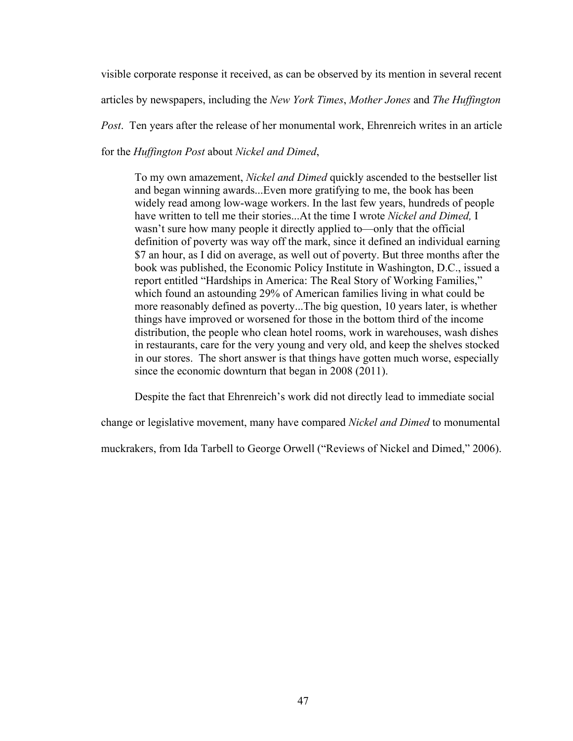visible corporate response it received, as can be observed by its mention in several recent articles by newspapers, including the *New York Times*, *Mother Jones* and *The Huffington Post*. Ten years after the release of her monumental work, Ehrenreich writes in an article for the *Huffington Post* about *Nickel and Dimed*,

To my own amazement, *Nickel and Dimed* quickly ascended to the bestseller list and began winning awards...Even more gratifying to me, the book has been widely read among low-wage workers. In the last few years, hundreds of people have written to tell me their stories...At the time I wrote *Nickel and Dimed,* I wasn't sure how many people it directly applied to—only that the official definition of poverty was way off the mark, since it defined an individual earning \$7 an hour, as I did on average, as well out of poverty. But three months after the book was published, the Economic Policy Institute in Washington, D.C., issued a report entitled "Hardships in America: The Real Story of Working Families," which found an astounding 29% of American families living in what could be more reasonably defined as poverty...The big question, 10 years later, is whether things have improved or worsened for those in the bottom third of the income distribution, the people who clean hotel rooms, work in warehouses, wash dishes in restaurants, care for the very young and very old, and keep the shelves stocked in our stores. The short answer is that things have gotten much worse, especially since the economic downturn that began in 2008 (2011).

Despite the fact that Ehrenreich's work did not directly lead to immediate social

change or legislative movement, many have compared *Nickel and Dimed* to monumental

muckrakers, from Ida Tarbell to George Orwell ("Reviews of Nickel and Dimed," 2006).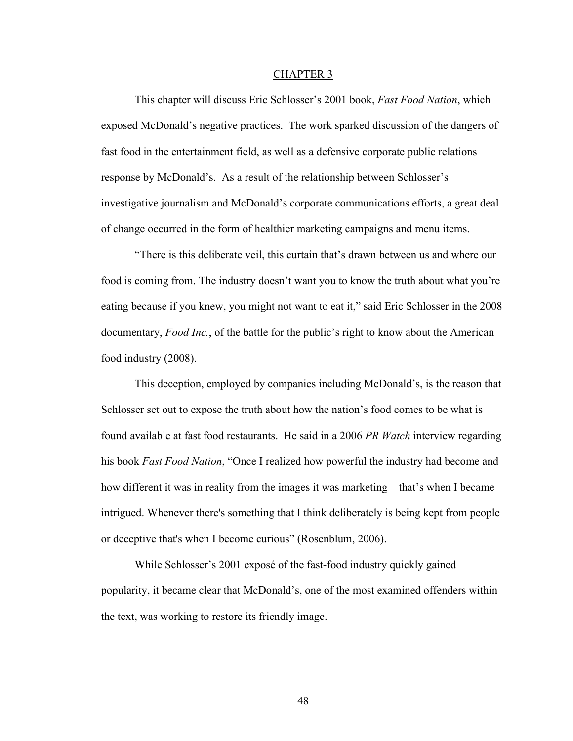#### CHAPTER 3

This chapter will discuss Eric Schlosser's 2001 book, *Fast Food Nation*, which exposed McDonald's negative practices. The work sparked discussion of the dangers of fast food in the entertainment field, as well as a defensive corporate public relations response by McDonald's. As a result of the relationship between Schlosser's investigative journalism and McDonald's corporate communications efforts, a great deal of change occurred in the form of healthier marketing campaigns and menu items.

"There is this deliberate veil, this curtain that's drawn between us and where our food is coming from. The industry doesn't want you to know the truth about what you're eating because if you knew, you might not want to eat it," said Eric Schlosser in the 2008 documentary, *Food Inc.*, of the battle for the public's right to know about the American food industry (2008).

This deception, employed by companies including McDonald's, is the reason that Schlosser set out to expose the truth about how the nation's food comes to be what is found available at fast food restaurants. He said in a 2006 *PR Watch* interview regarding his book *Fast Food Nation*, "Once I realized how powerful the industry had become and how different it was in reality from the images it was marketing—that's when I became intrigued. Whenever there's something that I think deliberately is being kept from people or deceptive that's when I become curious" (Rosenblum, 2006).

While Schlosser's 2001 exposé of the fast-food industry quickly gained popularity, it became clear that McDonald's, one of the most examined offenders within the text, was working to restore its friendly image.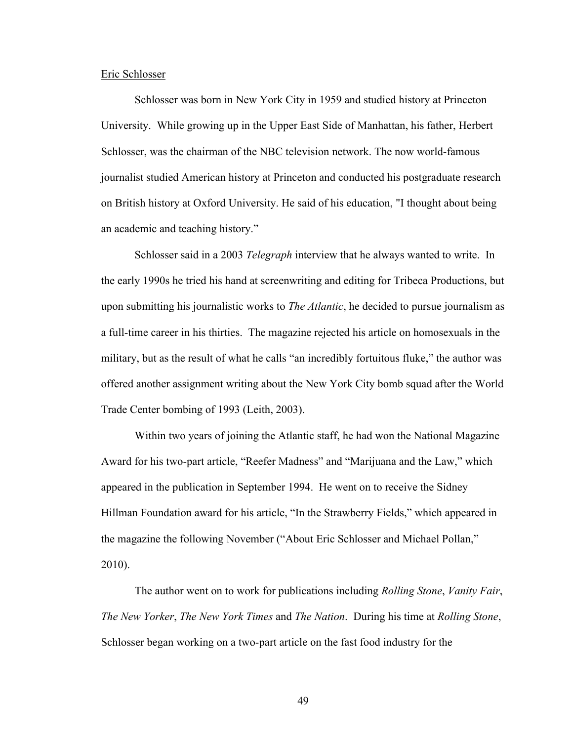### Eric Schlosser

Schlosser was born in New York City in 1959 and studied history at Princeton University. While growing up in the Upper East Side of Manhattan, his father, Herbert Schlosser, was the chairman of the NBC television network. The now world-famous journalist studied American history at Princeton and conducted his postgraduate research on British history at Oxford University. He said of his education, "I thought about being an academic and teaching history."

Schlosser said in a 2003 *Telegraph* interview that he always wanted to write. In the early 1990s he tried his hand at screenwriting and editing for Tribeca Productions, but upon submitting his journalistic works to *The Atlantic*, he decided to pursue journalism as a full-time career in his thirties. The magazine rejected his article on homosexuals in the military, but as the result of what he calls "an incredibly fortuitous fluke," the author was offered another assignment writing about the New York City bomb squad after the World Trade Center bombing of 1993 (Leith, 2003).

Within two years of joining the Atlantic staff, he had won the National Magazine Award for his two-part article, "Reefer Madness" and "Marijuana and the Law," which appeared in the publication in September 1994. He went on to receive the Sidney Hillman Foundation award for his article, "In the Strawberry Fields," which appeared in the magazine the following November ("About Eric Schlosser and Michael Pollan," 2010).

The author went on to work for publications including *Rolling Stone*, *Vanity Fair*, *The New Yorker*, *The New York Times* and *The Nation*. During his time at *Rolling Stone*, Schlosser began working on a two-part article on the fast food industry for the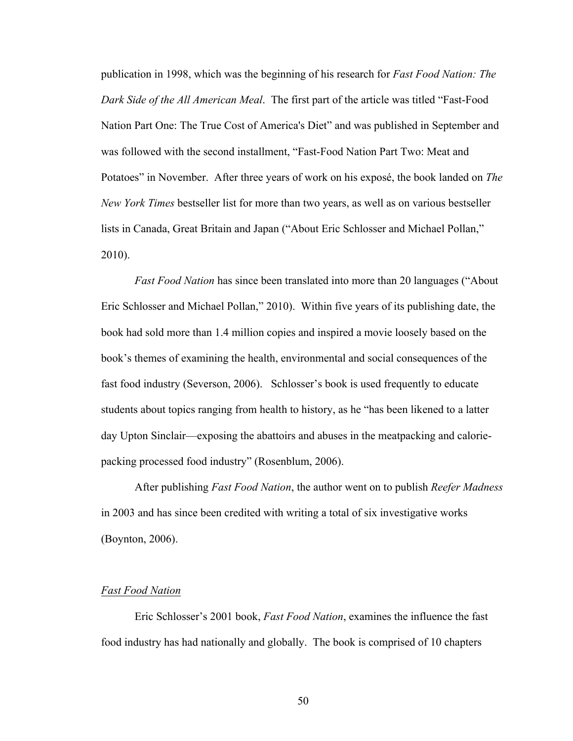publication in 1998, which was the beginning of his research for *Fast Food Nation: The Dark Side of the All American Meal*. The first part of the article was titled "Fast-Food Nation Part One: The True Cost of America's Diet" and was published in September and was followed with the second installment, "Fast-Food Nation Part Two: Meat and Potatoes" in November. After three years of work on his exposé, the book landed on *The New York Times* bestseller list for more than two years, as well as on various bestseller lists in Canada, Great Britain and Japan ("About Eric Schlosser and Michael Pollan," 2010).

*Fast Food Nation* has since been translated into more than 20 languages ("About Eric Schlosser and Michael Pollan," 2010). Within five years of its publishing date, the book had sold more than 1.4 million copies and inspired a movie loosely based on the book's themes of examining the health, environmental and social consequences of the fast food industry (Severson, 2006). Schlosser's book is used frequently to educate students about topics ranging from health to history, as he "has been likened to a latter day Upton Sinclair—exposing the abattoirs and abuses in the meatpacking and caloriepacking processed food industry" (Rosenblum, 2006).

After publishing *Fast Food Nation*, the author went on to publish *Reefer Madness* in 2003 and has since been credited with writing a total of six investigative works (Boynton, 2006).

### *Fast Food Nation*

Eric Schlosser's 2001 book, *Fast Food Nation*, examines the influence the fast food industry has had nationally and globally. The book is comprised of 10 chapters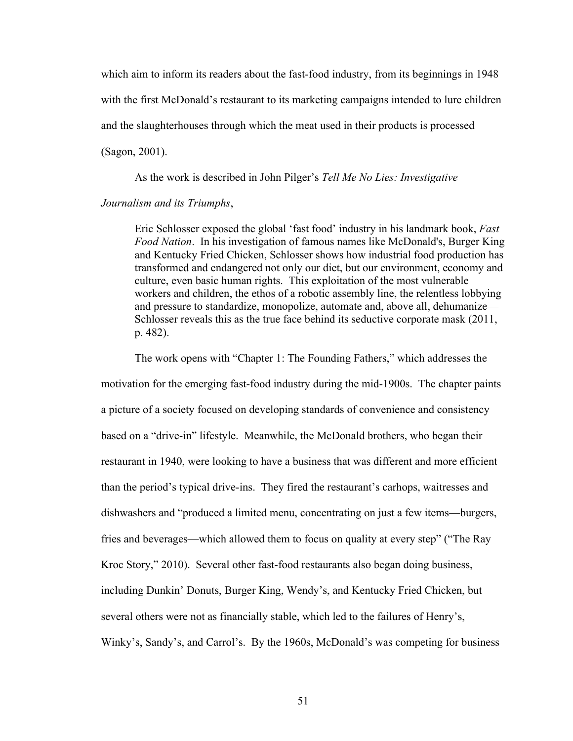which aim to inform its readers about the fast-food industry, from its beginnings in 1948 with the first McDonald's restaurant to its marketing campaigns intended to lure children and the slaughterhouses through which the meat used in their products is processed (Sagon, 2001).

As the work is described in John Pilger's *Tell Me No Lies: Investigative* 

# *Journalism and its Triumphs*,

Eric Schlosser exposed the global 'fast food' industry in his landmark book, *Fast Food Nation*. In his investigation of famous names like McDonald's, Burger King and Kentucky Fried Chicken, Schlosser shows how industrial food production has transformed and endangered not only our diet, but our environment, economy and culture, even basic human rights. This exploitation of the most vulnerable workers and children, the ethos of a robotic assembly line, the relentless lobbying and pressure to standardize, monopolize, automate and, above all, dehumanize— Schlosser reveals this as the true face behind its seductive corporate mask (2011, p. 482).

The work opens with "Chapter 1: The Founding Fathers," which addresses the motivation for the emerging fast-food industry during the mid-1900s. The chapter paints a picture of a society focused on developing standards of convenience and consistency based on a "drive-in" lifestyle. Meanwhile, the McDonald brothers, who began their restaurant in 1940, were looking to have a business that was different and more efficient than the period's typical drive-ins. They fired the restaurant's carhops, waitresses and dishwashers and "produced a limited menu, concentrating on just a few items—burgers, fries and beverages—which allowed them to focus on quality at every step" ("The Ray Kroc Story," 2010). Several other fast-food restaurants also began doing business, including Dunkin' Donuts, Burger King, Wendy's, and Kentucky Fried Chicken, but several others were not as financially stable, which led to the failures of Henry's, Winky's, Sandy's, and Carrol's. By the 1960s, McDonald's was competing for business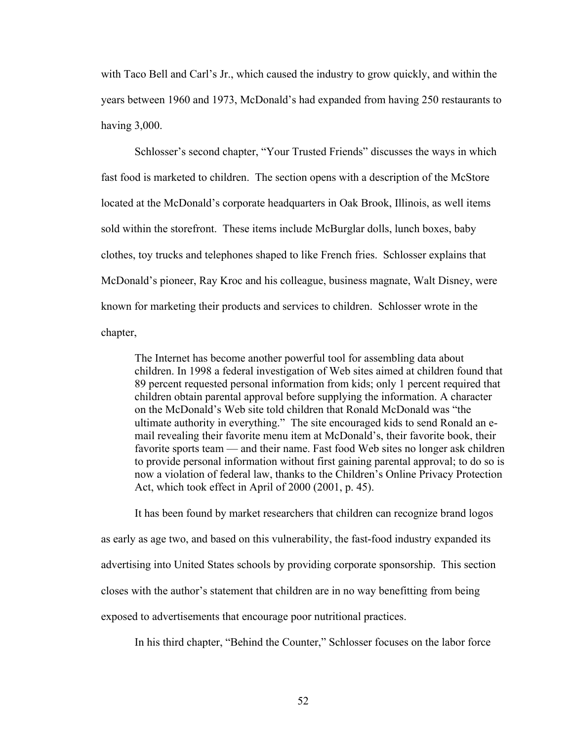with Taco Bell and Carl's Jr., which caused the industry to grow quickly, and within the years between 1960 and 1973, McDonald's had expanded from having 250 restaurants to having 3,000.

Schlosser's second chapter, "Your Trusted Friends" discusses the ways in which fast food is marketed to children. The section opens with a description of the McStore located at the McDonald's corporate headquarters in Oak Brook, Illinois, as well items sold within the storefront. These items include McBurglar dolls, lunch boxes, baby clothes, toy trucks and telephones shaped to like French fries. Schlosser explains that McDonald's pioneer, Ray Kroc and his colleague, business magnate, Walt Disney, were known for marketing their products and services to children. Schlosser wrote in the chapter,

The Internet has become another powerful tool for assembling data about children. In 1998 a federal investigation of Web sites aimed at children found that 89 percent requested personal information from kids; only 1 percent required that children obtain parental approval before supplying the information. A character on the McDonald's Web site told children that Ronald McDonald was "the ultimate authority in everything." The site encouraged kids to send Ronald an email revealing their favorite menu item at McDonald's, their favorite book, their favorite sports team — and their name. Fast food Web sites no longer ask children to provide personal information without first gaining parental approval; to do so is now a violation of federal law, thanks to the Children's Online Privacy Protection Act, which took effect in April of 2000 (2001, p. 45).

It has been found by market researchers that children can recognize brand logos as early as age two, and based on this vulnerability, the fast-food industry expanded its advertising into United States schools by providing corporate sponsorship. This section closes with the author's statement that children are in no way benefitting from being exposed to advertisements that encourage poor nutritional practices.

In his third chapter, "Behind the Counter," Schlosser focuses on the labor force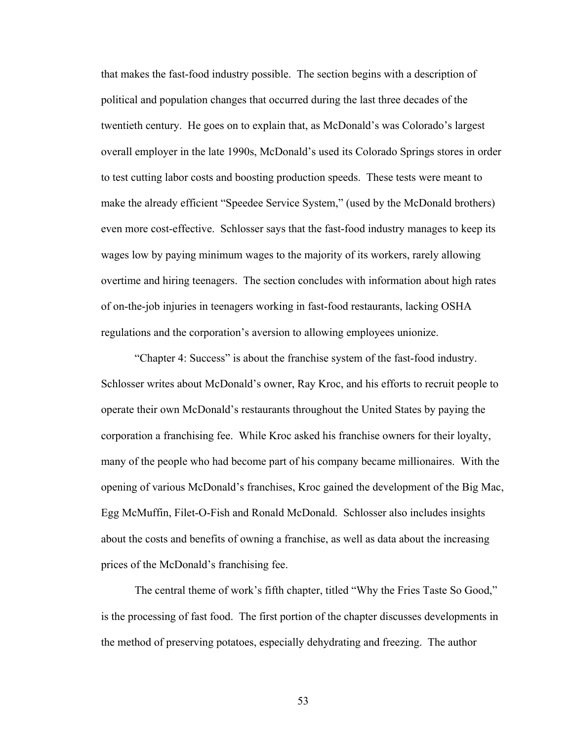that makes the fast-food industry possible. The section begins with a description of political and population changes that occurred during the last three decades of the twentieth century. He goes on to explain that, as McDonald's was Colorado's largest overall employer in the late 1990s, McDonald's used its Colorado Springs stores in order to test cutting labor costs and boosting production speeds. These tests were meant to make the already efficient "Speedee Service System," (used by the McDonald brothers) even more cost-effective. Schlosser says that the fast-food industry manages to keep its wages low by paying minimum wages to the majority of its workers, rarely allowing overtime and hiring teenagers. The section concludes with information about high rates of on-the-job injuries in teenagers working in fast-food restaurants, lacking OSHA regulations and the corporation's aversion to allowing employees unionize.

"Chapter 4: Success" is about the franchise system of the fast-food industry. Schlosser writes about McDonald's owner, Ray Kroc, and his efforts to recruit people to operate their own McDonald's restaurants throughout the United States by paying the corporation a franchising fee. While Kroc asked his franchise owners for their loyalty, many of the people who had become part of his company became millionaires. With the opening of various McDonald's franchises, Kroc gained the development of the Big Mac, Egg McMuffin, Filet-O-Fish and Ronald McDonald. Schlosser also includes insights about the costs and benefits of owning a franchise, as well as data about the increasing prices of the McDonald's franchising fee.

The central theme of work's fifth chapter, titled "Why the Fries Taste So Good," is the processing of fast food. The first portion of the chapter discusses developments in the method of preserving potatoes, especially dehydrating and freezing. The author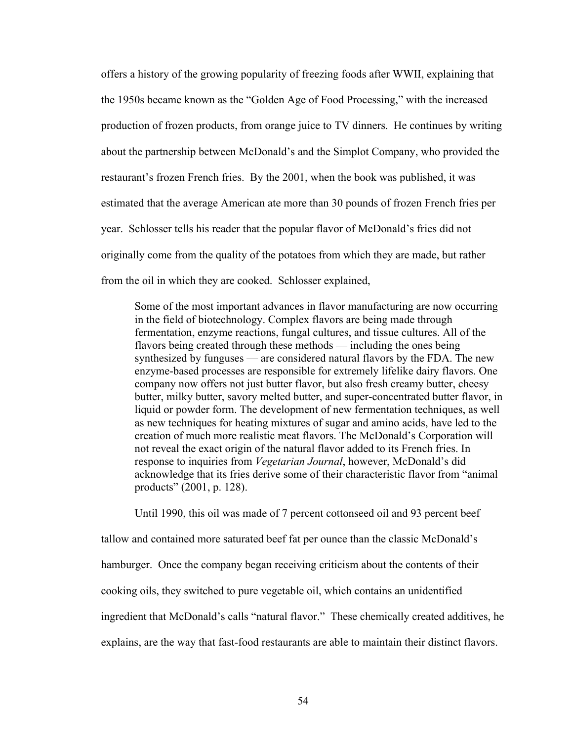offers a history of the growing popularity of freezing foods after WWII, explaining that the 1950s became known as the "Golden Age of Food Processing," with the increased production of frozen products, from orange juice to TV dinners. He continues by writing about the partnership between McDonald's and the Simplot Company, who provided the restaurant's frozen French fries. By the 2001, when the book was published, it was estimated that the average American ate more than 30 pounds of frozen French fries per year. Schlosser tells his reader that the popular flavor of McDonald's fries did not originally come from the quality of the potatoes from which they are made, but rather from the oil in which they are cooked. Schlosser explained,

Some of the most important advances in flavor manufacturing are now occurring in the field of biotechnology. Complex flavors are being made through fermentation, enzyme reactions, fungal cultures, and tissue cultures. All of the flavors being created through these methods — including the ones being synthesized by funguses — are considered natural flavors by the FDA. The new enzyme-based processes are responsible for extremely lifelike dairy flavors. One company now offers not just butter flavor, but also fresh creamy butter, cheesy butter, milky butter, savory melted butter, and super-concentrated butter flavor, in liquid or powder form. The development of new fermentation techniques, as well as new techniques for heating mixtures of sugar and amino acids, have led to the creation of much more realistic meat flavors. The McDonald's Corporation will not reveal the exact origin of the natural flavor added to its French fries. In response to inquiries from *Vegetarian Journal*, however, McDonald's did acknowledge that its fries derive some of their characteristic flavor from "animal products" (2001, p. 128).

Until 1990, this oil was made of 7 percent cottonseed oil and 93 percent beef tallow and contained more saturated beef fat per ounce than the classic McDonald's hamburger. Once the company began receiving criticism about the contents of their cooking oils, they switched to pure vegetable oil, which contains an unidentified ingredient that McDonald's calls "natural flavor." These chemically created additives, he explains, are the way that fast-food restaurants are able to maintain their distinct flavors.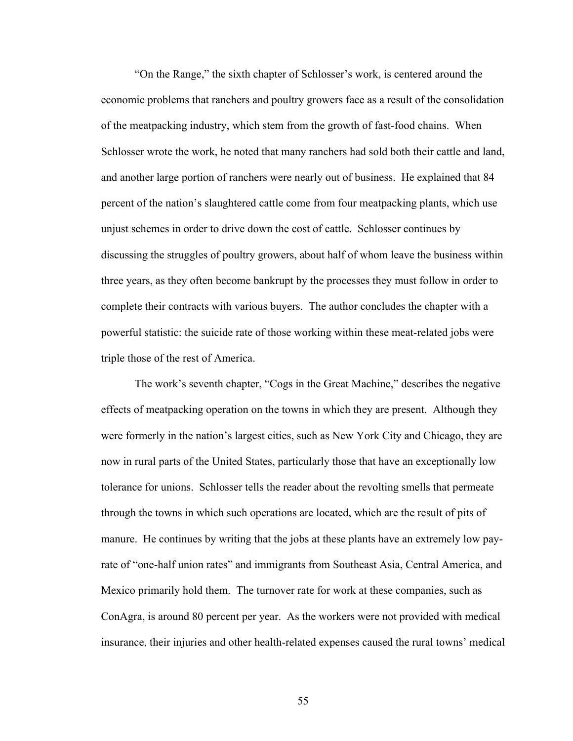"On the Range," the sixth chapter of Schlosser's work, is centered around the economic problems that ranchers and poultry growers face as a result of the consolidation of the meatpacking industry, which stem from the growth of fast-food chains. When Schlosser wrote the work, he noted that many ranchers had sold both their cattle and land, and another large portion of ranchers were nearly out of business. He explained that 84 percent of the nation's slaughtered cattle come from four meatpacking plants, which use unjust schemes in order to drive down the cost of cattle. Schlosser continues by discussing the struggles of poultry growers, about half of whom leave the business within three years, as they often become bankrupt by the processes they must follow in order to complete their contracts with various buyers. The author concludes the chapter with a powerful statistic: the suicide rate of those working within these meat-related jobs were triple those of the rest of America.

The work's seventh chapter, "Cogs in the Great Machine," describes the negative effects of meatpacking operation on the towns in which they are present. Although they were formerly in the nation's largest cities, such as New York City and Chicago, they are now in rural parts of the United States, particularly those that have an exceptionally low tolerance for unions. Schlosser tells the reader about the revolting smells that permeate through the towns in which such operations are located, which are the result of pits of manure. He continues by writing that the jobs at these plants have an extremely low payrate of "one-half union rates" and immigrants from Southeast Asia, Central America, and Mexico primarily hold them. The turnover rate for work at these companies, such as ConAgra, is around 80 percent per year. As the workers were not provided with medical insurance, their injuries and other health-related expenses caused the rural towns' medical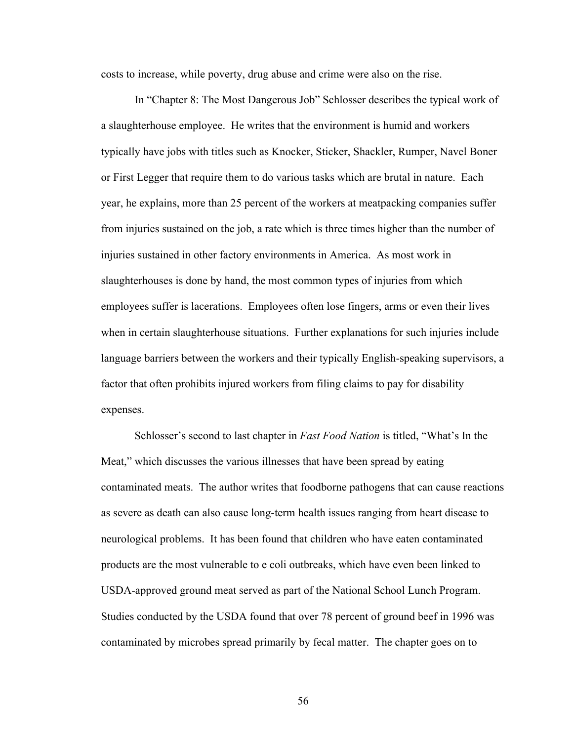costs to increase, while poverty, drug abuse and crime were also on the rise.

In "Chapter 8: The Most Dangerous Job" Schlosser describes the typical work of a slaughterhouse employee. He writes that the environment is humid and workers typically have jobs with titles such as Knocker, Sticker, Shackler, Rumper, Navel Boner or First Legger that require them to do various tasks which are brutal in nature. Each year, he explains, more than 25 percent of the workers at meatpacking companies suffer from injuries sustained on the job, a rate which is three times higher than the number of injuries sustained in other factory environments in America. As most work in slaughterhouses is done by hand, the most common types of injuries from which employees suffer is lacerations. Employees often lose fingers, arms or even their lives when in certain slaughterhouse situations. Further explanations for such injuries include language barriers between the workers and their typically English-speaking supervisors, a factor that often prohibits injured workers from filing claims to pay for disability expenses.

Schlosser's second to last chapter in *Fast Food Nation* is titled, "What's In the Meat," which discusses the various illnesses that have been spread by eating contaminated meats. The author writes that foodborne pathogens that can cause reactions as severe as death can also cause long-term health issues ranging from heart disease to neurological problems. It has been found that children who have eaten contaminated products are the most vulnerable to e coli outbreaks, which have even been linked to USDA-approved ground meat served as part of the National School Lunch Program. Studies conducted by the USDA found that over 78 percent of ground beef in 1996 was contaminated by microbes spread primarily by fecal matter. The chapter goes on to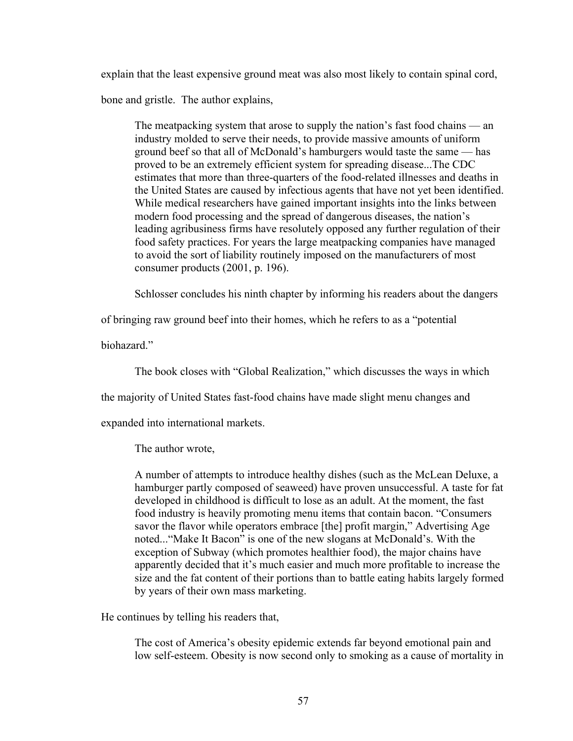explain that the least expensive ground meat was also most likely to contain spinal cord, bone and gristle. The author explains,

The meatpacking system that arose to supply the nation's fast food chains — an industry molded to serve their needs, to provide massive amounts of uniform ground beef so that all of McDonald's hamburgers would taste the same — has proved to be an extremely efficient system for spreading disease...The CDC estimates that more than three-quarters of the food-related illnesses and deaths in the United States are caused by infectious agents that have not yet been identified. While medical researchers have gained important insights into the links between modern food processing and the spread of dangerous diseases, the nation's leading agribusiness firms have resolutely opposed any further regulation of their food safety practices. For years the large meatpacking companies have managed to avoid the sort of liability routinely imposed on the manufacturers of most consumer products (2001, p. 196).

Schlosser concludes his ninth chapter by informing his readers about the dangers

of bringing raw ground beef into their homes, which he refers to as a "potential

biohazard."

The book closes with "Global Realization," which discusses the ways in which

the majority of United States fast-food chains have made slight menu changes and

expanded into international markets.

The author wrote,

A number of attempts to introduce healthy dishes (such as the McLean Deluxe, a hamburger partly composed of seaweed) have proven unsuccessful. A taste for fat developed in childhood is difficult to lose as an adult. At the moment, the fast food industry is heavily promoting menu items that contain bacon. "Consumers savor the flavor while operators embrace [the] profit margin," Advertising Age noted..."Make It Bacon" is one of the new slogans at McDonald's. With the exception of Subway (which promotes healthier food), the major chains have apparently decided that it's much easier and much more profitable to increase the size and the fat content of their portions than to battle eating habits largely formed by years of their own mass marketing.

He continues by telling his readers that,

The cost of America's obesity epidemic extends far beyond emotional pain and low self-esteem. Obesity is now second only to smoking as a cause of mortality in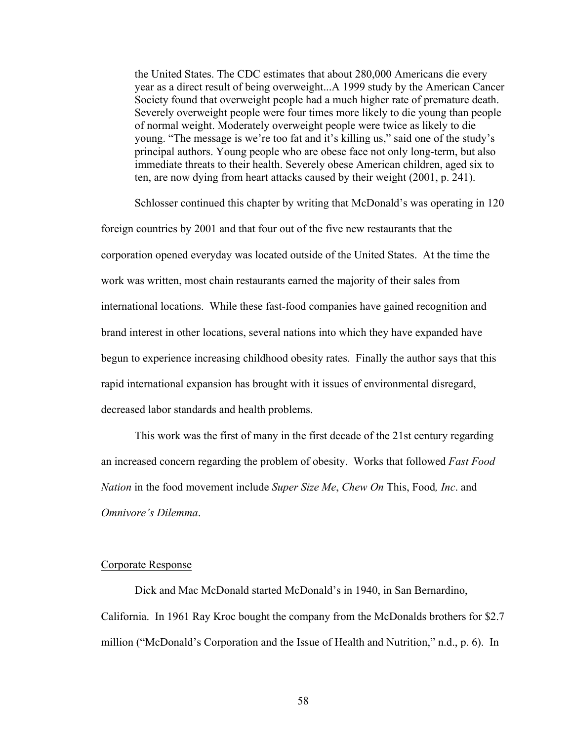the United States. The CDC estimates that about 280,000 Americans die every year as a direct result of being overweight...A 1999 study by the American Cancer Society found that overweight people had a much higher rate of premature death. Severely overweight people were four times more likely to die young than people of normal weight. Moderately overweight people were twice as likely to die young. "The message is we're too fat and it's killing us," said one of the study's principal authors. Young people who are obese face not only long-term, but also immediate threats to their health. Severely obese American children, aged six to ten, are now dying from heart attacks caused by their weight (2001, p. 241).

Schlosser continued this chapter by writing that McDonald's was operating in 120 foreign countries by 2001 and that four out of the five new restaurants that the corporation opened everyday was located outside of the United States. At the time the work was written, most chain restaurants earned the majority of their sales from international locations. While these fast-food companies have gained recognition and brand interest in other locations, several nations into which they have expanded have begun to experience increasing childhood obesity rates. Finally the author says that this rapid international expansion has brought with it issues of environmental disregard, decreased labor standards and health problems.

This work was the first of many in the first decade of the 21st century regarding an increased concern regarding the problem of obesity. Works that followed *Fast Food Nation* in the food movement include *Super Size Me*, *Chew On* This, Food*, Inc*. and *Omnivore's Dilemma*.

### Corporate Response

Dick and Mac McDonald started McDonald's in 1940, in San Bernardino, California. In 1961 Ray Kroc bought the company from the McDonalds brothers for \$2.7 million ("McDonald's Corporation and the Issue of Health and Nutrition," n.d., p. 6). In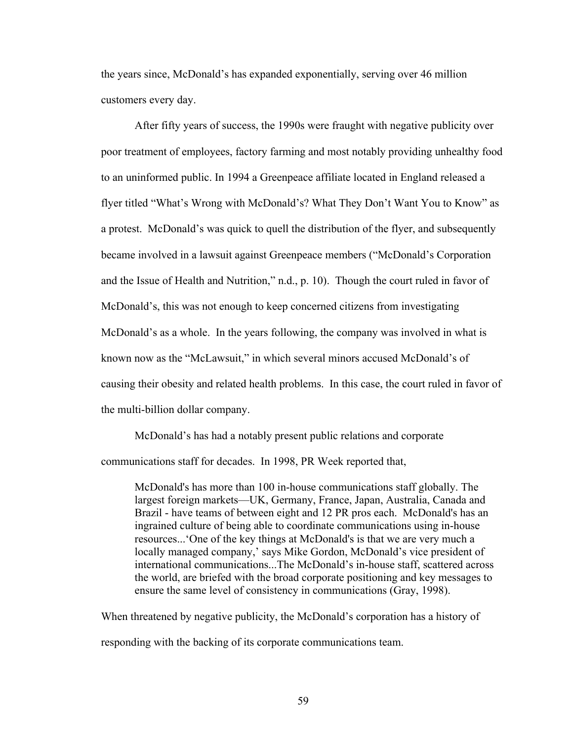the years since, McDonald's has expanded exponentially, serving over 46 million customers every day.

After fifty years of success, the 1990s were fraught with negative publicity over poor treatment of employees, factory farming and most notably providing unhealthy food to an uninformed public. In 1994 a Greenpeace affiliate located in England released a flyer titled "What's Wrong with McDonald's? What They Don't Want You to Know" as a protest. McDonald's was quick to quell the distribution of the flyer, and subsequently became involved in a lawsuit against Greenpeace members ("McDonald's Corporation and the Issue of Health and Nutrition," n.d., p. 10). Though the court ruled in favor of McDonald's, this was not enough to keep concerned citizens from investigating McDonald's as a whole. In the years following, the company was involved in what is known now as the "McLawsuit," in which several minors accused McDonald's of causing their obesity and related health problems. In this case, the court ruled in favor of the multi-billion dollar company.

McDonald's has had a notably present public relations and corporate communications staff for decades. In 1998, PR Week reported that,

McDonald's has more than 100 in-house communications staff globally. The largest foreign markets—UK, Germany, France, Japan, Australia, Canada and Brazil - have teams of between eight and 12 PR pros each. McDonald's has an ingrained culture of being able to coordinate communications using in-house resources...'One of the key things at McDonald's is that we are very much a locally managed company,' says Mike Gordon, McDonald's vice president of international communications...The McDonald's in-house staff, scattered across the world, are briefed with the broad corporate positioning and key messages to ensure the same level of consistency in communications (Gray, 1998).

When threatened by negative publicity, the McDonald's corporation has a history of

responding with the backing of its corporate communications team.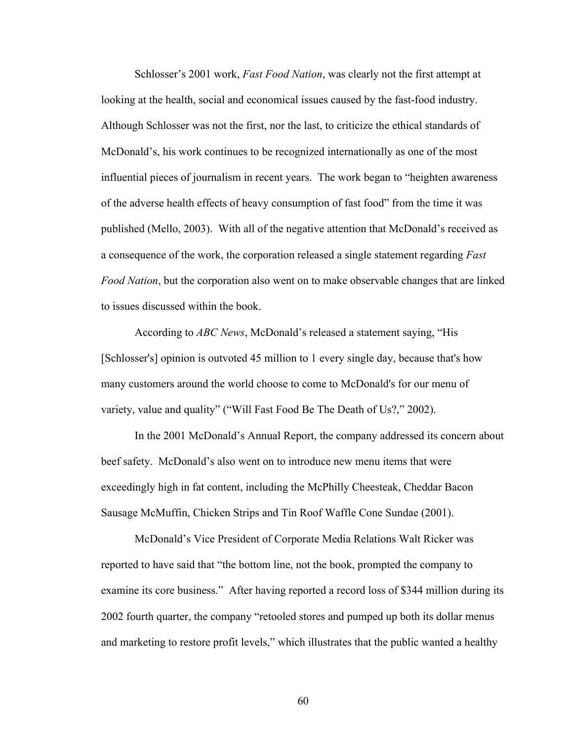Schlosser's 2001 work, *Fast Food Nation*, was clearly not the first attempt at looking at the health, social and economical issues caused by the fast-food industry. Although Schlosser was not the first, nor the last, to criticize the ethical standards of McDonald's, his work continues to be recognized internationally as one of the most influential pieces of journalism in recent years. The work began to "heighten awareness of the adverse health effects of heavy consumption of fast food" from the time it was published (Mello, 2003). With all of the negative attention that McDonald's received as a consequence of the work, the corporation released a single statement regarding *Fast Food Nation*, but the corporation also went on to make observable changes that are linked to issues discussed within the book.

According to *ABC News*, McDonald's released a statement saying, "His [Schlosser's] opinion is outvoted 45 million to 1 every single day, because that's how many customers around the world choose to come to McDonald's for our menu of variety, value and quality" ("Will Fast Food Be The Death of Us?," 2002).

In the 2001 McDonald's Annual Report, the company addressed its concern about beef safety. McDonald's also went on to introduce new menu items that were exceedingly high in fat content, including the McPhilly Cheesteak, Cheddar Bacon Sausage McMuffin, Chicken Strips and Tin Roof Waffle Cone Sundae (2001).

McDonald's Vice President of Corporate Media Relations Walt Ricker was reported to have said that "the bottom line, not the book, prompted the company to examine its core business." After having reported a record loss of \$344 million during its 2002 fourth quarter, the company "retooled stores and pumped up both its dollar menus and marketing to restore profit levels," which illustrates that the public wanted a healthy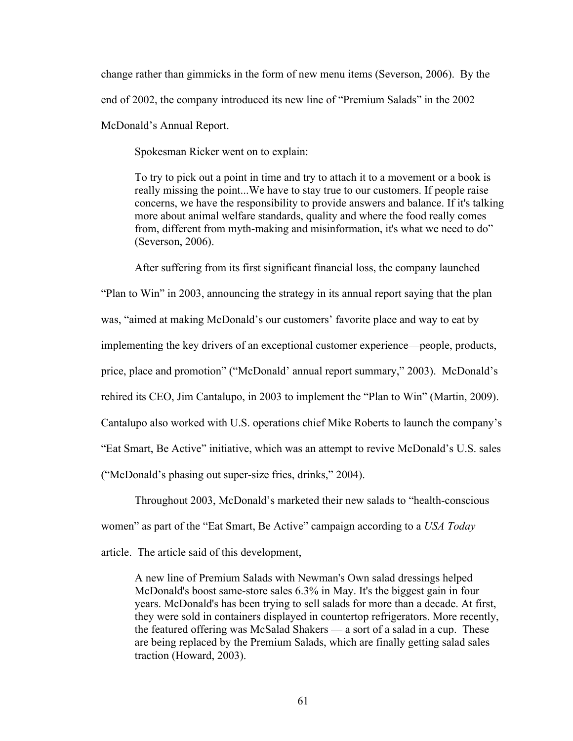change rather than gimmicks in the form of new menu items (Severson, 2006). By the end of 2002, the company introduced its new line of "Premium Salads" in the 2002 McDonald's Annual Report.

Spokesman Ricker went on to explain:

To try to pick out a point in time and try to attach it to a movement or a book is really missing the point...We have to stay true to our customers. If people raise concerns, we have the responsibility to provide answers and balance. If it's talking more about animal welfare standards, quality and where the food really comes from, different from myth-making and misinformation, it's what we need to do" (Severson, 2006).

After suffering from its first significant financial loss, the company launched "Plan to Win" in 2003, announcing the strategy in its annual report saying that the plan was, "aimed at making McDonald's our customers' favorite place and way to eat by implementing the key drivers of an exceptional customer experience—people, products, price, place and promotion" ("McDonald' annual report summary," 2003). McDonald's rehired its CEO, Jim Cantalupo, in 2003 to implement the "Plan to Win" (Martin, 2009). Cantalupo also worked with U.S. operations chief Mike Roberts to launch the company's "Eat Smart, Be Active" initiative, which was an attempt to revive McDonald's U.S. sales ("McDonald's phasing out super-size fries, drinks," 2004).

Throughout 2003, McDonald's marketed their new salads to "health-conscious women" as part of the "Eat Smart, Be Active" campaign according to a *USA Today* article. The article said of this development,

A new line of Premium Salads with Newman's Own salad dressings helped McDonald's boost same-store sales 6.3% in May. It's the biggest gain in four years. McDonald's has been trying to sell salads for more than a decade. At first, they were sold in containers displayed in countertop refrigerators. More recently, the featured offering was McSalad Shakers — a sort of a salad in a cup. These are being replaced by the Premium Salads, which are finally getting salad sales traction (Howard, 2003).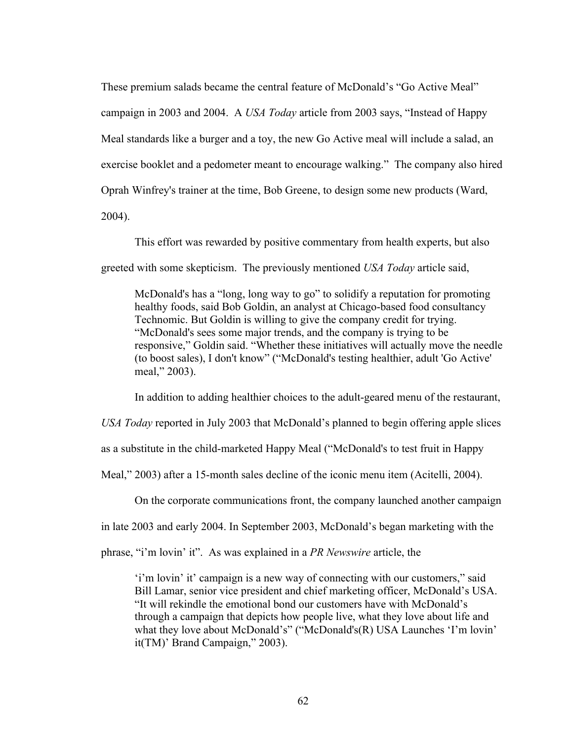These premium salads became the central feature of McDonald's "Go Active Meal" campaign in 2003 and 2004. A *USA Today* article from 2003 says, "Instead of Happy Meal standards like a burger and a toy, the new Go Active meal will include a salad, an exercise booklet and a pedometer meant to encourage walking." The company also hired Oprah Winfrey's trainer at the time, Bob Greene, to design some new products (Ward, 2004).

This effort was rewarded by positive commentary from health experts, but also greeted with some skepticism. The previously mentioned *USA Today* article said,

McDonald's has a "long, long way to go" to solidify a reputation for promoting healthy foods, said Bob Goldin, an analyst at Chicago-based food consultancy Technomic. But Goldin is willing to give the company credit for trying. "McDonald's sees some major trends, and the company is trying to be responsive," Goldin said. "Whether these initiatives will actually move the needle (to boost sales), I don't know" ("McDonald's testing healthier, adult 'Go Active' meal," 2003).

In addition to adding healthier choices to the adult-geared menu of the restaurant,

*USA Today* reported in July 2003 that McDonald's planned to begin offering apple slices

as a substitute in the child-marketed Happy Meal ("McDonald's to test fruit in Happy

Meal," 2003) after a 15-month sales decline of the iconic menu item (Acitelli, 2004).

On the corporate communications front, the company launched another campaign

in late 2003 and early 2004. In September 2003, McDonald's began marketing with the

phrase, "i'm lovin' it". As was explained in a *PR Newswire* article, the

'i'm lovin' it' campaign is a new way of connecting with our customers," said Bill Lamar, senior vice president and chief marketing officer, McDonald's USA. "It will rekindle the emotional bond our customers have with McDonald's through a campaign that depicts how people live, what they love about life and what they love about McDonald's" ("McDonald's(R) USA Launches 'I'm lovin' it(TM)' Brand Campaign," 2003).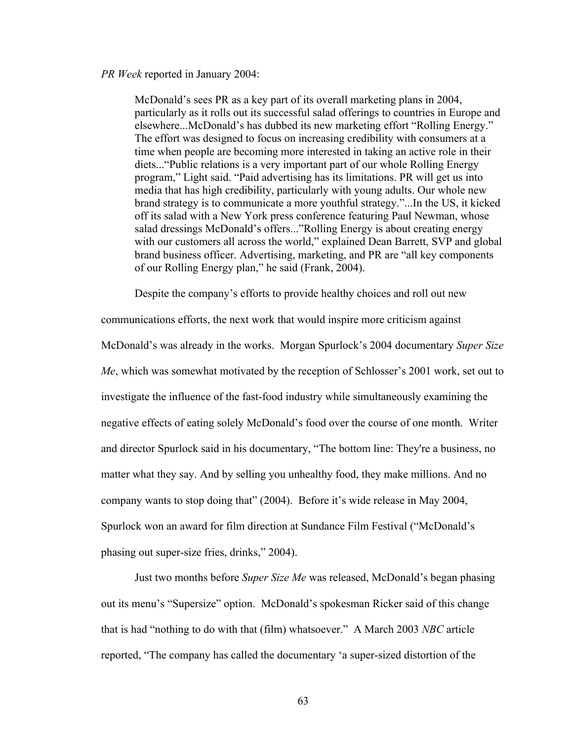*PR Week* reported in January 2004:

McDonald's sees PR as a key part of its overall marketing plans in 2004, particularly as it rolls out its successful salad offerings to countries in Europe and elsewhere...McDonald's has dubbed its new marketing effort "Rolling Energy." The effort was designed to focus on increasing credibility with consumers at a time when people are becoming more interested in taking an active role in their diets..."Public relations is a very important part of our whole Rolling Energy program," Light said. "Paid advertising has its limitations. PR will get us into media that has high credibility, particularly with young adults. Our whole new brand strategy is to communicate a more youthful strategy."...In the US, it kicked off its salad with a New York press conference featuring Paul Newman, whose salad dressings McDonald's offers..."Rolling Energy is about creating energy with our customers all across the world," explained Dean Barrett, SVP and global brand business officer. Advertising, marketing, and PR are "all key components of our Rolling Energy plan," he said (Frank, 2004).

Despite the company's efforts to provide healthy choices and roll out new

communications efforts, the next work that would inspire more criticism against McDonald's was already in the works. Morgan Spurlock's 2004 documentary *Super Size Me*, which was somewhat motivated by the reception of Schlosser's 2001 work, set out to investigate the influence of the fast-food industry while simultaneously examining the negative effects of eating solely McDonald's food over the course of one month. Writer and director Spurlock said in his documentary, "The bottom line: They're a business, no matter what they say. And by selling you unhealthy food, they make millions. And no company wants to stop doing that" (2004). Before it's wide release in May 2004, Spurlock won an award for film direction at Sundance Film Festival ("McDonald's phasing out super-size fries, drinks," 2004).

Just two months before *Super Size Me* was released, McDonald's began phasing out its menu's "Supersize" option. McDonald's spokesman Ricker said of this change that is had "nothing to do with that (film) whatsoever." A March 2003 *NBC* article reported, "The company has called the documentary 'a super-sized distortion of the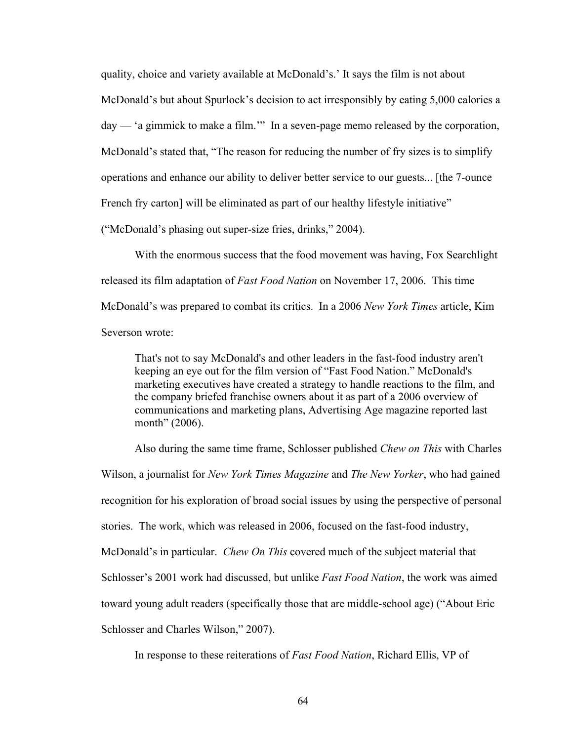quality, choice and variety available at McDonald's.' It says the film is not about McDonald's but about Spurlock's decision to act irresponsibly by eating 5,000 calories a day — 'a gimmick to make a film.'" In a seven-page memo released by the corporation, McDonald's stated that, "The reason for reducing the number of fry sizes is to simplify operations and enhance our ability to deliver better service to our guests... [the 7-ounce French fry carton] will be eliminated as part of our healthy lifestyle initiative" ("McDonald's phasing out super-size fries, drinks," 2004).

With the enormous success that the food movement was having, Fox Searchlight released its film adaptation of *Fast Food Nation* on November 17, 2006. This time McDonald's was prepared to combat its critics. In a 2006 *New York Times* article, Kim Severson wrote:

That's not to say McDonald's and other leaders in the fast-food industry aren't keeping an eye out for the film version of "Fast Food Nation." McDonald's marketing executives have created a strategy to handle reactions to the film, and the company briefed franchise owners about it as part of a 2006 overview of communications and marketing plans, Advertising Age magazine reported last month" (2006).

Also during the same time frame, Schlosser published *Chew on This* with Charles Wilson, a journalist for *New York Times Magazine* and *The New Yorker*, who had gained recognition for his exploration of broad social issues by using the perspective of personal stories. The work, which was released in 2006, focused on the fast-food industry, McDonald's in particular. *Chew On This* covered much of the subject material that Schlosser's 2001 work had discussed, but unlike *Fast Food Nation*, the work was aimed toward young adult readers (specifically those that are middle-school age) ("About Eric Schlosser and Charles Wilson," 2007).

In response to these reiterations of *Fast Food Nation*, Richard Ellis, VP of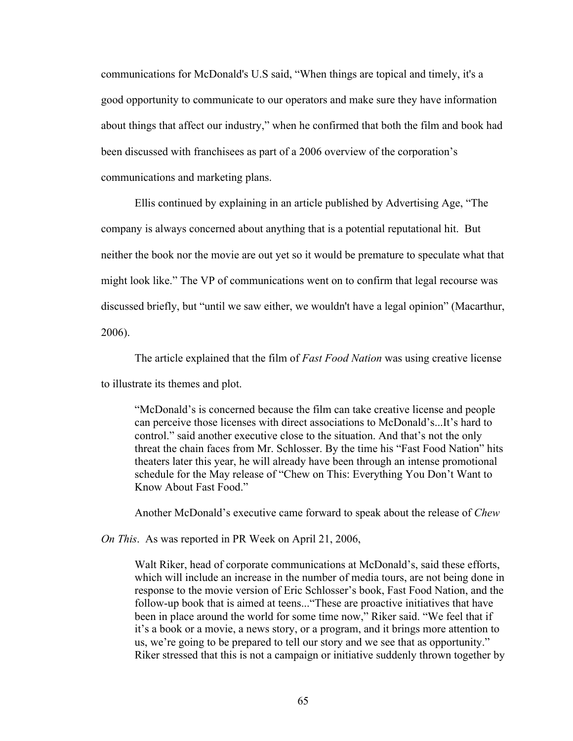communications for McDonald's U.S said, "When things are topical and timely, it's a good opportunity to communicate to our operators and make sure they have information about things that affect our industry," when he confirmed that both the film and book had been discussed with franchisees as part of a 2006 overview of the corporation's communications and marketing plans.

Ellis continued by explaining in an article published by Advertising Age, "The company is always concerned about anything that is a potential reputational hit. But neither the book nor the movie are out yet so it would be premature to speculate what that might look like." The VP of communications went on to confirm that legal recourse was discussed briefly, but "until we saw either, we wouldn't have a legal opinion" (Macarthur, 2006).

The article explained that the film of *Fast Food Nation* was using creative license

to illustrate its themes and plot.

"McDonald's is concerned because the film can take creative license and people can perceive those licenses with direct associations to McDonald's...It's hard to control." said another executive close to the situation. And that's not the only threat the chain faces from Mr. Schlosser. By the time his "Fast Food Nation" hits theaters later this year, he will already have been through an intense promotional schedule for the May release of "Chew on This: Everything You Don't Want to Know About Fast Food."

Another McDonald's executive came forward to speak about the release of *Chew* 

*On This*. As was reported in PR Week on April 21, 2006,

Walt Riker, head of corporate communications at McDonald's, said these efforts, which will include an increase in the number of media tours, are not being done in response to the movie version of Eric Schlosser's book, Fast Food Nation, and the follow-up book that is aimed at teens..."These are proactive initiatives that have been in place around the world for some time now," Riker said. "We feel that if it's a book or a movie, a news story, or a program, and it brings more attention to us, we're going to be prepared to tell our story and we see that as opportunity." Riker stressed that this is not a campaign or initiative suddenly thrown together by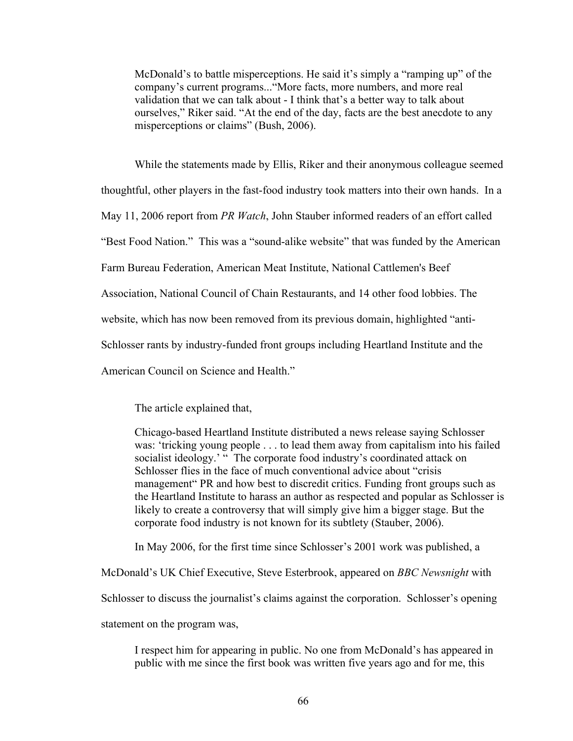McDonald's to battle misperceptions. He said it's simply a "ramping up" of the company's current programs..."More facts, more numbers, and more real validation that we can talk about - I think that's a better way to talk about ourselves," Riker said. "At the end of the day, facts are the best anecdote to any misperceptions or claims" (Bush, 2006).

While the statements made by Ellis, Riker and their anonymous colleague seemed thoughtful, other players in the fast-food industry took matters into their own hands. In a May 11, 2006 report from *PR Watch*, John Stauber informed readers of an effort called "Best Food Nation." This was a "sound-alike website" that was funded by the American Farm Bureau Federation, American Meat Institute, National Cattlemen's Beef Association, National Council of Chain Restaurants, and 14 other food lobbies. The website, which has now been removed from its previous domain, highlighted "anti-Schlosser rants by industry-funded front groups including Heartland Institute and the American Council on Science and Health."

The article explained that,

Chicago-based Heartland Institute distributed a news release saying Schlosser was: 'tricking young people . . . to lead them away from capitalism into his failed socialist ideology.' " The corporate food industry's coordinated attack on Schlosser flies in the face of much conventional advice about "crisis management" PR and how best to discredit critics. Funding front groups such as the Heartland Institute to harass an author as respected and popular as Schlosser is likely to create a controversy that will simply give him a bigger stage. But the corporate food industry is not known for its subtlety (Stauber, 2006).

In May 2006, for the first time since Schlosser's 2001 work was published, a

McDonald's UK Chief Executive, Steve Esterbrook, appeared on *BBC Newsnight* with

Schlosser to discuss the journalist's claims against the corporation. Schlosser's opening

statement on the program was,

I respect him for appearing in public. No one from McDonald's has appeared in public with me since the first book was written five years ago and for me, this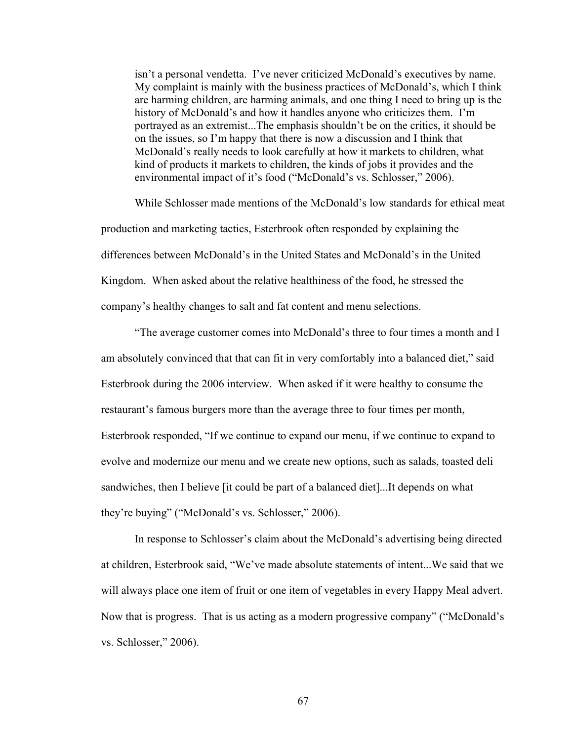isn't a personal vendetta. I've never criticized McDonald's executives by name. My complaint is mainly with the business practices of McDonald's, which I think are harming children, are harming animals, and one thing I need to bring up is the history of McDonald's and how it handles anyone who criticizes them. I'm portrayed as an extremist...The emphasis shouldn't be on the critics, it should be on the issues, so I'm happy that there is now a discussion and I think that McDonald's really needs to look carefully at how it markets to children, what kind of products it markets to children, the kinds of jobs it provides and the environmental impact of it's food ("McDonald's vs. Schlosser," 2006).

While Schlosser made mentions of the McDonald's low standards for ethical meat production and marketing tactics, Esterbrook often responded by explaining the differences between McDonald's in the United States and McDonald's in the United Kingdom. When asked about the relative healthiness of the food, he stressed the company's healthy changes to salt and fat content and menu selections.

"The average customer comes into McDonald's three to four times a month and I am absolutely convinced that that can fit in very comfortably into a balanced diet," said Esterbrook during the 2006 interview. When asked if it were healthy to consume the restaurant's famous burgers more than the average three to four times per month, Esterbrook responded, "If we continue to expand our menu, if we continue to expand to evolve and modernize our menu and we create new options, such as salads, toasted deli sandwiches, then I believe [it could be part of a balanced diet]...It depends on what they're buying" ("McDonald's vs. Schlosser," 2006).

In response to Schlosser's claim about the McDonald's advertising being directed at children, Esterbrook said, "We've made absolute statements of intent...We said that we will always place one item of fruit or one item of vegetables in every Happy Meal advert. Now that is progress. That is us acting as a modern progressive company" ("McDonald's vs. Schlosser," 2006).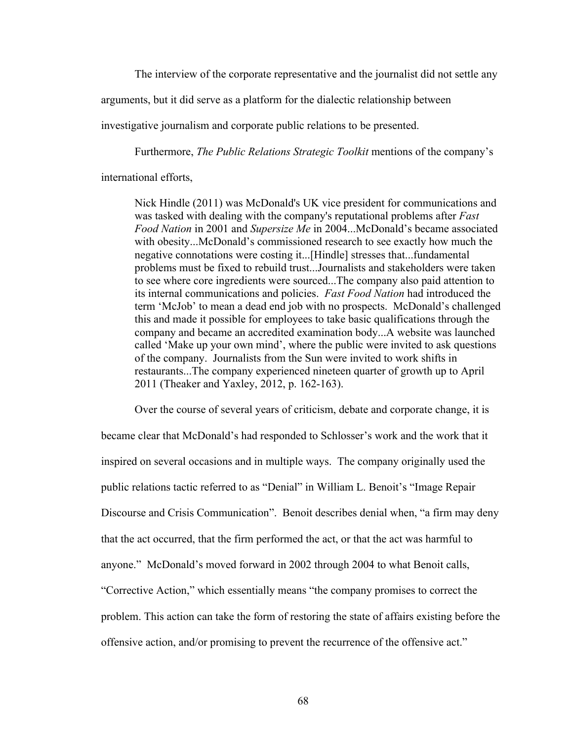The interview of the corporate representative and the journalist did not settle any

arguments, but it did serve as a platform for the dialectic relationship between

investigative journalism and corporate public relations to be presented.

Furthermore, *The Public Relations Strategic Toolkit* mentions of the company's

international efforts,

Nick Hindle (2011) was McDonald's UK vice president for communications and was tasked with dealing with the company's reputational problems after *Fast Food Nation* in 2001 and *Supersize Me* in 2004...McDonald's became associated with obesity...McDonald's commissioned research to see exactly how much the negative connotations were costing it...[Hindle] stresses that...fundamental problems must be fixed to rebuild trust...Journalists and stakeholders were taken to see where core ingredients were sourced...The company also paid attention to its internal communications and policies. *Fast Food Nation* had introduced the term 'McJob' to mean a dead end job with no prospects. McDonald's challenged this and made it possible for employees to take basic qualifications through the company and became an accredited examination body...A website was launched called 'Make up your own mind', where the public were invited to ask questions of the company. Journalists from the Sun were invited to work shifts in restaurants...The company experienced nineteen quarter of growth up to April 2011 (Theaker and Yaxley, 2012, p. 162-163).

Over the course of several years of criticism, debate and corporate change, it is became clear that McDonald's had responded to Schlosser's work and the work that it inspired on several occasions and in multiple ways. The company originally used the public relations tactic referred to as "Denial" in William L. Benoit's "Image Repair Discourse and Crisis Communication". Benoit describes denial when, "a firm may deny that the act occurred, that the firm performed the act, or that the act was harmful to anyone." McDonald's moved forward in 2002 through 2004 to what Benoit calls, "Corrective Action," which essentially means "the company promises to correct the problem. This action can take the form of restoring the state of affairs existing before the offensive action, and/or promising to prevent the recurrence of the offensive act."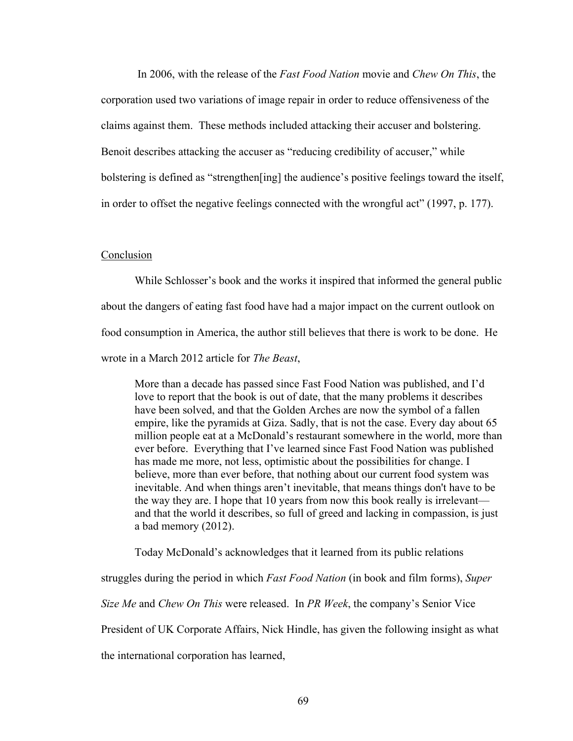In 2006, with the release of the *Fast Food Nation* movie and *Chew On This*, the corporation used two variations of image repair in order to reduce offensiveness of the claims against them. These methods included attacking their accuser and bolstering. Benoit describes attacking the accuser as "reducing credibility of accuser," while bolstering is defined as "strengthen[ing] the audience's positive feelings toward the itself, in order to offset the negative feelings connected with the wrongful act" (1997, p. 177).

## Conclusion

While Schlosser's book and the works it inspired that informed the general public about the dangers of eating fast food have had a major impact on the current outlook on food consumption in America, the author still believes that there is work to be done. He wrote in a March 2012 article for *The Beast*,

More than a decade has passed since Fast Food Nation was published, and I'd love to report that the book is out of date, that the many problems it describes have been solved, and that the Golden Arches are now the symbol of a fallen empire, like the pyramids at Giza. Sadly, that is not the case. Every day about 65 million people eat at a McDonald's restaurant somewhere in the world, more than ever before. Everything that I've learned since Fast Food Nation was published has made me more, not less, optimistic about the possibilities for change. I believe, more than ever before, that nothing about our current food system was inevitable. And when things aren't inevitable, that means things don't have to be the way they are. I hope that 10 years from now this book really is irrelevant and that the world it describes, so full of greed and lacking in compassion, is just a bad memory (2012).

Today McDonald's acknowledges that it learned from its public relations

struggles during the period in which *Fast Food Nation* (in book and film forms), *Super* 

*Size Me* and *Chew On This* were released. In *PR Week*, the company's Senior Vice

President of UK Corporate Affairs, Nick Hindle, has given the following insight as what

the international corporation has learned,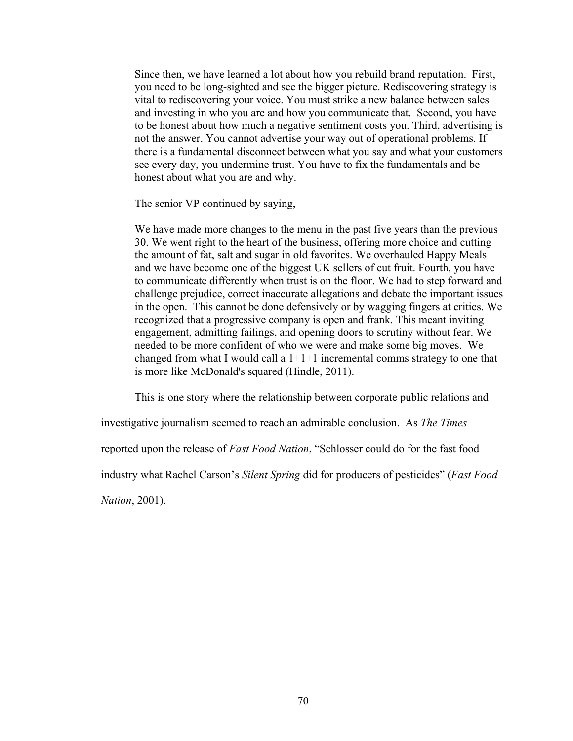Since then, we have learned a lot about how you rebuild brand reputation. First, you need to be long-sighted and see the bigger picture. Rediscovering strategy is vital to rediscovering your voice. You must strike a new balance between sales and investing in who you are and how you communicate that. Second, you have to be honest about how much a negative sentiment costs you. Third, advertising is not the answer. You cannot advertise your way out of operational problems. If there is a fundamental disconnect between what you say and what your customers see every day, you undermine trust. You have to fix the fundamentals and be honest about what you are and why.

The senior VP continued by saying,

We have made more changes to the menu in the past five years than the previous 30. We went right to the heart of the business, offering more choice and cutting the amount of fat, salt and sugar in old favorites. We overhauled Happy Meals and we have become one of the biggest UK sellers of cut fruit. Fourth, you have to communicate differently when trust is on the floor. We had to step forward and challenge prejudice, correct inaccurate allegations and debate the important issues in the open. This cannot be done defensively or by wagging fingers at critics. We recognized that a progressive company is open and frank. This meant inviting engagement, admitting failings, and opening doors to scrutiny without fear. We needed to be more confident of who we were and make some big moves. We changed from what I would call a  $1+1+1$  incremental comms strategy to one that is more like McDonald's squared (Hindle, 2011).

This is one story where the relationship between corporate public relations and

investigative journalism seemed to reach an admirable conclusion. As *The Times*

reported upon the release of *Fast Food Nation*, "Schlosser could do for the fast food

industry what Rachel Carson's *Silent Spring* did for producers of pesticides" (*Fast Food* 

*Nation*, 2001).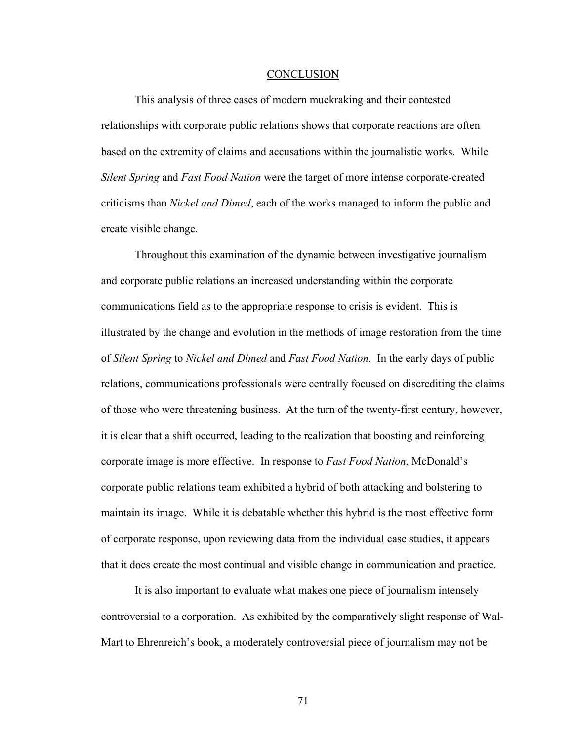## CONCLUSION

This analysis of three cases of modern muckraking and their contested relationships with corporate public relations shows that corporate reactions are often based on the extremity of claims and accusations within the journalistic works. While *Silent Spring* and *Fast Food Nation* were the target of more intense corporate-created criticisms than *Nickel and Dimed*, each of the works managed to inform the public and create visible change.

Throughout this examination of the dynamic between investigative journalism and corporate public relations an increased understanding within the corporate communications field as to the appropriate response to crisis is evident. This is illustrated by the change and evolution in the methods of image restoration from the time of *Silent Spring* to *Nickel and Dimed* and *Fast Food Nation*. In the early days of public relations, communications professionals were centrally focused on discrediting the claims of those who were threatening business. At the turn of the twenty-first century, however, it is clear that a shift occurred, leading to the realization that boosting and reinforcing corporate image is more effective. In response to *Fast Food Nation*, McDonald's corporate public relations team exhibited a hybrid of both attacking and bolstering to maintain its image. While it is debatable whether this hybrid is the most effective form of corporate response, upon reviewing data from the individual case studies, it appears that it does create the most continual and visible change in communication and practice.

It is also important to evaluate what makes one piece of journalism intensely controversial to a corporation. As exhibited by the comparatively slight response of Wal-Mart to Ehrenreich's book, a moderately controversial piece of journalism may not be

71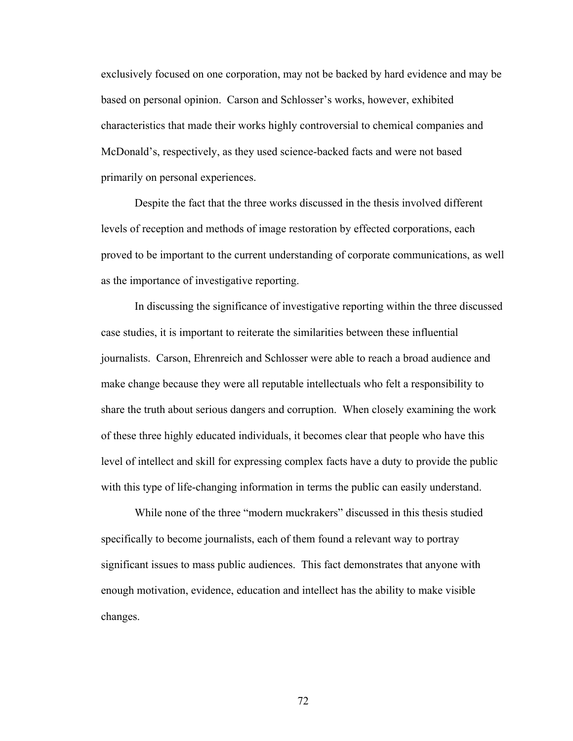exclusively focused on one corporation, may not be backed by hard evidence and may be based on personal opinion. Carson and Schlosser's works, however, exhibited characteristics that made their works highly controversial to chemical companies and McDonald's, respectively, as they used science-backed facts and were not based primarily on personal experiences.

Despite the fact that the three works discussed in the thesis involved different levels of reception and methods of image restoration by effected corporations, each proved to be important to the current understanding of corporate communications, as well as the importance of investigative reporting.

In discussing the significance of investigative reporting within the three discussed case studies, it is important to reiterate the similarities between these influential journalists. Carson, Ehrenreich and Schlosser were able to reach a broad audience and make change because they were all reputable intellectuals who felt a responsibility to share the truth about serious dangers and corruption. When closely examining the work of these three highly educated individuals, it becomes clear that people who have this level of intellect and skill for expressing complex facts have a duty to provide the public with this type of life-changing information in terms the public can easily understand.

While none of the three "modern muckrakers" discussed in this thesis studied specifically to become journalists, each of them found a relevant way to portray significant issues to mass public audiences. This fact demonstrates that anyone with enough motivation, evidence, education and intellect has the ability to make visible changes.

72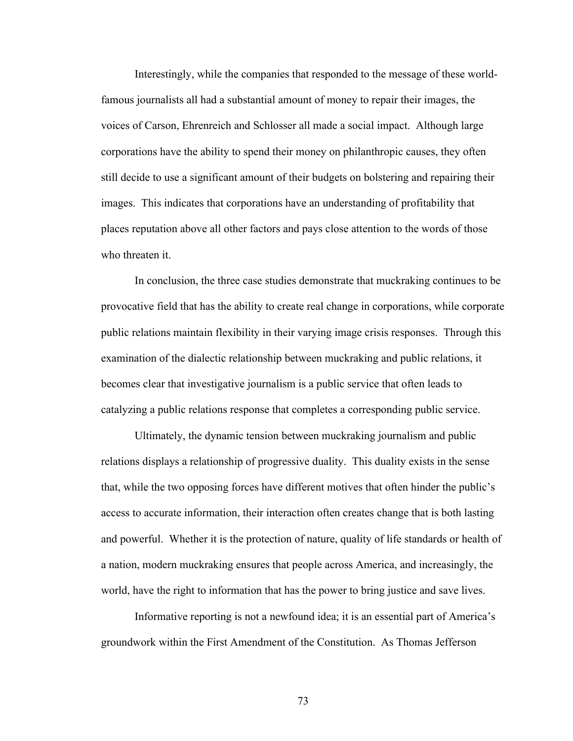Interestingly, while the companies that responded to the message of these worldfamous journalists all had a substantial amount of money to repair their images, the voices of Carson, Ehrenreich and Schlosser all made a social impact. Although large corporations have the ability to spend their money on philanthropic causes, they often still decide to use a significant amount of their budgets on bolstering and repairing their images. This indicates that corporations have an understanding of profitability that places reputation above all other factors and pays close attention to the words of those who threaten it.

In conclusion, the three case studies demonstrate that muckraking continues to be provocative field that has the ability to create real change in corporations, while corporate public relations maintain flexibility in their varying image crisis responses. Through this examination of the dialectic relationship between muckraking and public relations, it becomes clear that investigative journalism is a public service that often leads to catalyzing a public relations response that completes a corresponding public service.

Ultimately, the dynamic tension between muckraking journalism and public relations displays a relationship of progressive duality. This duality exists in the sense that, while the two opposing forces have different motives that often hinder the public's access to accurate information, their interaction often creates change that is both lasting and powerful. Whether it is the protection of nature, quality of life standards or health of a nation, modern muckraking ensures that people across America, and increasingly, the world, have the right to information that has the power to bring justice and save lives.

Informative reporting is not a newfound idea; it is an essential part of America's groundwork within the First Amendment of the Constitution. As Thomas Jefferson

73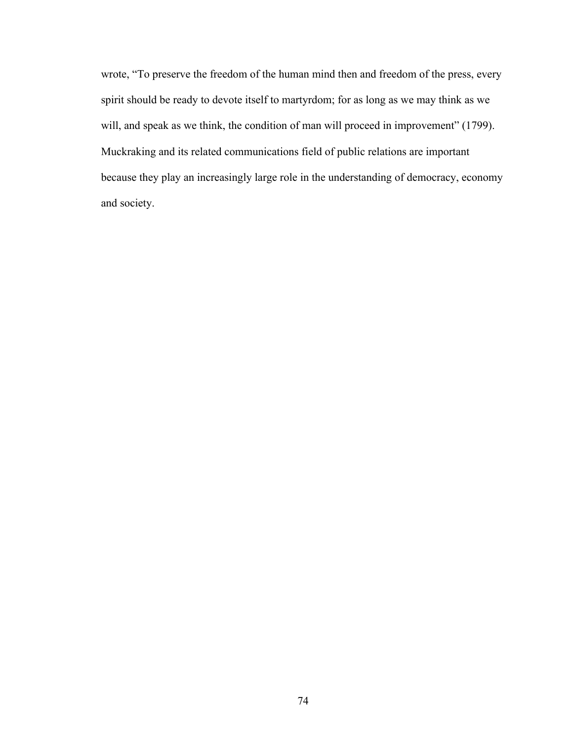wrote, "To preserve the freedom of the human mind then and freedom of the press, every spirit should be ready to devote itself to martyrdom; for as long as we may think as we will, and speak as we think, the condition of man will proceed in improvement" (1799). Muckraking and its related communications field of public relations are important because they play an increasingly large role in the understanding of democracy, economy and society.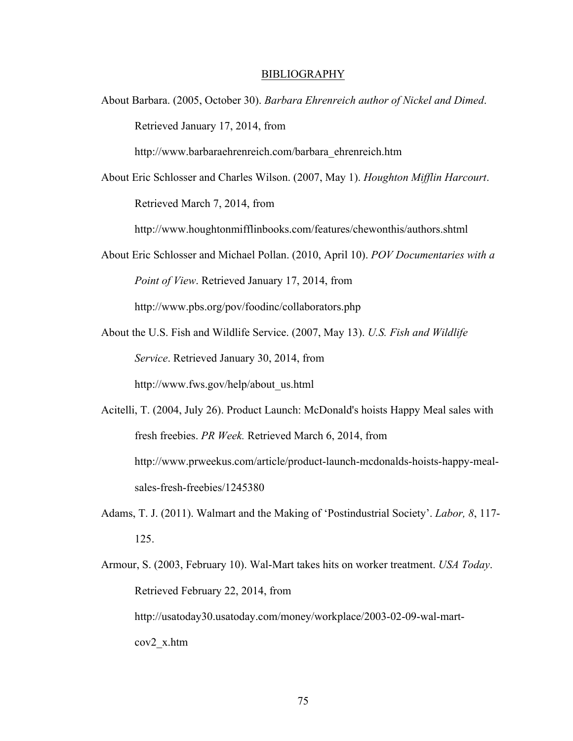## BIBLIOGRAPHY

About Barbara. (2005, October 30). *Barbara Ehrenreich author of Nickel and Dimed*. Retrieved January 17, 2014, from

http://www.barbaraehrenreich.com/barbara\_ehrenreich.htm

About Eric Schlosser and Charles Wilson. (2007, May 1). *Houghton Mifflin Harcourt*. Retrieved March 7, 2014, from

http://www.houghtonmifflinbooks.com/features/chewonthis/authors.shtml

- About Eric Schlosser and Michael Pollan. (2010, April 10). *POV Documentaries with a Point of View*. Retrieved January 17, 2014, from http://www.pbs.org/pov/foodinc/collaborators.php
- About the U.S. Fish and Wildlife Service. (2007, May 13). *U.S. Fish and Wildlife Service*. Retrieved January 30, 2014, from http://www.fws.gov/help/about\_us.html
- Acitelli, T. (2004, July 26). Product Launch: McDonald's hoists Happy Meal sales with fresh freebies. *PR Week.* Retrieved March 6, 2014, from http://www.prweekus.com/article/product-launch-mcdonalds-hoists-happy-mealsales-fresh-freebies/1245380
- Adams, T. J. (2011). Walmart and the Making of 'Postindustrial Society'. *Labor, 8*, 117- 125.
- Armour, S. (2003, February 10). Wal-Mart takes hits on worker treatment. *USA Today*. Retrieved February 22, 2014, from http://usatoday30.usatoday.com/money/workplace/2003-02-09-wal-martcov2\_x.htm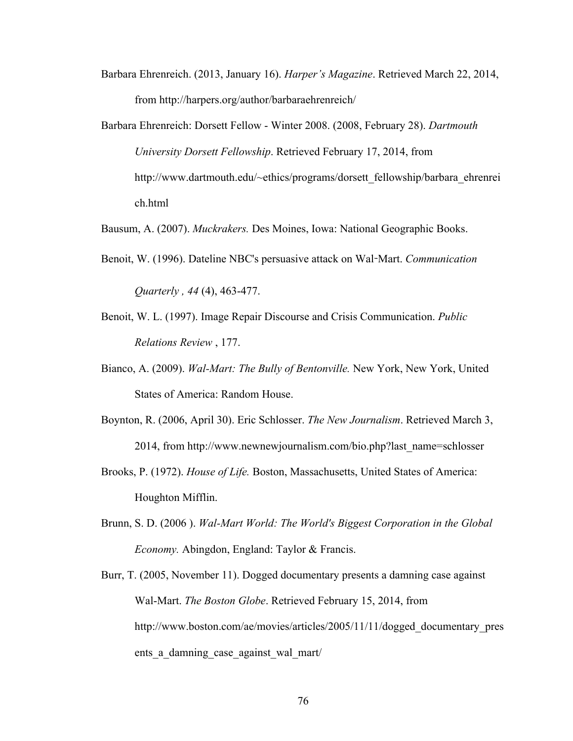- Barbara Ehrenreich. (2013, January 16). *Harper's Magazine*. Retrieved March 22, 2014, from http://harpers.org/author/barbaraehrenreich/
- Barbara Ehrenreich: Dorsett Fellow Winter 2008. (2008, February 28). *Dartmouth University Dorsett Fellowship*. Retrieved February 17, 2014, from http://www.dartmouth.edu/~ethics/programs/dorsett\_fellowship/barbara\_ehrenrei ch.html

Bausum, A. (2007). *Muckrakers.* Des Moines, Iowa: National Geographic Books.

- Benoit, W. (1996). Dateline NBC's persuasive attack on Wal-Mart. *Communication Quarterly , 44* (4), 463-477.
- Benoit, W. L. (1997). Image Repair Discourse and Crisis Communication. *Public Relations Review* , 177.
- Bianco, A. (2009). *Wal-Mart: The Bully of Bentonville.* New York, New York, United States of America: Random House.
- Boynton, R. (2006, April 30). Eric Schlosser. *The New Journalism*. Retrieved March 3, 2014, from http://www.newnewjournalism.com/bio.php?last\_name=schlosser
- Brooks, P. (1972). *House of Life.* Boston, Massachusetts, United States of America: Houghton Mifflin.
- Brunn, S. D. (2006 ). *Wal-Mart World: The World's Biggest Corporation in the Global Economy.* Abingdon, England: Taylor & Francis.
- Burr, T. (2005, November 11). Dogged documentary presents a damning case against Wal-Mart. *The Boston Globe*. Retrieved February 15, 2014, from http://www.boston.com/ae/movies/articles/2005/11/11/dogged\_documentary\_pres ents a damning case against wal mart/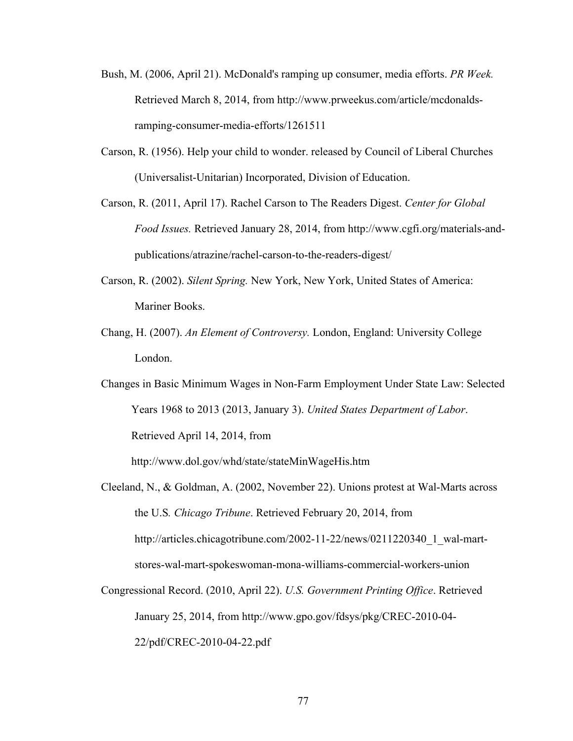- Bush, M. (2006, April 21). McDonald's ramping up consumer, media efforts. *PR Week.*  Retrieved March 8, 2014, from http://www.prweekus.com/article/mcdonaldsramping-consumer-media-efforts/1261511
- Carson, R. (1956). Help your child to wonder. released by Council of Liberal Churches (Universalist-Unitarian) Incorporated, Division of Education.
- Carson, R. (2011, April 17). Rachel Carson to The Readers Digest. *Center for Global Food Issues.* Retrieved January 28, 2014, from http://www.cgfi.org/materials-andpublications/atrazine/rachel-carson-to-the-readers-digest/
- Carson, R. (2002). *Silent Spring.* New York, New York, United States of America: Mariner Books.
- Chang, H. (2007). *An Element of Controversy.* London, England: University College London.
- Changes in Basic Minimum Wages in Non-Farm Employment Under State Law: Selected Years 1968 to 2013 (2013, January 3). *United States Department of Labor*. Retrieved April 14, 2014, from

http://www.dol.gov/whd/state/stateMinWageHis.htm

- Cleeland, N., & Goldman, A. (2002, November 22). Unions protest at Wal-Marts across the U.S*. Chicago Tribune*. Retrieved February 20, 2014, from http://articles.chicagotribune.com/2002-11-22/news/0211220340\_1\_wal-martstores-wal-mart-spokeswoman-mona-williams-commercial-workers-union
- Congressional Record. (2010, April 22). *U.S. Government Printing Office*. Retrieved January 25, 2014, from http://www.gpo.gov/fdsys/pkg/CREC-2010-04- 22/pdf/CREC-2010-04-22.pdf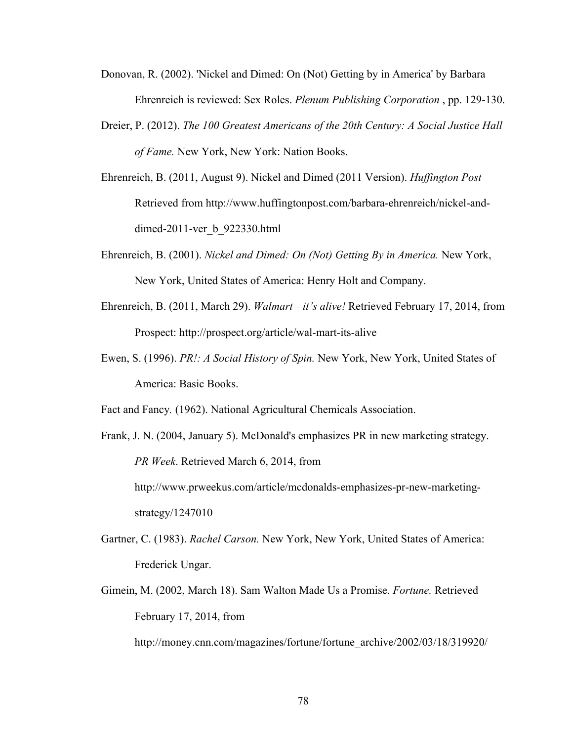- Donovan, R. (2002). 'Nickel and Dimed: On (Not) Getting by in America' by Barbara Ehrenreich is reviewed: Sex Roles. *Plenum Publishing Corporation* , pp. 129-130.
- Dreier, P. (2012). *The 100 Greatest Americans of the 20th Century: A Social Justice Hall of Fame.* New York, New York: Nation Books.
- Ehrenreich, B. (2011, August 9). Nickel and Dimed (2011 Version). *Huffington Post*  Retrieved from http://www.huffingtonpost.com/barbara-ehrenreich/nickel-anddimed-2011-ver\_b\_922330.html
- Ehrenreich, B. (2001). *Nickel and Dimed: On (Not) Getting By in America.* New York, New York, United States of America: Henry Holt and Company.
- Ehrenreich, B. (2011, March 29). *Walmart—it's alive!* Retrieved February 17, 2014, from Prospect: http://prospect.org/article/wal-mart-its-alive
- Ewen, S. (1996). *PR!: A Social History of Spin.* New York, New York, United States of America: Basic Books.

Fact and Fancy*.* (1962). National Agricultural Chemicals Association.

Frank, J. N. (2004, January 5). McDonald's emphasizes PR in new marketing strategy. *PR Week*. Retrieved March 6, 2014, from http://www.prweekus.com/article/mcdonalds-emphasizes-pr-new-marketing-

strategy/1247010

- Gartner, C. (1983). *Rachel Carson.* New York, New York, United States of America: Frederick Ungar.
- Gimein, M. (2002, March 18). Sam Walton Made Us a Promise. *Fortune.* Retrieved February 17, 2014, from

http://money.cnn.com/magazines/fortune/fortune\_archive/2002/03/18/319920/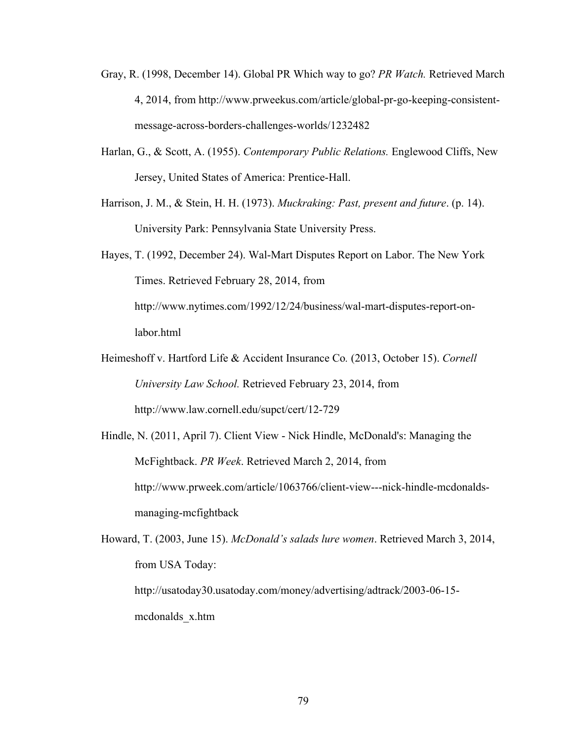- Gray, R. (1998, December 14). Global PR Which way to go? *PR Watch.* Retrieved March 4, 2014, from http://www.prweekus.com/article/global-pr-go-keeping-consistentmessage-across-borders-challenges-worlds/1232482
- Harlan, G., & Scott, A. (1955). *Contemporary Public Relations.* Englewood Cliffs, New Jersey, United States of America: Prentice-Hall.
- Harrison, J. M., & Stein, H. H. (1973). *Muckraking: Past, present and future*. (p. 14). University Park: Pennsylvania State University Press.
- Hayes, T. (1992, December 24). Wal-Mart Disputes Report on Labor. The New York Times. Retrieved February 28, 2014, from http://www.nytimes.com/1992/12/24/business/wal-mart-disputes-report-onlabor.html
- Heimeshoff v. Hartford Life & Accident Insurance Co*.* (2013, October 15). *Cornell University Law School.* Retrieved February 23, 2014, from http://www.law.cornell.edu/supct/cert/12-729
- Hindle, N. (2011, April 7). Client View Nick Hindle, McDonald's: Managing the McFightback. *PR Week*. Retrieved March 2, 2014, from http://www.prweek.com/article/1063766/client-view---nick-hindle-mcdonaldsmanaging-mcfightback
- Howard, T. (2003, June 15). *McDonald's salads lure women*. Retrieved March 3, 2014, from USA Today: http://usatoday30.usatoday.com/money/advertising/adtrack/2003-06-15 mcdonalds\_x.htm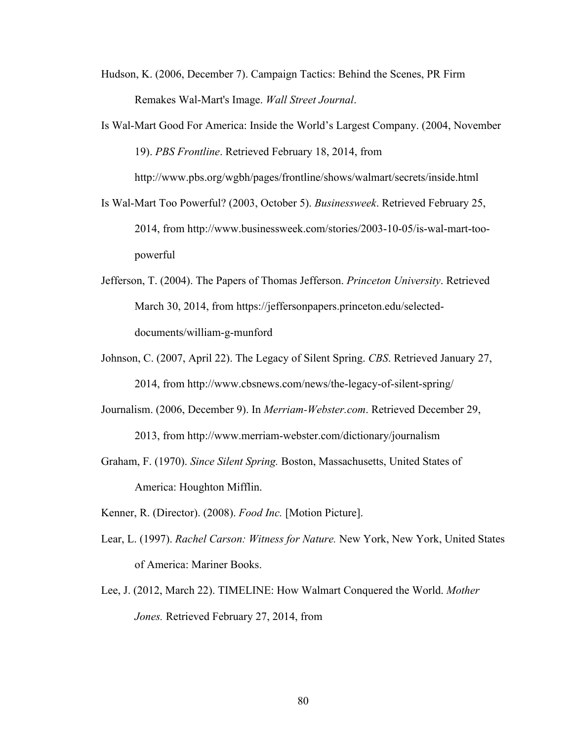- Hudson, K. (2006, December 7). Campaign Tactics: Behind the Scenes, PR Firm Remakes Wal-Mart's Image. *Wall Street Journal*.
- Is Wal-Mart Good For America: Inside the World's Largest Company. (2004, November 19). *PBS Frontline*. Retrieved February 18, 2014, from

http://www.pbs.org/wgbh/pages/frontline/shows/walmart/secrets/inside.html

- Is Wal-Mart Too Powerful? (2003, October 5). *Businessweek*. Retrieved February 25, 2014, from http://www.businessweek.com/stories/2003-10-05/is-wal-mart-toopowerful
- Jefferson, T. (2004). The Papers of Thomas Jefferson. *Princeton University*. Retrieved March 30, 2014, from https://jeffersonpapers.princeton.edu/selecteddocuments/william-g-munford
- Johnson, C. (2007, April 22). The Legacy of Silent Spring. *CBS*. Retrieved January 27, 2014, from http://www.cbsnews.com/news/the-legacy-of-silent-spring/
- Journalism. (2006, December 9). In *Merriam-Webster.com*. Retrieved December 29, 2013, from http://www.merriam-webster.com/dictionary/journalism
- Graham, F. (1970). *Since Silent Spring.* Boston, Massachusetts, United States of America: Houghton Mifflin.
- Kenner, R. (Director). (2008). *Food Inc.* [Motion Picture].
- Lear, L. (1997). *Rachel Carson: Witness for Nature.* New York, New York, United States of America: Mariner Books.
- Lee, J. (2012, March 22). TIMELINE: How Walmart Conquered the World. *Mother Jones.* Retrieved February 27, 2014, from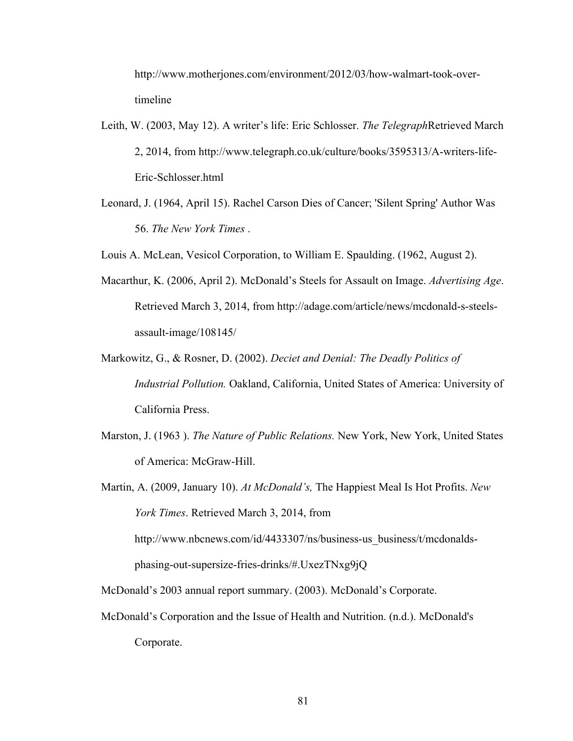http://www.motherjones.com/environment/2012/03/how-walmart-took-overtimeline

- Leith, W. (2003, May 12). A writer's life: Eric Schlosser. *The Telegraph*Retrieved March 2, 2014, from http://www.telegraph.co.uk/culture/books/3595313/A-writers-life-Eric-Schlosser.html
- Leonard, J. (1964, April 15). Rachel Carson Dies of Cancer; 'Silent Spring' Author Was 56. *The New York Times* .
- Louis A. McLean, Vesicol Corporation, to William E. Spaulding. (1962, August 2).
- Macarthur, K. (2006, April 2). McDonald's Steels for Assault on Image. *Advertising Age*. Retrieved March 3, 2014, from http://adage.com/article/news/mcdonald-s-steelsassault-image/108145/
- Markowitz, G., & Rosner, D. (2002). *Deciet and Denial: The Deadly Politics of Industrial Pollution.* Oakland, California, United States of America: University of California Press.
- Marston, J. (1963 ). *The Nature of Public Relations.* New York, New York, United States of America: McGraw-Hill.

Martin, A. (2009, January 10). *At McDonald's,* The Happiest Meal Is Hot Profits. *New York Times*. Retrieved March 3, 2014, from http://www.nbcnews.com/id/4433307/ns/business-us\_business/t/mcdonaldsphasing-out-supersize-fries-drinks/#.UxezTNxg9jQ

McDonald's 2003 annual report summary. (2003). McDonald's Corporate.

McDonald's Corporation and the Issue of Health and Nutrition. (n.d.). McDonald's Corporate.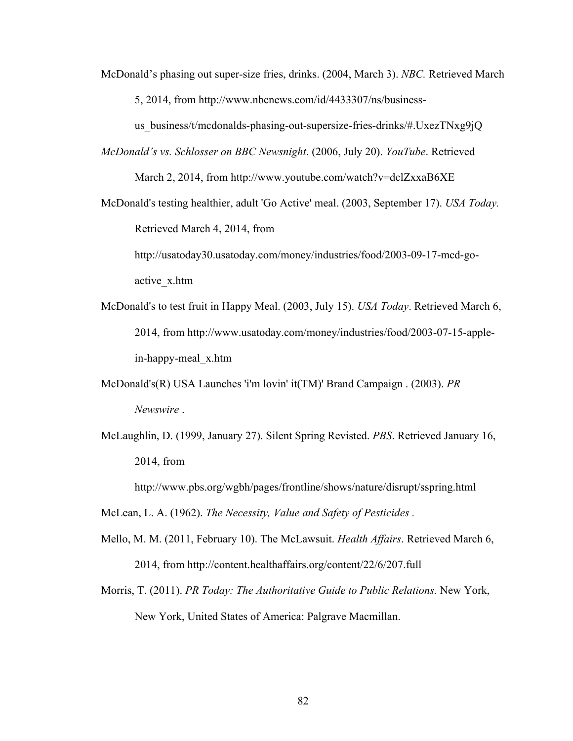McDonald's phasing out super-size fries, drinks. (2004, March 3). *NBC.* Retrieved March

5, 2014, from http://www.nbcnews.com/id/4433307/ns/business-

us business/t/mcdonalds-phasing-out-supersize-fries-drinks/#.UxezTNxg9jQ

*McDonald's vs. Schlosser on BBC Newsnight*. (2006, July 20). *YouTube*. Retrieved

March 2, 2014, from http://www.youtube.com/watch?v=dclZxxaB6XE

McDonald's testing healthier, adult 'Go Active' meal. (2003, September 17). *USA Today.*  Retrieved March 4, 2014, from

http://usatoday30.usatoday.com/money/industries/food/2003-09-17-mcd-goactive\_x.htm

- McDonald's to test fruit in Happy Meal. (2003, July 15). *USA Today*. Retrieved March 6, 2014, from http://www.usatoday.com/money/industries/food/2003-07-15-applein-happy-meal\_x.htm
- McDonald's(R) USA Launches 'i'm lovin' it(TM)' Brand Campaign . (2003). *PR Newswire* .
- McLaughlin, D. (1999, January 27). Silent Spring Revisted. *PBS*. Retrieved January 16, 2014, from

http://www.pbs.org/wgbh/pages/frontline/shows/nature/disrupt/sspring.html

McLean, L. A. (1962). *The Necessity, Value and Safety of Pesticides .*

- Mello, M. M. (2011, February 10). The McLawsuit. *Health Affairs*. Retrieved March 6, 2014, from http://content.healthaffairs.org/content/22/6/207.full
- Morris, T. (2011). *PR Today: The Authoritative Guide to Public Relations.* New York, New York, United States of America: Palgrave Macmillan.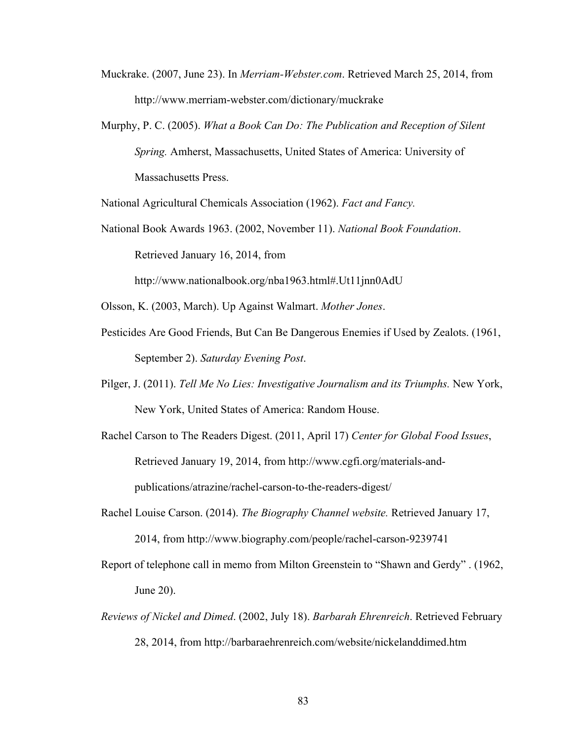- Muckrake. (2007, June 23). In *Merriam-Webster.com*. Retrieved March 25, 2014, from http://www.merriam-webster.com/dictionary/muckrake
- Murphy, P. C. (2005). *What a Book Can Do: The Publication and Reception of Silent Spring.* Amherst, Massachusetts, United States of America: University of Massachusetts Press.

National Agricultural Chemicals Association (1962). *Fact and Fancy.*

National Book Awards 1963. (2002, November 11). *National Book Foundation*. Retrieved January 16, 2014, from

http://www.nationalbook.org/nba1963.html#.Ut11jnn0AdU

Olsson, K. (2003, March). Up Against Walmart. *Mother Jones*.

- Pesticides Are Good Friends, But Can Be Dangerous Enemies if Used by Zealots. (1961, September 2). *Saturday Evening Post*.
- Pilger, J. (2011). *Tell Me No Lies: Investigative Journalism and its Triumphs.* New York, New York, United States of America: Random House.
- Rachel Carson to The Readers Digest. (2011, April 17) *Center for Global Food Issues*, Retrieved January 19, 2014, from http://www.cgfi.org/materials-andpublications/atrazine/rachel-carson-to-the-readers-digest/
- Rachel Louise Carson. (2014). *The Biography Channel website.* Retrieved January 17, 2014, from http://www.biography.com/people/rachel-carson-9239741
- Report of telephone call in memo from Milton Greenstein to "Shawn and Gerdy" . (1962, June 20).
- *Reviews of Nickel and Dimed*. (2002, July 18). *Barbarah Ehrenreich*. Retrieved February 28, 2014, from http://barbaraehrenreich.com/website/nickelanddimed.htm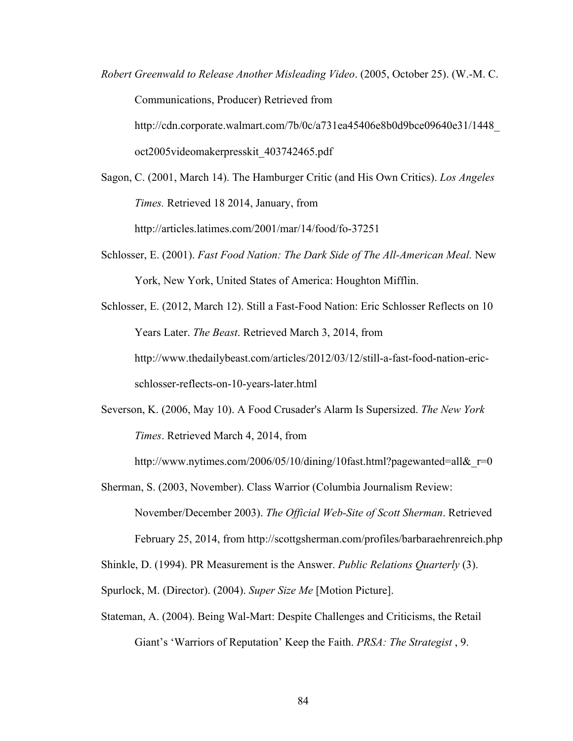- *Robert Greenwald to Release Another Misleading Video*. (2005, October 25). (W.-M. C. Communications, Producer) Retrieved from http://cdn.corporate.walmart.com/7b/0c/a731ea45406e8b0d9bce09640e31/1448\_ oct2005videomakerpresskit\_403742465.pdf
- Sagon, C. (2001, March 14). The Hamburger Critic (and His Own Critics). *Los Angeles Times.* Retrieved 18 2014, January, from http://articles.latimes.com/2001/mar/14/food/fo-37251
- Schlosser, E. (2001). *Fast Food Nation: The Dark Side of The All-American Meal.* New York, New York, United States of America: Houghton Mifflin.
- Schlosser, E. (2012, March 12). Still a Fast-Food Nation: Eric Schlosser Reflects on 10 Years Later. *The Beast*. Retrieved March 3, 2014, from http://www.thedailybeast.com/articles/2012/03/12/still-a-fast-food-nation-ericschlosser-reflects-on-10-years-later.html
- Severson, K. (2006, May 10). A Food Crusader's Alarm Is Supersized. *The New York Times*. Retrieved March 4, 2014, from

http://www.nytimes.com/2006/05/10/dining/10fast.html?pagewanted=all $&\tau=0$ 

Sherman, S. (2003, November). Class Warrior (Columbia Journalism Review: November/December 2003). *The Official Web-Site of Scott Sherman*. Retrieved February 25, 2014, from http://scottgsherman.com/profiles/barbaraehrenreich.php

Shinkle, D. (1994). PR Measurement is the Answer. *Public Relations Quarterly* (3).

Spurlock, M. (Director). (2004). *Super Size Me* [Motion Picture].

Stateman, A. (2004). Being Wal-Mart: Despite Challenges and Criticisms, the Retail Giant's 'Warriors of Reputation' Keep the Faith. *PRSA: The Strategist* , 9.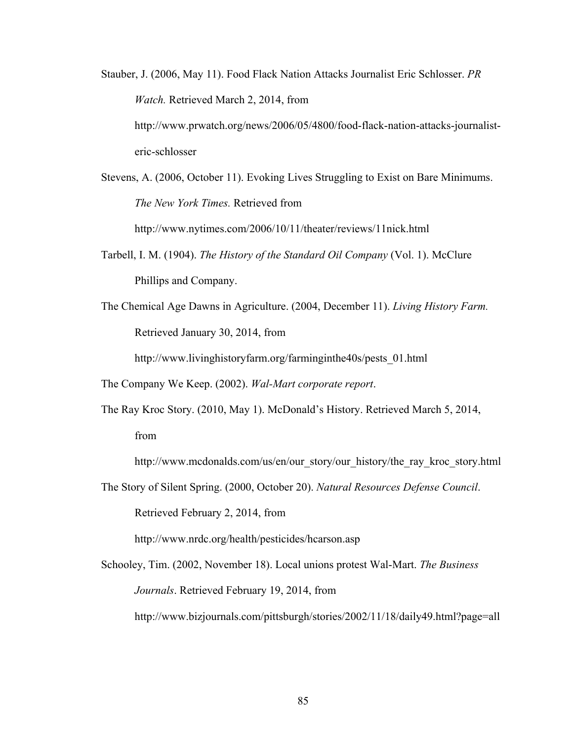Stauber, J. (2006, May 11). Food Flack Nation Attacks Journalist Eric Schlosser. *PR Watch.* Retrieved March 2, 2014, from http://www.prwatch.org/news/2006/05/4800/food-flack-nation-attacks-journalisteric-schlosser

- Stevens, A. (2006, October 11). Evoking Lives Struggling to Exist on Bare Minimums. *The New York Times.* Retrieved from http://www.nytimes.com/2006/10/11/theater/reviews/11nick.html
- Tarbell, I. M. (1904). *The History of the Standard Oil Company* (Vol. 1). McClure Phillips and Company.
- The Chemical Age Dawns in Agriculture. (2004, December 11). *Living History Farm.* Retrieved January 30, 2014, from

http://www.livinghistoryfarm.org/farminginthe40s/pests\_01.html

The Company We Keep. (2002). *Wal-Mart corporate report*.

http://www.nrdc.org/health/pesticides/hcarson.asp

The Ray Kroc Story. (2010, May 1). McDonald's History. Retrieved March 5, 2014, from

http://www.mcdonalds.com/us/en/our\_story/our\_history/the\_ray\_kroc\_story.html

The Story of Silent Spring. (2000, October 20). *Natural Resources Defense Council*. Retrieved February 2, 2014, from

Schooley, Tim. (2002, November 18). Local unions protest Wal-Mart. *The Business Journals*. Retrieved February 19, 2014, from

http://www.bizjournals.com/pittsburgh/stories/2002/11/18/daily49.html?page=all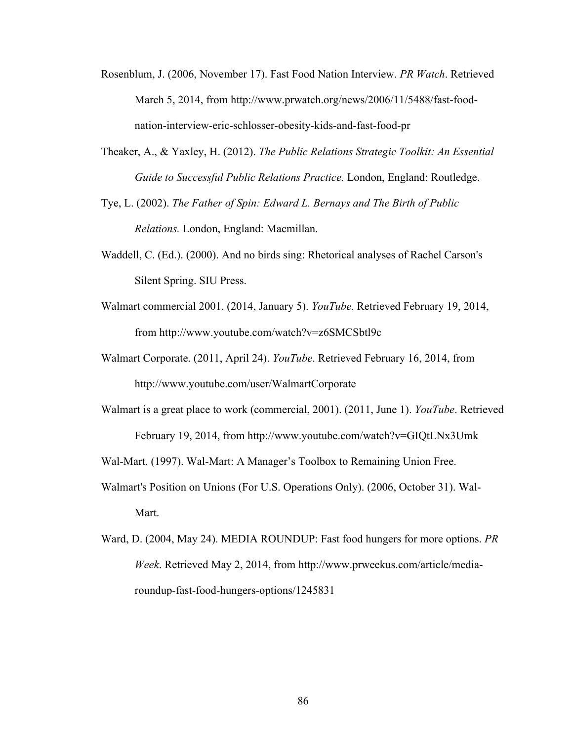- Rosenblum, J. (2006, November 17). Fast Food Nation Interview. *PR Watch*. Retrieved March 5, 2014, from http://www.prwatch.org/news/2006/11/5488/fast-foodnation-interview-eric-schlosser-obesity-kids-and-fast-food-pr
- Theaker, A., & Yaxley, H. (2012). *The Public Relations Strategic Toolkit: An Essential Guide to Successful Public Relations Practice.* London, England: Routledge.
- Tye, L. (2002). *The Father of Spin: Edward L. Bernays and The Birth of Public Relations.* London, England: Macmillan.
- Waddell, C. (Ed.). (2000). And no birds sing: Rhetorical analyses of Rachel Carson's Silent Spring. SIU Press.
- Walmart commercial 2001. (2014, January 5). *YouTube.* Retrieved February 19, 2014, from http://www.youtube.com/watch?v=z6SMCSbtl9c
- Walmart Corporate. (2011, April 24). *YouTube*. Retrieved February 16, 2014, from http://www.youtube.com/user/WalmartCorporate
- Walmart is a great place to work (commercial, 2001). (2011, June 1). *YouTube*. Retrieved February 19, 2014, from http://www.youtube.com/watch?v=GIQtLNx3Umk

Wal-Mart. (1997). Wal-Mart: A Manager's Toolbox to Remaining Union Free.

- Walmart's Position on Unions (For U.S. Operations Only). (2006, October 31). Wal-Mart.
- Ward, D. (2004, May 24). MEDIA ROUNDUP: Fast food hungers for more options. *PR Week*. Retrieved May 2, 2014, from http://www.prweekus.com/article/mediaroundup-fast-food-hungers-options/1245831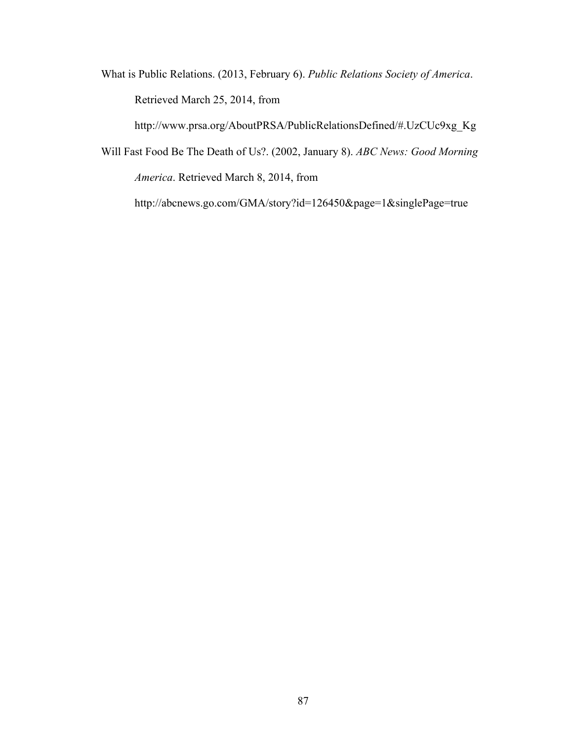What is Public Relations. (2013, February 6). *Public Relations Society of America*. Retrieved March 25, 2014, from

http://www.prsa.org/AboutPRSA/PublicRelationsDefined/#.UzCUc9xg\_Kg

Will Fast Food Be The Death of Us?. (2002, January 8). *ABC News: Good Morning America*. Retrieved March 8, 2014, from

http://abcnews.go.com/GMA/story?id=126450&page=1&singlePage=true